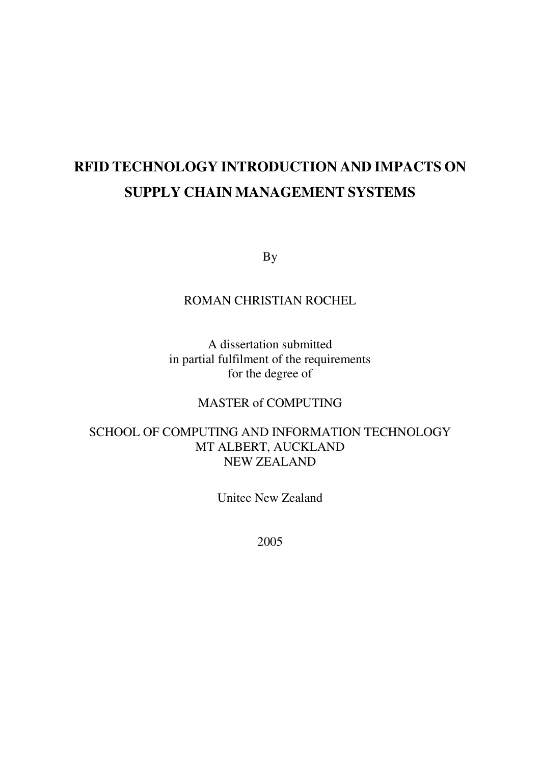# **RFID TECHNOLOGY INTRODUCTION AND IMPACTS ON SUPPLY CHAIN MANAGEMENT SYSTEMS**

By

## ROMAN CHRISTIAN ROCHEL

A dissertation submitted in partial fulfilment of the requirements for the degree of

## MASTER of COMPUTING

## SCHOOL OF COMPUTING AND INFORMATION TECHNOLOGY MT ALBERT, AUCKLAND NEW ZEALAND

Unitec New Zealand

2005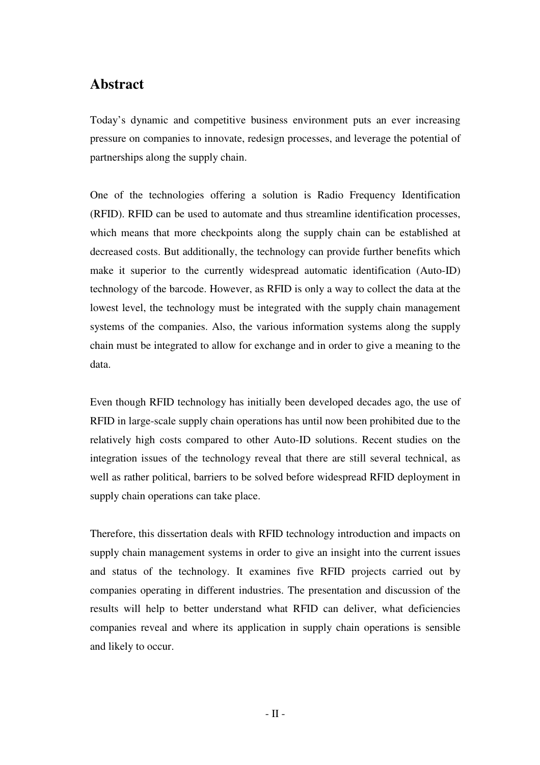# **Abstract**

Today's dynamic and competitive business environment puts an ever increasing pressure on companies to innovate, redesign processes, and leverage the potential of partnerships along the supply chain.

One of the technologies offering a solution is Radio Frequency Identification (RFID). RFID can be used to automate and thus streamline identification processes, which means that more checkpoints along the supply chain can be established at decreased costs. But additionally, the technology can provide further benefits which make it superior to the currently widespread automatic identification (Auto-ID) technology of the barcode. However, as RFID is only a way to collect the data at the lowest level, the technology must be integrated with the supply chain management systems of the companies. Also, the various information systems along the supply chain must be integrated to allow for exchange and in order to give a meaning to the data.

Even though RFID technology has initially been developed decades ago, the use of RFID in large-scale supply chain operations has until now been prohibited due to the relatively high costs compared to other Auto-ID solutions. Recent studies on the integration issues of the technology reveal that there are still several technical, as well as rather political, barriers to be solved before widespread RFID deployment in supply chain operations can take place.

Therefore, this dissertation deals with RFID technology introduction and impacts on supply chain management systems in order to give an insight into the current issues and status of the technology. It examines five RFID projects carried out by companies operating in different industries. The presentation and discussion of the results will help to better understand what RFID can deliver, what deficiencies companies reveal and where its application in supply chain operations is sensible and likely to occur.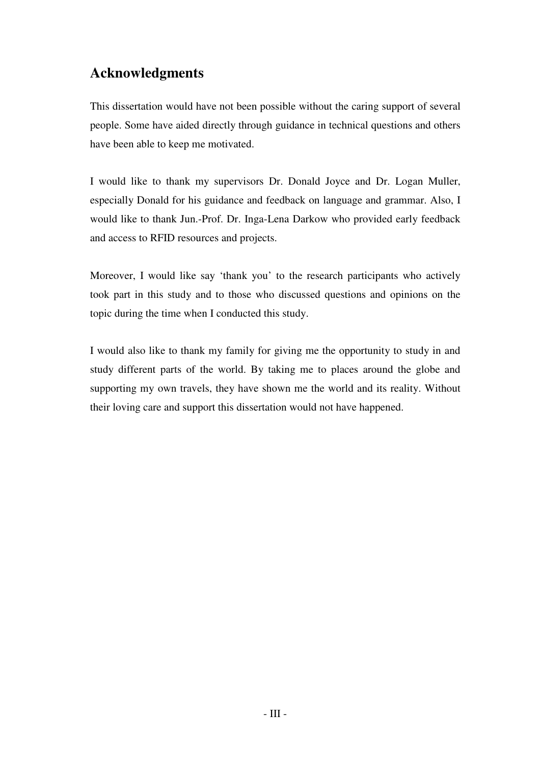# **Acknowledgments**

This dissertation would have not been possible without the caring support of several people. Some have aided directly through guidance in technical questions and others have been able to keep me motivated.

I would like to thank my supervisors Dr. Donald Joyce and Dr. Logan Muller, especially Donald for his guidance and feedback on language and grammar. Also, I would like to thank Jun.-Prof. Dr. Inga-Lena Darkow who provided early feedback and access to RFID resources and projects.

Moreover, I would like say 'thank you' to the research participants who actively took part in this study and to those who discussed questions and opinions on the topic during the time when I conducted this study.

I would also like to thank my family for giving me the opportunity to study in and study different parts of the world. By taking me to places around the globe and supporting my own travels, they have shown me the world and its reality. Without their loving care and support this dissertation would not have happened.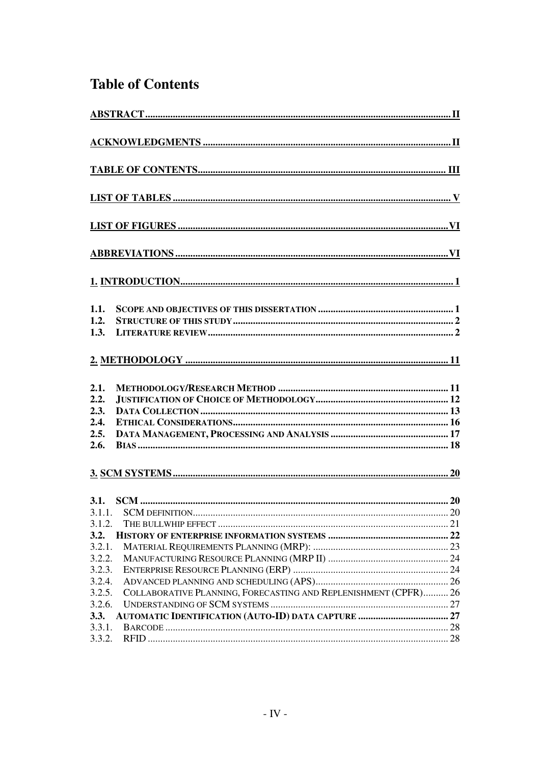# **Table of Contents**

| 1.1.<br>1.2.<br>1.3.                         |                                                                 |  |
|----------------------------------------------|-----------------------------------------------------------------|--|
|                                              |                                                                 |  |
| 2.1.<br>2.2.<br>2.3.<br>2.4.<br>2.5.<br>2.6. |                                                                 |  |
|                                              |                                                                 |  |
| 3.1.2.<br>3.2.<br>3.2.1.                     |                                                                 |  |
| 3.2.2.<br>3.2.3.<br>3.2.4.<br>3.2.5.         | COLLABORATIVE PLANNING, FORECASTING AND REPLENISHMENT (CPFR) 26 |  |
| 3.2.6.<br>3.3.<br>3.3.1.<br>3.3.2.           |                                                                 |  |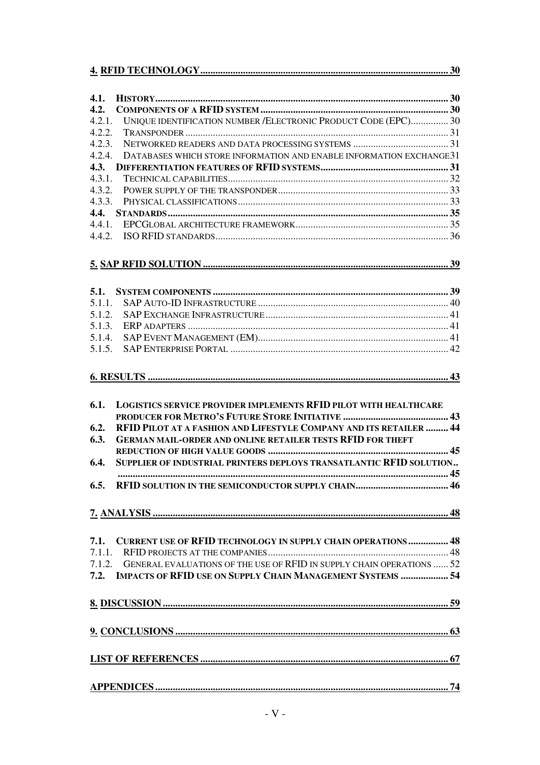| 4.1.   |                                                                              |  |
|--------|------------------------------------------------------------------------------|--|
| 4.2.   |                                                                              |  |
| 4.2.1. | UNIQUE IDENTIFICATION NUMBER / ELECTRONIC PRODUCT CODE (EPC) 30              |  |
| 4.2.2. |                                                                              |  |
| 4.2.3. |                                                                              |  |
| 4.2.4. | DATABASES WHICH STORE INFORMATION AND ENABLE INFORMATION EXCHANGE31          |  |
| 4.3.   |                                                                              |  |
| 4.3.1. |                                                                              |  |
| 4.3.2. |                                                                              |  |
| 4.3.3. |                                                                              |  |
| 4.4.   |                                                                              |  |
|        |                                                                              |  |
| 4.4.1. |                                                                              |  |
|        |                                                                              |  |
|        |                                                                              |  |
|        |                                                                              |  |
|        |                                                                              |  |
| 5.1.   |                                                                              |  |
| 5.1.1. |                                                                              |  |
| 5.1.2. |                                                                              |  |
| 5.1.3. |                                                                              |  |
| 5.1.4. |                                                                              |  |
| 5.1.5. |                                                                              |  |
| 6.1.   | <b>LOGISTICS SERVICE PROVIDER IMPLEMENTS RFID PILOT WITH HEALTHCARE</b>      |  |
|        |                                                                              |  |
| 6.2.   | RFID PILOT AT A FASHION AND LIFESTYLE COMPANY AND ITS RETAILER  44           |  |
| 6.3.   | <b>GERMAN MAIL-ORDER AND ONLINE RETAILER TESTS RFID FOR THEFT</b>            |  |
|        |                                                                              |  |
| 6.4.   | SUPPLIER OF INDUSTRIAL PRINTERS DEPLOYS TRANSATLANTIC RFID SOLUTION          |  |
|        |                                                                              |  |
|        |                                                                              |  |
|        |                                                                              |  |
|        |                                                                              |  |
|        |                                                                              |  |
| 7.1.   | <b>CURRENT USE OF RFID TECHNOLOGY IN SUPPLY CHAIN OPERATIONS  48</b>         |  |
|        |                                                                              |  |
|        | 7.1.2. GENERAL EVALUATIONS OF THE USE OF RFID IN SUPPLY CHAIN OPERATIONS  52 |  |
|        |                                                                              |  |
|        | 7.2. IMPACTS OF RFID USE ON SUPPLY CHAIN MANAGEMENT SYSTEMS  54              |  |
|        |                                                                              |  |
|        |                                                                              |  |
|        |                                                                              |  |
|        |                                                                              |  |
|        |                                                                              |  |
|        |                                                                              |  |
|        |                                                                              |  |
|        |                                                                              |  |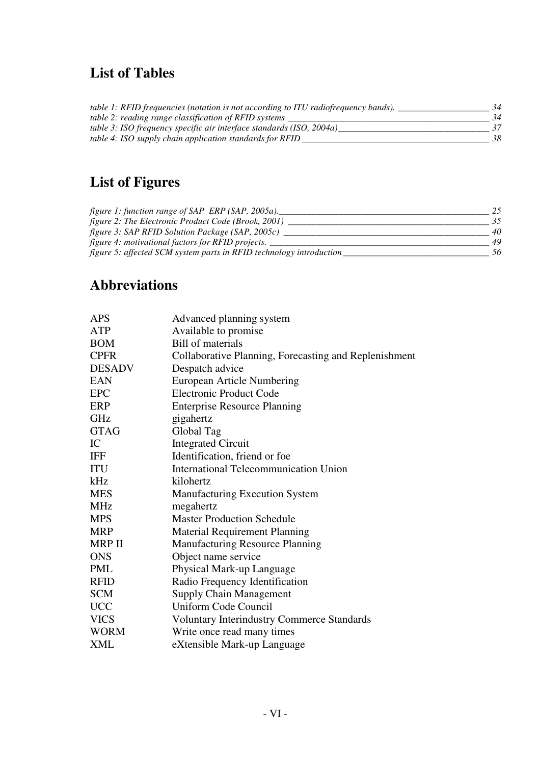# **List of Tables**

| <i>table 1: RFID frequencies (notation is not according to ITU radiofrequency bands).</i> | 34 |
|-------------------------------------------------------------------------------------------|----|
| table 2: reading range classification of RFID systems                                     | 34 |
| table 3: ISO frequency specific air interface standards (ISO, 2004a)                      |    |
| table 4: ISO supply chain application standards for RFID                                  | 38 |

# **List of Figures**

| figure 1: function range of SAP ERP (SAP, 2005a).                   |    |
|---------------------------------------------------------------------|----|
| figure 2: The Electronic Product Code (Brook, 2001)                 |    |
| figure 3: SAP RFID Solution Package (SAP, 2005c)                    | 40 |
| figure 4: motivational factors for RFID projects.                   | 49 |
| figure 5: affected SCM system parts in RFID technology introduction | 56 |

# **Abbreviations**

| <b>APS</b>    | Advanced planning system                              |
|---------------|-------------------------------------------------------|
| <b>ATP</b>    | Available to promise                                  |
| <b>BOM</b>    | <b>Bill of materials</b>                              |
| <b>CPFR</b>   | Collaborative Planning, Forecasting and Replenishment |
| <b>DESADV</b> | Despatch advice                                       |
| <b>EAN</b>    | <b>European Article Numbering</b>                     |
| <b>EPC</b>    | <b>Electronic Product Code</b>                        |
| <b>ERP</b>    | <b>Enterprise Resource Planning</b>                   |
| GHz           | gigahertz                                             |
| <b>GTAG</b>   | Global Tag                                            |
| IC            | <b>Integrated Circuit</b>                             |
| <b>IFF</b>    | Identification, friend or foe                         |
| <b>ITU</b>    | <b>International Telecommunication Union</b>          |
| kHz           | kilohertz                                             |
| <b>MES</b>    | <b>Manufacturing Execution System</b>                 |
| <b>MHz</b>    | megahertz                                             |
| <b>MPS</b>    | <b>Master Production Schedule</b>                     |
| <b>MRP</b>    | <b>Material Requirement Planning</b>                  |
| <b>MRP II</b> | <b>Manufacturing Resource Planning</b>                |
| <b>ONS</b>    | Object name service                                   |
| <b>PML</b>    | Physical Mark-up Language                             |
| <b>RFID</b>   | Radio Frequency Identification                        |
| <b>SCM</b>    | <b>Supply Chain Management</b>                        |
| <b>UCC</b>    | Uniform Code Council                                  |
| <b>VICS</b>   | <b>Voluntary Interindustry Commerce Standards</b>     |
| <b>WORM</b>   | Write once read many times                            |
| <b>XML</b>    | eXtensible Mark-up Language                           |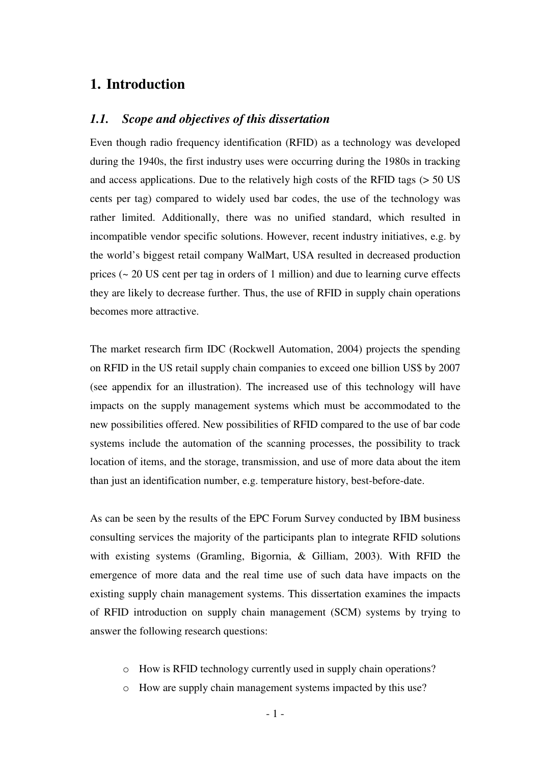## **1. Introduction**

#### *1.1. Scope and objectives of this dissertation*

Even though radio frequency identification (RFID) as a technology was developed during the 1940s, the first industry uses were occurring during the 1980s in tracking and access applications. Due to the relatively high costs of the RFID tags (> 50 US cents per tag) compared to widely used bar codes, the use of the technology was rather limited. Additionally, there was no unified standard, which resulted in incompatible vendor specific solutions. However, recent industry initiatives, e.g. by the world's biggest retail company WalMart, USA resulted in decreased production prices (~ 20 US cent per tag in orders of 1 million) and due to learning curve effects they are likely to decrease further. Thus, the use of RFID in supply chain operations becomes more attractive.

The market research firm IDC (Rockwell Automation, 2004) projects the spending on RFID in the US retail supply chain companies to exceed one billion US\$ by 2007 (see appendix for an illustration). The increased use of this technology will have impacts on the supply management systems which must be accommodated to the new possibilities offered. New possibilities of RFID compared to the use of bar code systems include the automation of the scanning processes, the possibility to track location of items, and the storage, transmission, and use of more data about the item than just an identification number, e.g. temperature history, best-before-date.

As can be seen by the results of the EPC Forum Survey conducted by IBM business consulting services the majority of the participants plan to integrate RFID solutions with existing systems (Gramling, Bigornia, & Gilliam, 2003). With RFID the emergence of more data and the real time use of such data have impacts on the existing supply chain management systems. This dissertation examines the impacts of RFID introduction on supply chain management (SCM) systems by trying to answer the following research questions:

- o How is RFID technology currently used in supply chain operations?
- o How are supply chain management systems impacted by this use?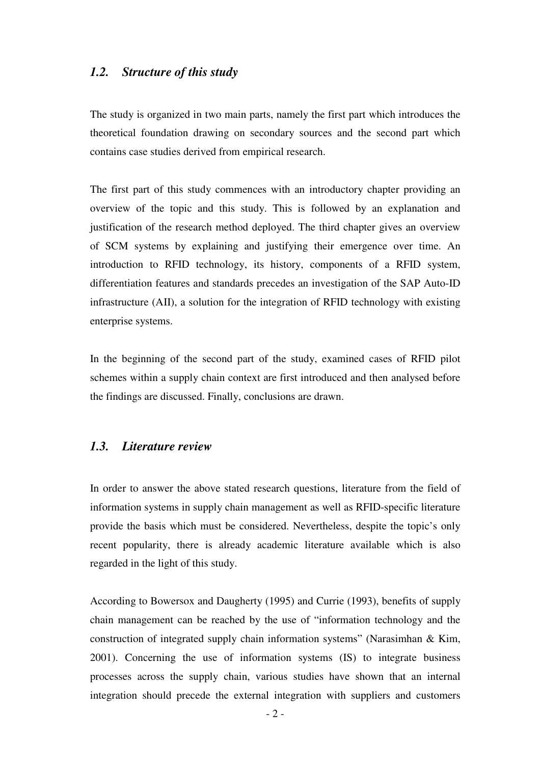#### *1.2. Structure of this study*

The study is organized in two main parts, namely the first part which introduces the theoretical foundation drawing on secondary sources and the second part which contains case studies derived from empirical research.

The first part of this study commences with an introductory chapter providing an overview of the topic and this study. This is followed by an explanation and justification of the research method deployed. The third chapter gives an overview of SCM systems by explaining and justifying their emergence over time. An introduction to RFID technology, its history, components of a RFID system, differentiation features and standards precedes an investigation of the SAP Auto-ID infrastructure (AII), a solution for the integration of RFID technology with existing enterprise systems.

In the beginning of the second part of the study, examined cases of RFID pilot schemes within a supply chain context are first introduced and then analysed before the findings are discussed. Finally, conclusions are drawn.

## *1.3. Literature review*

In order to answer the above stated research questions, literature from the field of information systems in supply chain management as well as RFID-specific literature provide the basis which must be considered. Nevertheless, despite the topic's only recent popularity, there is already academic literature available which is also regarded in the light of this study.

According to Bowersox and Daugherty (1995) and Currie (1993), benefits of supply chain management can be reached by the use of "information technology and the construction of integrated supply chain information systems" (Narasimhan & Kim, 2001). Concerning the use of information systems (IS) to integrate business processes across the supply chain, various studies have shown that an internal integration should precede the external integration with suppliers and customers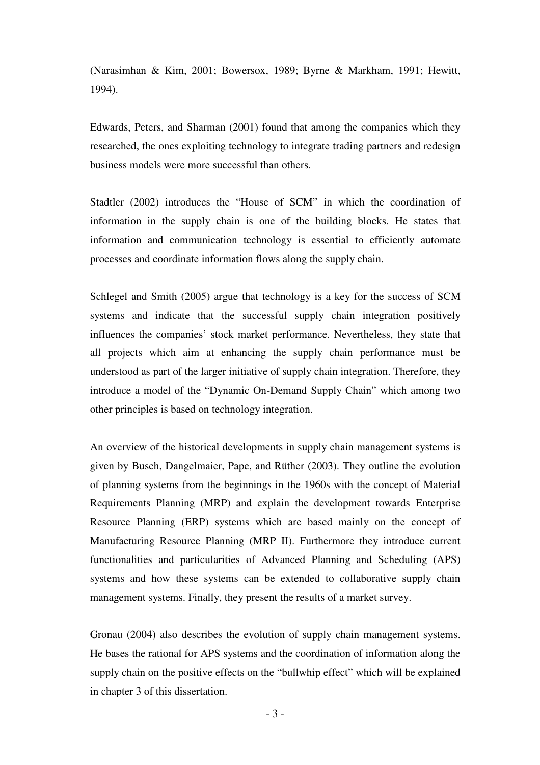(Narasimhan & Kim, 2001; Bowersox, 1989; Byrne & Markham, 1991; Hewitt, 1994).

Edwards, Peters, and Sharman (2001) found that among the companies which they researched, the ones exploiting technology to integrate trading partners and redesign business models were more successful than others.

Stadtler (2002) introduces the "House of SCM" in which the coordination of information in the supply chain is one of the building blocks. He states that information and communication technology is essential to efficiently automate processes and coordinate information flows along the supply chain.

Schlegel and Smith (2005) argue that technology is a key for the success of SCM systems and indicate that the successful supply chain integration positively influences the companies' stock market performance. Nevertheless, they state that all projects which aim at enhancing the supply chain performance must be understood as part of the larger initiative of supply chain integration. Therefore, they introduce a model of the "Dynamic On-Demand Supply Chain" which among two other principles is based on technology integration.

An overview of the historical developments in supply chain management systems is given by Busch, Dangelmaier, Pape, and Rüther (2003). They outline the evolution of planning systems from the beginnings in the 1960s with the concept of Material Requirements Planning (MRP) and explain the development towards Enterprise Resource Planning (ERP) systems which are based mainly on the concept of Manufacturing Resource Planning (MRP II). Furthermore they introduce current functionalities and particularities of Advanced Planning and Scheduling (APS) systems and how these systems can be extended to collaborative supply chain management systems. Finally, they present the results of a market survey.

Gronau (2004) also describes the evolution of supply chain management systems. He bases the rational for APS systems and the coordination of information along the supply chain on the positive effects on the "bullwhip effect" which will be explained in chapter 3 of this dissertation.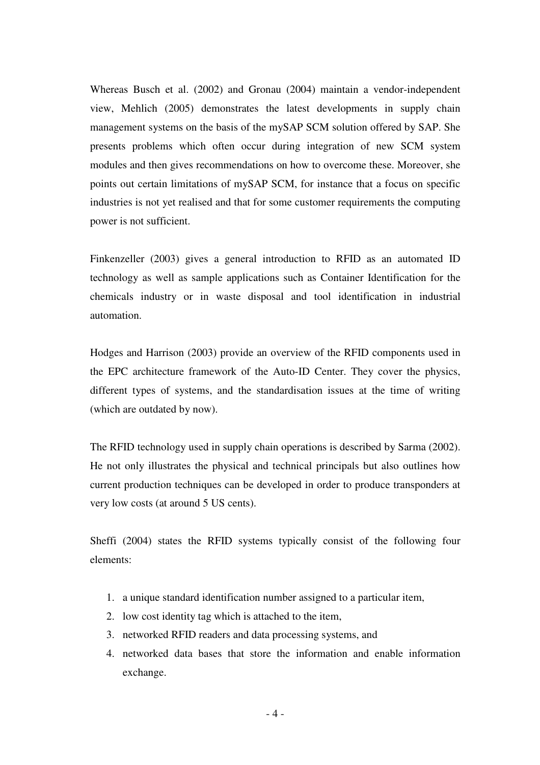Whereas Busch et al. (2002) and Gronau (2004) maintain a vendor-independent view, Mehlich (2005) demonstrates the latest developments in supply chain management systems on the basis of the mySAP SCM solution offered by SAP. She presents problems which often occur during integration of new SCM system modules and then gives recommendations on how to overcome these. Moreover, she points out certain limitations of mySAP SCM, for instance that a focus on specific industries is not yet realised and that for some customer requirements the computing power is not sufficient.

Finkenzeller (2003) gives a general introduction to RFID as an automated ID technology as well as sample applications such as Container Identification for the chemicals industry or in waste disposal and tool identification in industrial automation.

Hodges and Harrison (2003) provide an overview of the RFID components used in the EPC architecture framework of the Auto-ID Center. They cover the physics, different types of systems, and the standardisation issues at the time of writing (which are outdated by now).

The RFID technology used in supply chain operations is described by Sarma (2002). He not only illustrates the physical and technical principals but also outlines how current production techniques can be developed in order to produce transponders at very low costs (at around 5 US cents).

Sheffi (2004) states the RFID systems typically consist of the following four elements:

- 1. a unique standard identification number assigned to a particular item,
- 2. low cost identity tag which is attached to the item,
- 3. networked RFID readers and data processing systems, and
- 4. networked data bases that store the information and enable information exchange.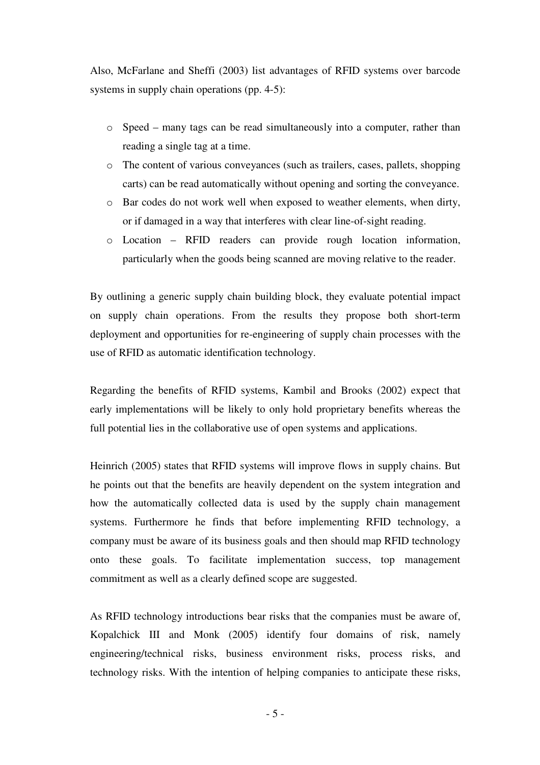Also, McFarlane and Sheffi (2003) list advantages of RFID systems over barcode systems in supply chain operations (pp. 4-5):

- o Speed many tags can be read simultaneously into a computer, rather than reading a single tag at a time.
- o The content of various conveyances (such as trailers, cases, pallets, shopping carts) can be read automatically without opening and sorting the conveyance.
- o Bar codes do not work well when exposed to weather elements, when dirty, or if damaged in a way that interferes with clear line-of-sight reading.
- o Location RFID readers can provide rough location information, particularly when the goods being scanned are moving relative to the reader.

By outlining a generic supply chain building block, they evaluate potential impact on supply chain operations. From the results they propose both short-term deployment and opportunities for re-engineering of supply chain processes with the use of RFID as automatic identification technology.

Regarding the benefits of RFID systems, Kambil and Brooks (2002) expect that early implementations will be likely to only hold proprietary benefits whereas the full potential lies in the collaborative use of open systems and applications.

Heinrich (2005) states that RFID systems will improve flows in supply chains. But he points out that the benefits are heavily dependent on the system integration and how the automatically collected data is used by the supply chain management systems. Furthermore he finds that before implementing RFID technology, a company must be aware of its business goals and then should map RFID technology onto these goals. To facilitate implementation success, top management commitment as well as a clearly defined scope are suggested.

As RFID technology introductions bear risks that the companies must be aware of, Kopalchick III and Monk (2005) identify four domains of risk, namely engineering/technical risks, business environment risks, process risks, and technology risks. With the intention of helping companies to anticipate these risks,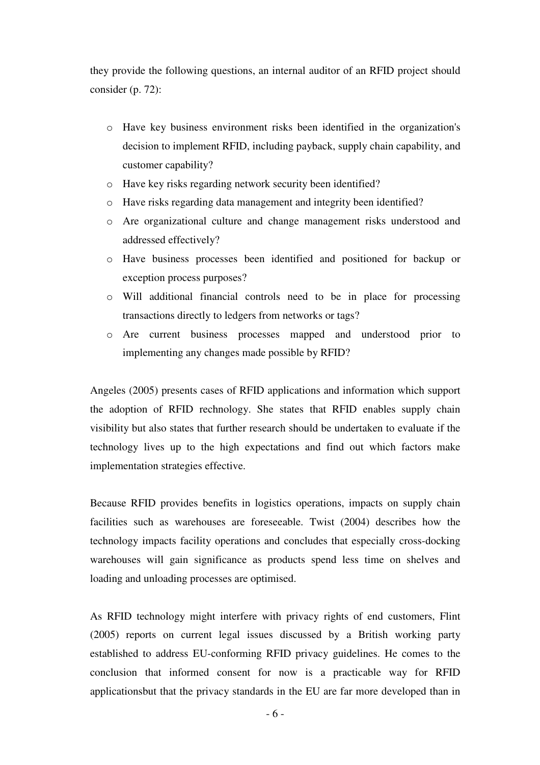they provide the following questions, an internal auditor of an RFID project should consider (p. 72):

- o Have key business environment risks been identified in the organization's decision to implement RFID, including payback, supply chain capability, and customer capability?
- o Have key risks regarding network security been identified?
- o Have risks regarding data management and integrity been identified?
- o Are organizational culture and change management risks understood and addressed effectively?
- o Have business processes been identified and positioned for backup or exception process purposes?
- o Will additional financial controls need to be in place for processing transactions directly to ledgers from networks or tags?
- o Are current business processes mapped and understood prior to implementing any changes made possible by RFID?

Angeles (2005) presents cases of RFID applications and information which support the adoption of RFID rechnology. She states that RFID enables supply chain visibility but also states that further research should be undertaken to evaluate if the technology lives up to the high expectations and find out which factors make implementation strategies effective.

Because RFID provides benefits in logistics operations, impacts on supply chain facilities such as warehouses are foreseeable. Twist (2004) describes how the technology impacts facility operations and concludes that especially cross-docking warehouses will gain significance as products spend less time on shelves and loading and unloading processes are optimised.

As RFID technology might interfere with privacy rights of end customers, Flint (2005) reports on current legal issues discussed by a British working party established to address EU-conforming RFID privacy guidelines. He comes to the conclusion that informed consent for now is a practicable way for RFID applicationsbut that the privacy standards in the EU are far more developed than in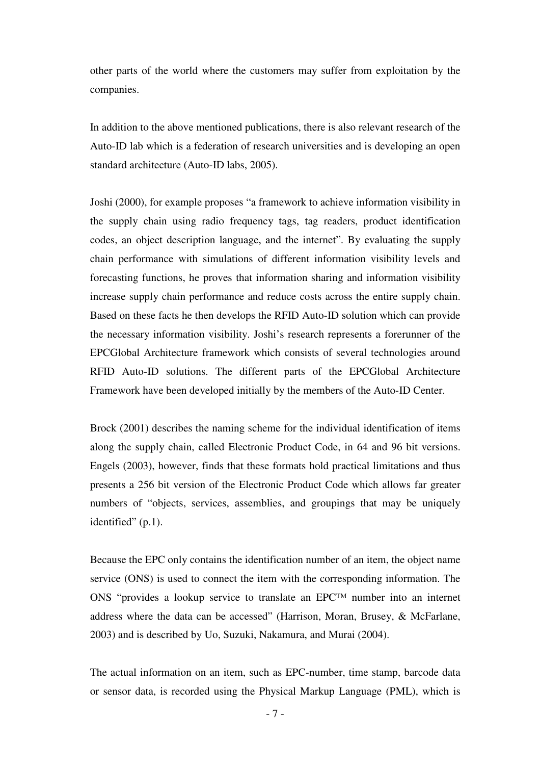other parts of the world where the customers may suffer from exploitation by the companies.

In addition to the above mentioned publications, there is also relevant research of the Auto-ID lab which is a federation of research universities and is developing an open standard architecture (Auto-ID labs, 2005).

Joshi (2000), for example proposes "a framework to achieve information visibility in the supply chain using radio frequency tags, tag readers, product identification codes, an object description language, and the internet". By evaluating the supply chain performance with simulations of different information visibility levels and forecasting functions, he proves that information sharing and information visibility increase supply chain performance and reduce costs across the entire supply chain. Based on these facts he then develops the RFID Auto-ID solution which can provide the necessary information visibility. Joshi's research represents a forerunner of the EPCGlobal Architecture framework which consists of several technologies around RFID Auto-ID solutions. The different parts of the EPCGlobal Architecture Framework have been developed initially by the members of the Auto-ID Center.

Brock (2001) describes the naming scheme for the individual identification of items along the supply chain, called Electronic Product Code, in 64 and 96 bit versions. Engels (2003), however, finds that these formats hold practical limitations and thus presents a 256 bit version of the Electronic Product Code which allows far greater numbers of "objects, services, assemblies, and groupings that may be uniquely identified" (p.1).

Because the EPC only contains the identification number of an item, the object name service (ONS) is used to connect the item with the corresponding information. The ONS "provides a lookup service to translate an EPC™ number into an internet address where the data can be accessed" (Harrison, Moran, Brusey, & McFarlane, 2003) and is described by Uo, Suzuki, Nakamura, and Murai (2004).

The actual information on an item, such as EPC-number, time stamp, barcode data or sensor data, is recorded using the Physical Markup Language (PML), which is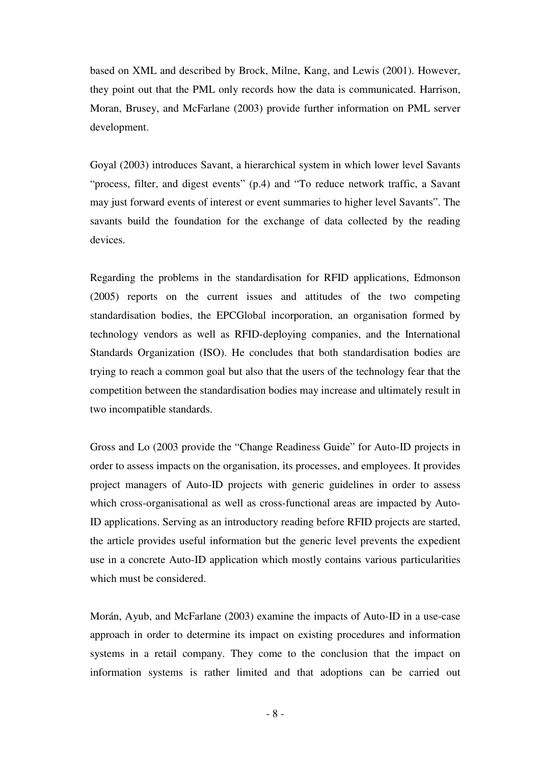based on XML and described by Brock, Milne, Kang, and Lewis (2001). However, they point out that the PML only records how the data is communicated. Harrison, Moran, Brusey, and McFarlane (2003) provide further information on PML server development.

Goyal (2003) introduces Savant, a hierarchical system in which lower level Savants "process, filter, and digest events" (p.4) and "To reduce network traffic, a Savant may just forward events of interest or event summaries to higher level Savants". The savants build the foundation for the exchange of data collected by the reading devices.

Regarding the problems in the standardisation for RFID applications, Edmonson (2005) reports on the current issues and attitudes of the two competing standardisation bodies, the EPCGlobal incorporation, an organisation formed by technology vendors as well as RFID-deploying companies, and the International Standards Organization (ISO). He concludes that both standardisation bodies are trying to reach a common goal but also that the users of the technology fear that the competition between the standardisation bodies may increase and ultimately result in two incompatible standards.

Gross and Lo (2003 provide the "Change Readiness Guide" for Auto-ID projects in order to assess impacts on the organisation, its processes, and employees. It provides project managers of Auto-ID projects with generic guidelines in order to assess which cross-organisational as well as cross-functional areas are impacted by Auto-ID applications. Serving as an introductory reading before RFID projects are started, the article provides useful information but the generic level prevents the expedient use in a concrete Auto-ID application which mostly contains various particularities which must be considered.

Morán, Ayub, and McFarlane (2003) examine the impacts of Auto-ID in a use-case approach in order to determine its impact on existing procedures and information systems in a retail company. They come to the conclusion that the impact on information systems is rather limited and that adoptions can be carried out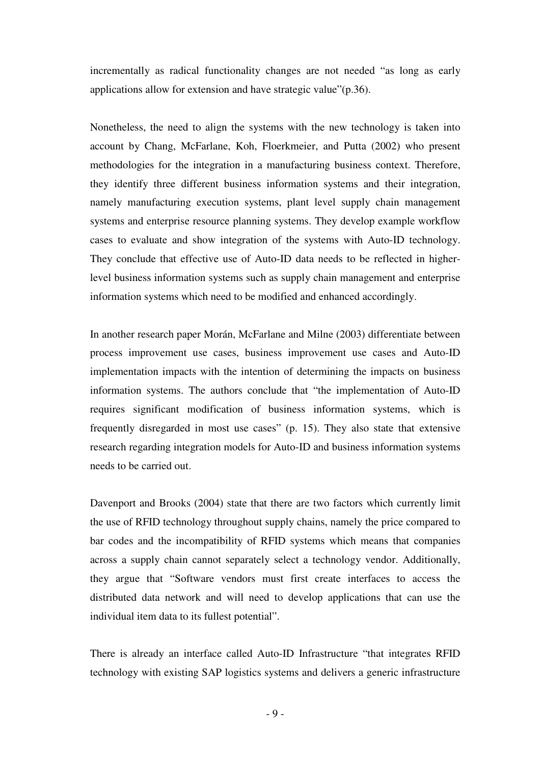incrementally as radical functionality changes are not needed "as long as early applications allow for extension and have strategic value"(p.36).

Nonetheless, the need to align the systems with the new technology is taken into account by Chang, McFarlane, Koh, Floerkmeier, and Putta (2002) who present methodologies for the integration in a manufacturing business context. Therefore, they identify three different business information systems and their integration, namely manufacturing execution systems, plant level supply chain management systems and enterprise resource planning systems. They develop example workflow cases to evaluate and show integration of the systems with Auto-ID technology. They conclude that effective use of Auto-ID data needs to be reflected in higherlevel business information systems such as supply chain management and enterprise information systems which need to be modified and enhanced accordingly.

In another research paper Morán, McFarlane and Milne (2003) differentiate between process improvement use cases, business improvement use cases and Auto-ID implementation impacts with the intention of determining the impacts on business information systems. The authors conclude that "the implementation of Auto-ID requires significant modification of business information systems, which is frequently disregarded in most use cases" (p. 15). They also state that extensive research regarding integration models for Auto-ID and business information systems needs to be carried out.

Davenport and Brooks (2004) state that there are two factors which currently limit the use of RFID technology throughout supply chains, namely the price compared to bar codes and the incompatibility of RFID systems which means that companies across a supply chain cannot separately select a technology vendor. Additionally, they argue that "Software vendors must first create interfaces to access the distributed data network and will need to develop applications that can use the individual item data to its fullest potential".

There is already an interface called Auto-ID Infrastructure "that integrates RFID technology with existing SAP logistics systems and delivers a generic infrastructure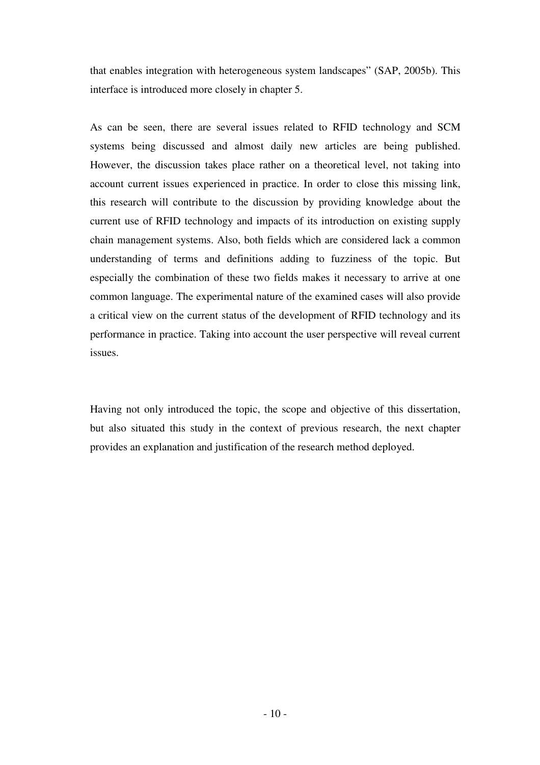that enables integration with heterogeneous system landscapes" (SAP, 2005b). This interface is introduced more closely in chapter 5.

As can be seen, there are several issues related to RFID technology and SCM systems being discussed and almost daily new articles are being published. However, the discussion takes place rather on a theoretical level, not taking into account current issues experienced in practice. In order to close this missing link, this research will contribute to the discussion by providing knowledge about the current use of RFID technology and impacts of its introduction on existing supply chain management systems. Also, both fields which are considered lack a common understanding of terms and definitions adding to fuzziness of the topic. But especially the combination of these two fields makes it necessary to arrive at one common language. The experimental nature of the examined cases will also provide a critical view on the current status of the development of RFID technology and its performance in practice. Taking into account the user perspective will reveal current issues.

Having not only introduced the topic, the scope and objective of this dissertation, but also situated this study in the context of previous research, the next chapter provides an explanation and justification of the research method deployed.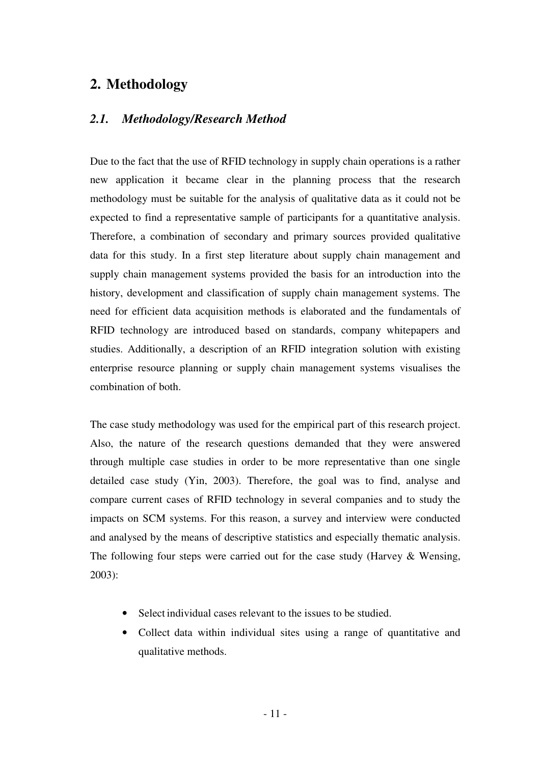# **2. Methodology**

## *2.1. Methodology/Research Method*

Due to the fact that the use of RFID technology in supply chain operations is a rather new application it became clear in the planning process that the research methodology must be suitable for the analysis of qualitative data as it could not be expected to find a representative sample of participants for a quantitative analysis. Therefore, a combination of secondary and primary sources provided qualitative data for this study. In a first step literature about supply chain management and supply chain management systems provided the basis for an introduction into the history, development and classification of supply chain management systems. The need for efficient data acquisition methods is elaborated and the fundamentals of RFID technology are introduced based on standards, company whitepapers and studies. Additionally, a description of an RFID integration solution with existing enterprise resource planning or supply chain management systems visualises the combination of both.

The case study methodology was used for the empirical part of this research project. Also, the nature of the research questions demanded that they were answered through multiple case studies in order to be more representative than one single detailed case study (Yin, 2003). Therefore, the goal was to find, analyse and compare current cases of RFID technology in several companies and to study the impacts on SCM systems. For this reason, a survey and interview were conducted and analysed by the means of descriptive statistics and especially thematic analysis. The following four steps were carried out for the case study (Harvey & Wensing, 2003):

- Select individual cases relevant to the issues to be studied.
- Collect data within individual sites using a range of quantitative and qualitative methods.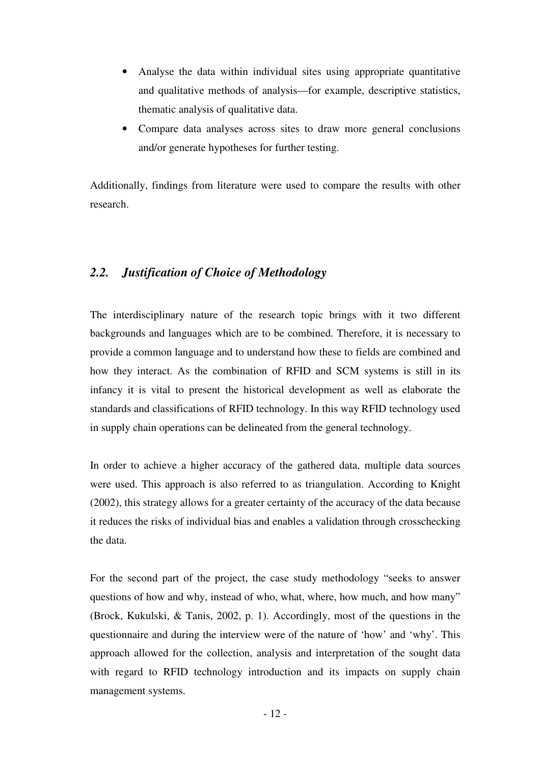- Analyse the data within individual sites using appropriate quantitative and qualitative methods of analysis—for example, descriptive statistics, thematic analysis of qualitative data.
- Compare data analyses across sites to draw more general conclusions and/or generate hypotheses for further testing.

Additionally, findings from literature were used to compare the results with other research.

## *2.2. Justification of Choice of Methodology*

The interdisciplinary nature of the research topic brings with it two different backgrounds and languages which are to be combined. Therefore, it is necessary to provide a common language and to understand how these to fields are combined and how they interact. As the combination of RFID and SCM systems is still in its infancy it is vital to present the historical development as well as elaborate the standards and classifications of RFID technology. In this way RFID technology used in supply chain operations can be delineated from the general technology.

In order to achieve a higher accuracy of the gathered data, multiple data sources were used. This approach is also referred to as triangulation. According to Knight (2002), this strategy allows for a greater certainty of the accuracy of the data because it reduces the risks of individual bias and enables a validation through crosschecking the data.

For the second part of the project, the case study methodology "seeks to answer questions of how and why, instead of who, what, where, how much, and how many" (Brock, Kukulski, & Tanis, 2002, p. 1). Accordingly, most of the questions in the questionnaire and during the interview were of the nature of 'how' and 'why'. This approach allowed for the collection, analysis and interpretation of the sought data with regard to RFID technology introduction and its impacts on supply chain management systems.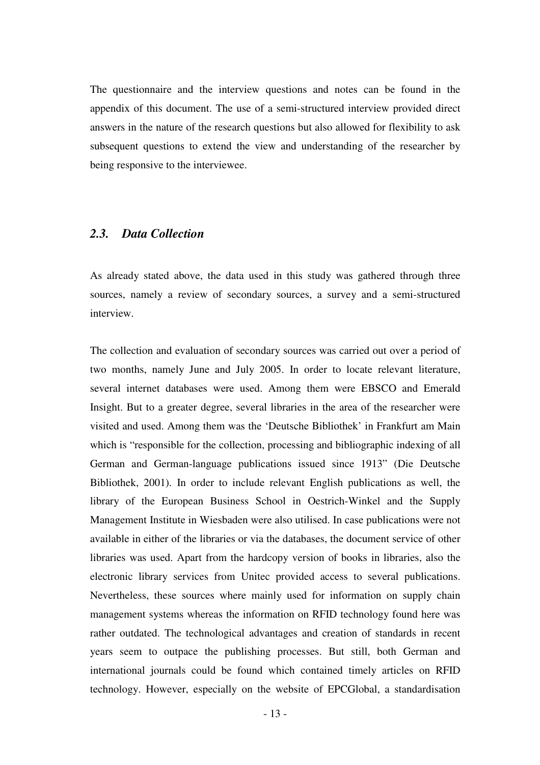The questionnaire and the interview questions and notes can be found in the appendix of this document. The use of a semi-structured interview provided direct answers in the nature of the research questions but also allowed for flexibility to ask subsequent questions to extend the view and understanding of the researcher by being responsive to the interviewee.

### *2.3. Data Collection*

As already stated above, the data used in this study was gathered through three sources, namely a review of secondary sources, a survey and a semi-structured interview.

The collection and evaluation of secondary sources was carried out over a period of two months, namely June and July 2005. In order to locate relevant literature, several internet databases were used. Among them were EBSCO and Emerald Insight. But to a greater degree, several libraries in the area of the researcher were visited and used. Among them was the 'Deutsche Bibliothek' in Frankfurt am Main which is "responsible for the collection, processing and bibliographic indexing of all German and German-language publications issued since 1913" (Die Deutsche Bibliothek, 2001). In order to include relevant English publications as well, the library of the European Business School in Oestrich-Winkel and the Supply Management Institute in Wiesbaden were also utilised. In case publications were not available in either of the libraries or via the databases, the document service of other libraries was used. Apart from the hardcopy version of books in libraries, also the electronic library services from Unitec provided access to several publications. Nevertheless, these sources where mainly used for information on supply chain management systems whereas the information on RFID technology found here was rather outdated. The technological advantages and creation of standards in recent years seem to outpace the publishing processes. But still, both German and international journals could be found which contained timely articles on RFID technology. However, especially on the website of EPCGlobal, a standardisation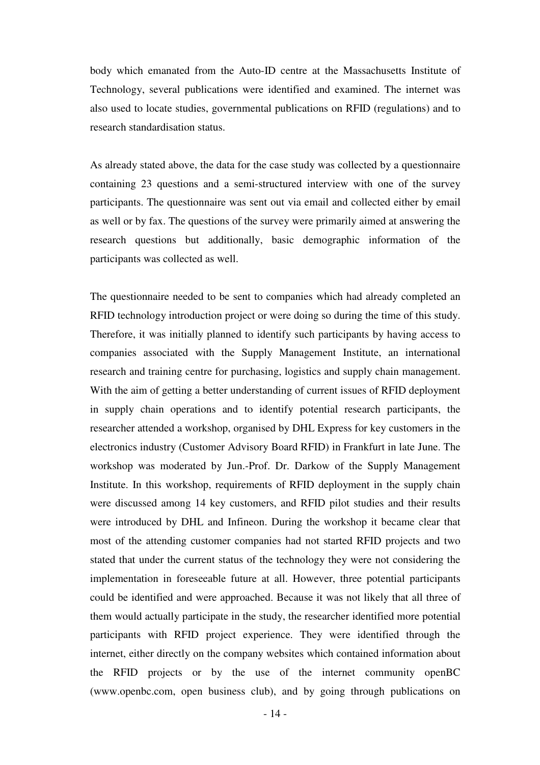body which emanated from the Auto-ID centre at the Massachusetts Institute of Technology, several publications were identified and examined. The internet was also used to locate studies, governmental publications on RFID (regulations) and to research standardisation status.

As already stated above, the data for the case study was collected by a questionnaire containing 23 questions and a semi-structured interview with one of the survey participants. The questionnaire was sent out via email and collected either by email as well or by fax. The questions of the survey were primarily aimed at answering the research questions but additionally, basic demographic information of the participants was collected as well.

The questionnaire needed to be sent to companies which had already completed an RFID technology introduction project or were doing so during the time of this study. Therefore, it was initially planned to identify such participants by having access to companies associated with the Supply Management Institute, an international research and training centre for purchasing, logistics and supply chain management. With the aim of getting a better understanding of current issues of RFID deployment in supply chain operations and to identify potential research participants, the researcher attended a workshop, organised by DHL Express for key customers in the electronics industry (Customer Advisory Board RFID) in Frankfurt in late June. The workshop was moderated by Jun.-Prof. Dr. Darkow of the Supply Management Institute. In this workshop, requirements of RFID deployment in the supply chain were discussed among 14 key customers, and RFID pilot studies and their results were introduced by DHL and Infineon. During the workshop it became clear that most of the attending customer companies had not started RFID projects and two stated that under the current status of the technology they were not considering the implementation in foreseeable future at all. However, three potential participants could be identified and were approached. Because it was not likely that all three of them would actually participate in the study, the researcher identified more potential participants with RFID project experience. They were identified through the internet, either directly on the company websites which contained information about the RFID projects or by the use of the internet community openBC (www.openbc.com, open business club), and by going through publications on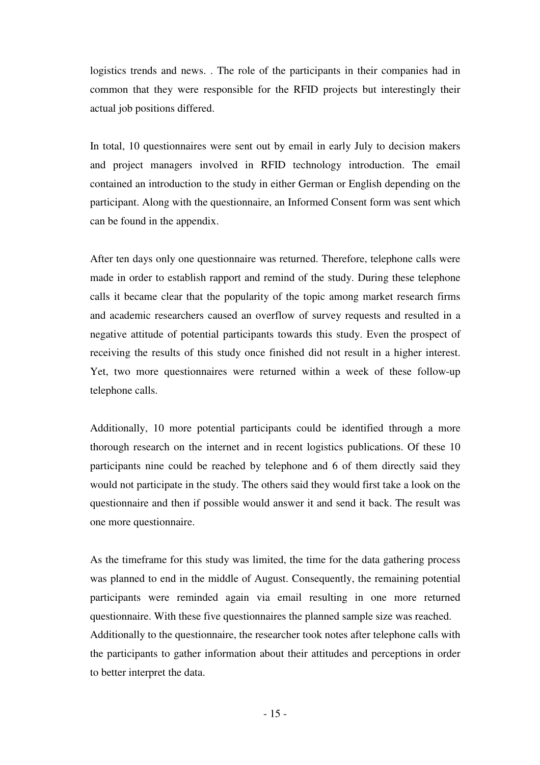logistics trends and news. . The role of the participants in their companies had in common that they were responsible for the RFID projects but interestingly their actual job positions differed.

In total, 10 questionnaires were sent out by email in early July to decision makers and project managers involved in RFID technology introduction. The email contained an introduction to the study in either German or English depending on the participant. Along with the questionnaire, an Informed Consent form was sent which can be found in the appendix.

After ten days only one questionnaire was returned. Therefore, telephone calls were made in order to establish rapport and remind of the study. During these telephone calls it became clear that the popularity of the topic among market research firms and academic researchers caused an overflow of survey requests and resulted in a negative attitude of potential participants towards this study. Even the prospect of receiving the results of this study once finished did not result in a higher interest. Yet, two more questionnaires were returned within a week of these follow-up telephone calls.

Additionally, 10 more potential participants could be identified through a more thorough research on the internet and in recent logistics publications. Of these 10 participants nine could be reached by telephone and 6 of them directly said they would not participate in the study. The others said they would first take a look on the questionnaire and then if possible would answer it and send it back. The result was one more questionnaire.

As the timeframe for this study was limited, the time for the data gathering process was planned to end in the middle of August. Consequently, the remaining potential participants were reminded again via email resulting in one more returned questionnaire. With these five questionnaires the planned sample size was reached. Additionally to the questionnaire, the researcher took notes after telephone calls with the participants to gather information about their attitudes and perceptions in order to better interpret the data.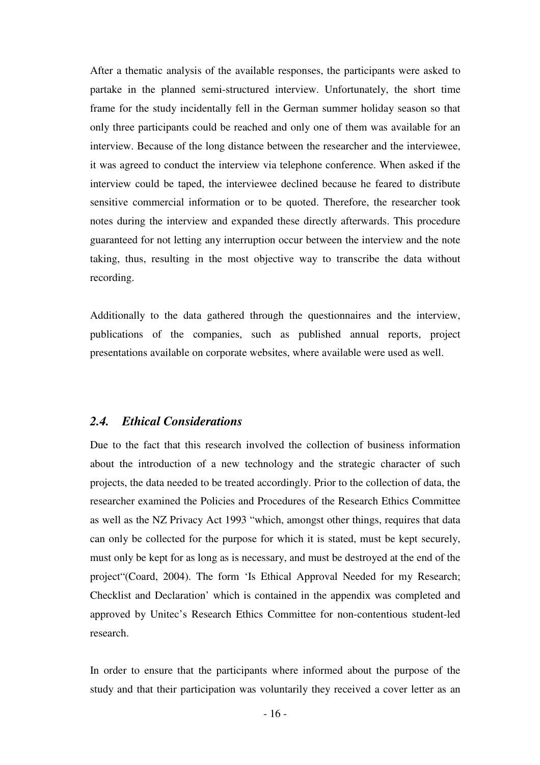After a thematic analysis of the available responses, the participants were asked to partake in the planned semi-structured interview. Unfortunately, the short time frame for the study incidentally fell in the German summer holiday season so that only three participants could be reached and only one of them was available for an interview. Because of the long distance between the researcher and the interviewee, it was agreed to conduct the interview via telephone conference. When asked if the interview could be taped, the interviewee declined because he feared to distribute sensitive commercial information or to be quoted. Therefore, the researcher took notes during the interview and expanded these directly afterwards. This procedure guaranteed for not letting any interruption occur between the interview and the note taking, thus, resulting in the most objective way to transcribe the data without recording.

Additionally to the data gathered through the questionnaires and the interview, publications of the companies, such as published annual reports, project presentations available on corporate websites, where available were used as well.

#### *2.4. Ethical Considerations*

Due to the fact that this research involved the collection of business information about the introduction of a new technology and the strategic character of such projects, the data needed to be treated accordingly. Prior to the collection of data, the researcher examined the Policies and Procedures of the Research Ethics Committee as well as the NZ Privacy Act 1993 "which, amongst other things, requires that data can only be collected for the purpose for which it is stated, must be kept securely, must only be kept for as long as is necessary, and must be destroyed at the end of the project"(Coard, 2004). The form 'Is Ethical Approval Needed for my Research; Checklist and Declaration' which is contained in the appendix was completed and approved by Unitec's Research Ethics Committee for non-contentious student-led research.

In order to ensure that the participants where informed about the purpose of the study and that their participation was voluntarily they received a cover letter as an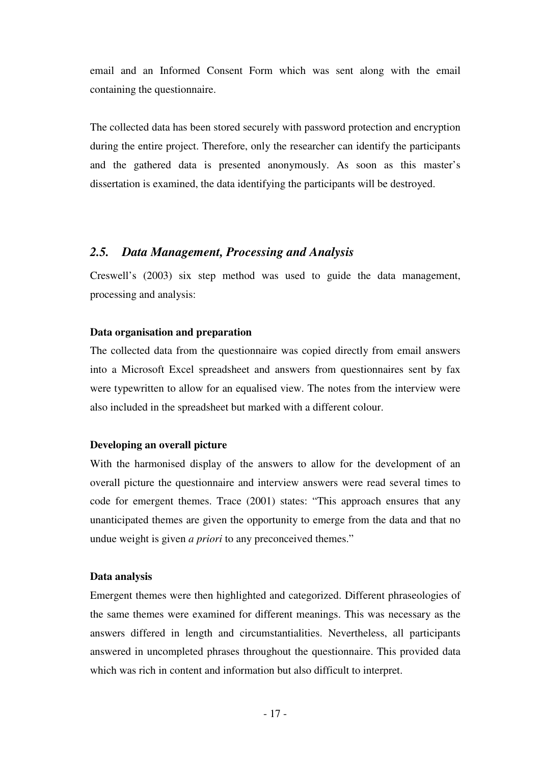email and an Informed Consent Form which was sent along with the email containing the questionnaire.

The collected data has been stored securely with password protection and encryption during the entire project. Therefore, only the researcher can identify the participants and the gathered data is presented anonymously. As soon as this master's dissertation is examined, the data identifying the participants will be destroyed.

## *2.5. Data Management, Processing and Analysis*

Creswell's (2003) six step method was used to guide the data management, processing and analysis:

#### **Data organisation and preparation**

The collected data from the questionnaire was copied directly from email answers into a Microsoft Excel spreadsheet and answers from questionnaires sent by fax were typewritten to allow for an equalised view. The notes from the interview were also included in the spreadsheet but marked with a different colour.

## **Developing an overall picture**

With the harmonised display of the answers to allow for the development of an overall picture the questionnaire and interview answers were read several times to code for emergent themes. Trace (2001) states: "This approach ensures that any unanticipated themes are given the opportunity to emerge from the data and that no undue weight is given *a priori* to any preconceived themes."

#### **Data analysis**

Emergent themes were then highlighted and categorized. Different phraseologies of the same themes were examined for different meanings. This was necessary as the answers differed in length and circumstantialities. Nevertheless, all participants answered in uncompleted phrases throughout the questionnaire. This provided data which was rich in content and information but also difficult to interpret.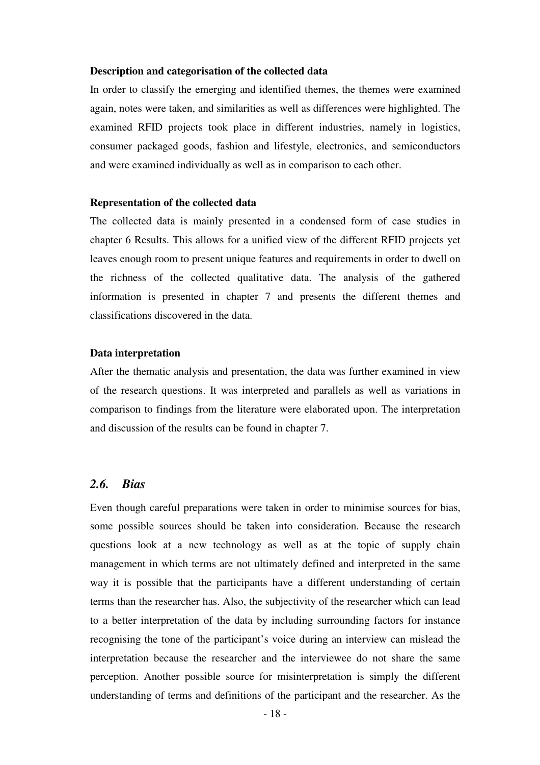#### **Description and categorisation of the collected data**

In order to classify the emerging and identified themes, the themes were examined again, notes were taken, and similarities as well as differences were highlighted. The examined RFID projects took place in different industries, namely in logistics, consumer packaged goods, fashion and lifestyle, electronics, and semiconductors and were examined individually as well as in comparison to each other.

#### **Representation of the collected data**

The collected data is mainly presented in a condensed form of case studies in chapter 6 Results. This allows for a unified view of the different RFID projects yet leaves enough room to present unique features and requirements in order to dwell on the richness of the collected qualitative data. The analysis of the gathered information is presented in chapter 7 and presents the different themes and classifications discovered in the data.

#### **Data interpretation**

After the thematic analysis and presentation, the data was further examined in view of the research questions. It was interpreted and parallels as well as variations in comparison to findings from the literature were elaborated upon. The interpretation and discussion of the results can be found in chapter 7.

## *2.6. Bias*

Even though careful preparations were taken in order to minimise sources for bias, some possible sources should be taken into consideration. Because the research questions look at a new technology as well as at the topic of supply chain management in which terms are not ultimately defined and interpreted in the same way it is possible that the participants have a different understanding of certain terms than the researcher has. Also, the subjectivity of the researcher which can lead to a better interpretation of the data by including surrounding factors for instance recognising the tone of the participant's voice during an interview can mislead the interpretation because the researcher and the interviewee do not share the same perception. Another possible source for misinterpretation is simply the different understanding of terms and definitions of the participant and the researcher. As the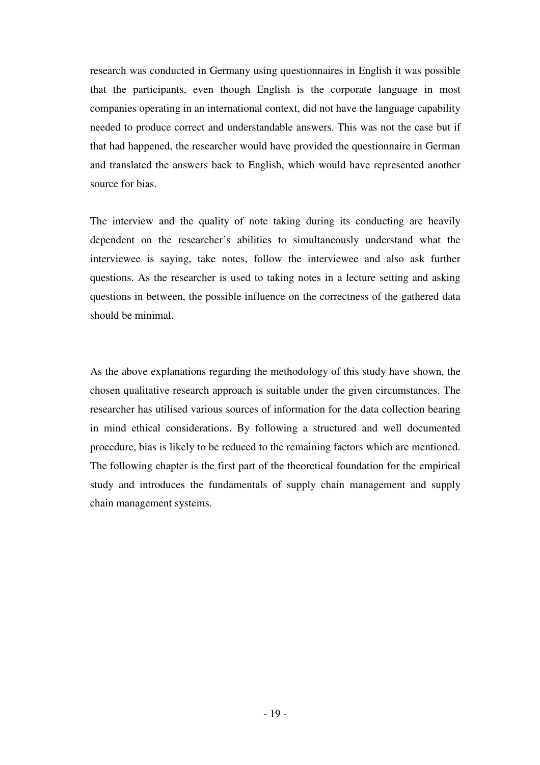research was conducted in Germany using questionnaires in English it was possible that the participants, even though English is the corporate language in most companies operating in an international context, did not have the language capability needed to produce correct and understandable answers. This was not the case but if that had happened, the researcher would have provided the questionnaire in German and translated the answers back to English, which would have represented another source for bias.

The interview and the quality of note taking during its conducting are heavily dependent on the researcher's abilities to simultaneously understand what the interviewee is saying, take notes, follow the interviewee and also ask further questions. As the researcher is used to taking notes in a lecture setting and asking questions in between, the possible influence on the correctness of the gathered data should be minimal.

As the above explanations regarding the methodology of this study have shown, the chosen qualitative research approach is suitable under the given circumstances. The researcher has utilised various sources of information for the data collection bearing in mind ethical considerations. By following a structured and well documented procedure, bias is likely to be reduced to the remaining factors which are mentioned. The following chapter is the first part of the theoretical foundation for the empirical study and introduces the fundamentals of supply chain management and supply chain management systems.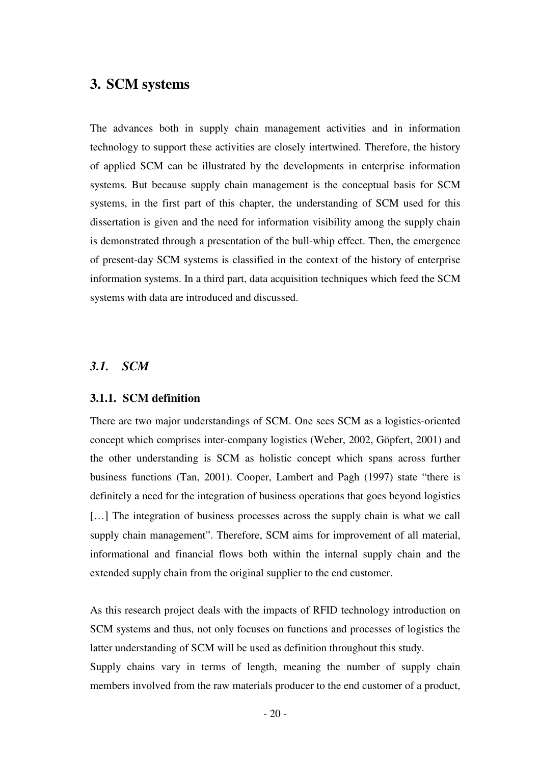# **3. SCM systems**

The advances both in supply chain management activities and in information technology to support these activities are closely intertwined. Therefore, the history of applied SCM can be illustrated by the developments in enterprise information systems. But because supply chain management is the conceptual basis for SCM systems, in the first part of this chapter, the understanding of SCM used for this dissertation is given and the need for information visibility among the supply chain is demonstrated through a presentation of the bull-whip effect. Then, the emergence of present-day SCM systems is classified in the context of the history of enterprise information systems. In a third part, data acquisition techniques which feed the SCM systems with data are introduced and discussed.

## *3.1. SCM*

#### **3.1.1. SCM definition**

There are two major understandings of SCM. One sees SCM as a logistics-oriented concept which comprises inter-company logistics (Weber, 2002, Göpfert, 2001) and the other understanding is SCM as holistic concept which spans across further business functions (Tan, 2001). Cooper, Lambert and Pagh (1997) state "there is definitely a need for the integration of business operations that goes beyond logistics [...] The integration of business processes across the supply chain is what we call supply chain management". Therefore, SCM aims for improvement of all material, informational and financial flows both within the internal supply chain and the extended supply chain from the original supplier to the end customer.

As this research project deals with the impacts of RFID technology introduction on SCM systems and thus, not only focuses on functions and processes of logistics the latter understanding of SCM will be used as definition throughout this study.

Supply chains vary in terms of length, meaning the number of supply chain members involved from the raw materials producer to the end customer of a product,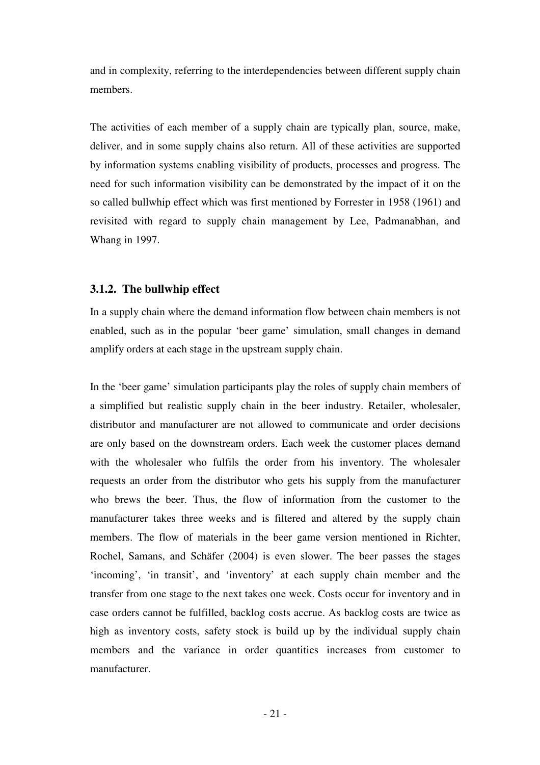and in complexity, referring to the interdependencies between different supply chain members.

The activities of each member of a supply chain are typically plan, source, make, deliver, and in some supply chains also return. All of these activities are supported by information systems enabling visibility of products, processes and progress. The need for such information visibility can be demonstrated by the impact of it on the so called bullwhip effect which was first mentioned by Forrester in 1958 (1961) and revisited with regard to supply chain management by Lee, Padmanabhan, and Whang in 1997.

#### **3.1.2. The bullwhip effect**

In a supply chain where the demand information flow between chain members is not enabled, such as in the popular 'beer game' simulation, small changes in demand amplify orders at each stage in the upstream supply chain.

In the 'beer game' simulation participants play the roles of supply chain members of a simplified but realistic supply chain in the beer industry. Retailer, wholesaler, distributor and manufacturer are not allowed to communicate and order decisions are only based on the downstream orders. Each week the customer places demand with the wholesaler who fulfils the order from his inventory. The wholesaler requests an order from the distributor who gets his supply from the manufacturer who brews the beer. Thus, the flow of information from the customer to the manufacturer takes three weeks and is filtered and altered by the supply chain members. The flow of materials in the beer game version mentioned in Richter, Rochel, Samans, and Schäfer (2004) is even slower. The beer passes the stages 'incoming', 'in transit', and 'inventory' at each supply chain member and the transfer from one stage to the next takes one week. Costs occur for inventory and in case orders cannot be fulfilled, backlog costs accrue. As backlog costs are twice as high as inventory costs, safety stock is build up by the individual supply chain members and the variance in order quantities increases from customer to manufacturer.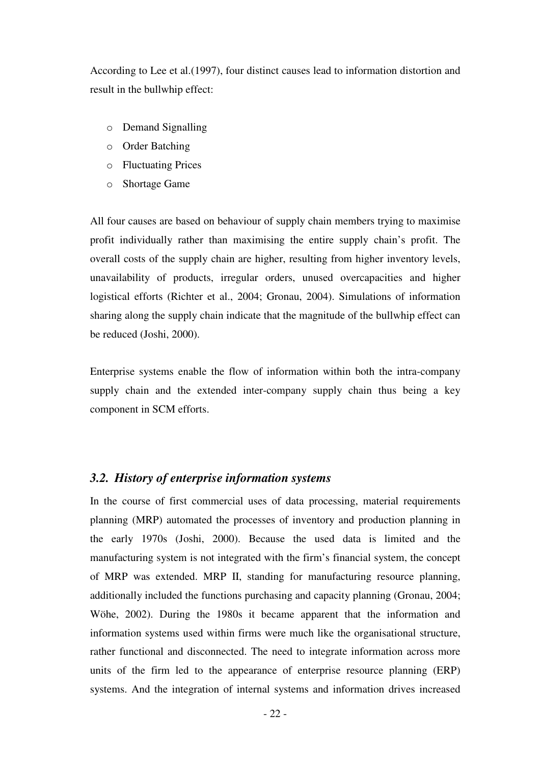According to Lee et al.(1997), four distinct causes lead to information distortion and result in the bullwhip effect:

- o Demand Signalling
- o Order Batching
- o Fluctuating Prices
- o Shortage Game

All four causes are based on behaviour of supply chain members trying to maximise profit individually rather than maximising the entire supply chain's profit. The overall costs of the supply chain are higher, resulting from higher inventory levels, unavailability of products, irregular orders, unused overcapacities and higher logistical efforts (Richter et al., 2004; Gronau, 2004). Simulations of information sharing along the supply chain indicate that the magnitude of the bullwhip effect can be reduced (Joshi, 2000).

Enterprise systems enable the flow of information within both the intra-company supply chain and the extended inter-company supply chain thus being a key component in SCM efforts.

## *3.2. History of enterprise information systems*

In the course of first commercial uses of data processing, material requirements planning (MRP) automated the processes of inventory and production planning in the early 1970s (Joshi, 2000). Because the used data is limited and the manufacturing system is not integrated with the firm's financial system, the concept of MRP was extended. MRP II, standing for manufacturing resource planning, additionally included the functions purchasing and capacity planning (Gronau, 2004; Wöhe, 2002). During the 1980s it became apparent that the information and information systems used within firms were much like the organisational structure, rather functional and disconnected. The need to integrate information across more units of the firm led to the appearance of enterprise resource planning (ERP) systems. And the integration of internal systems and information drives increased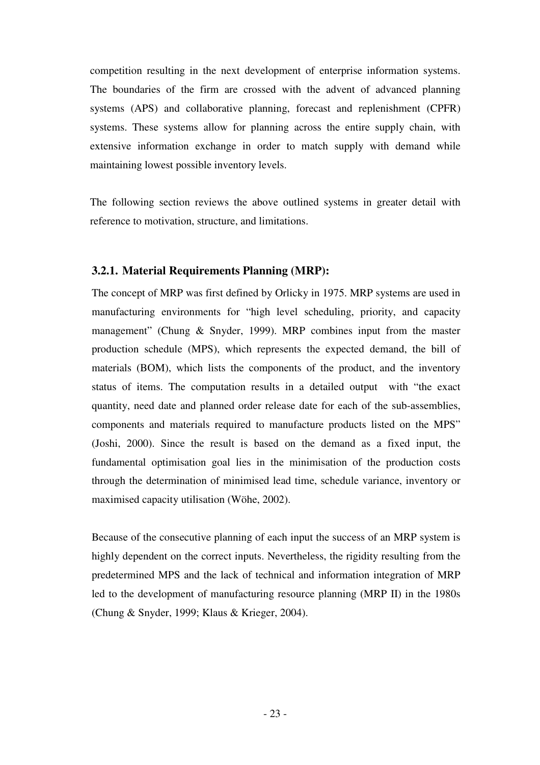competition resulting in the next development of enterprise information systems. The boundaries of the firm are crossed with the advent of advanced planning systems (APS) and collaborative planning, forecast and replenishment (CPFR) systems. These systems allow for planning across the entire supply chain, with extensive information exchange in order to match supply with demand while maintaining lowest possible inventory levels.

The following section reviews the above outlined systems in greater detail with reference to motivation, structure, and limitations.

## **3.2.1. Material Requirements Planning (MRP):**

The concept of MRP was first defined by Orlicky in 1975. MRP systems are used in manufacturing environments for "high level scheduling, priority, and capacity management" (Chung & Snyder, 1999). MRP combines input from the master production schedule (MPS), which represents the expected demand, the bill of materials (BOM), which lists the components of the product, and the inventory status of items. The computation results in a detailed output with "the exact quantity, need date and planned order release date for each of the sub-assemblies, components and materials required to manufacture products listed on the MPS" (Joshi, 2000). Since the result is based on the demand as a fixed input, the fundamental optimisation goal lies in the minimisation of the production costs through the determination of minimised lead time, schedule variance, inventory or maximised capacity utilisation (Wöhe, 2002).

Because of the consecutive planning of each input the success of an MRP system is highly dependent on the correct inputs. Nevertheless, the rigidity resulting from the predetermined MPS and the lack of technical and information integration of MRP led to the development of manufacturing resource planning (MRP II) in the 1980s (Chung & Snyder, 1999; Klaus & Krieger, 2004).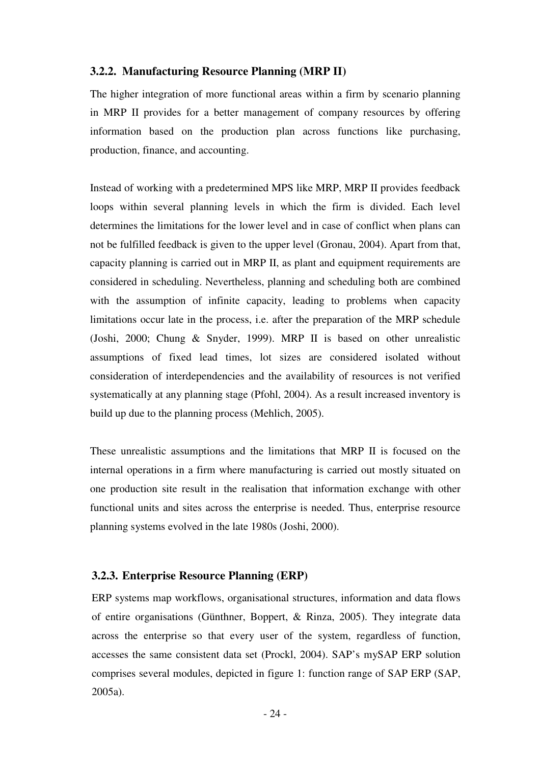#### **3.2.2. Manufacturing Resource Planning (MRP II)**

The higher integration of more functional areas within a firm by scenario planning in MRP II provides for a better management of company resources by offering information based on the production plan across functions like purchasing, production, finance, and accounting.

Instead of working with a predetermined MPS like MRP, MRP II provides feedback loops within several planning levels in which the firm is divided. Each level determines the limitations for the lower level and in case of conflict when plans can not be fulfilled feedback is given to the upper level (Gronau, 2004). Apart from that, capacity planning is carried out in MRP II, as plant and equipment requirements are considered in scheduling. Nevertheless, planning and scheduling both are combined with the assumption of infinite capacity, leading to problems when capacity limitations occur late in the process, i.e. after the preparation of the MRP schedule (Joshi, 2000; Chung & Snyder, 1999). MRP II is based on other unrealistic assumptions of fixed lead times, lot sizes are considered isolated without consideration of interdependencies and the availability of resources is not verified systematically at any planning stage (Pfohl, 2004). As a result increased inventory is build up due to the planning process (Mehlich, 2005).

These unrealistic assumptions and the limitations that MRP II is focused on the internal operations in a firm where manufacturing is carried out mostly situated on one production site result in the realisation that information exchange with other functional units and sites across the enterprise is needed. Thus, enterprise resource planning systems evolved in the late 1980s (Joshi, 2000).

#### **3.2.3. Enterprise Resource Planning (ERP)**

ERP systems map workflows, organisational structures, information and data flows of entire organisations (Günthner, Boppert, & Rinza, 2005). They integrate data across the enterprise so that every user of the system, regardless of function, accesses the same consistent data set (Prockl, 2004). SAP's mySAP ERP solution comprises several modules, depicted in figure 1: function range of SAP ERP (SAP, 2005a).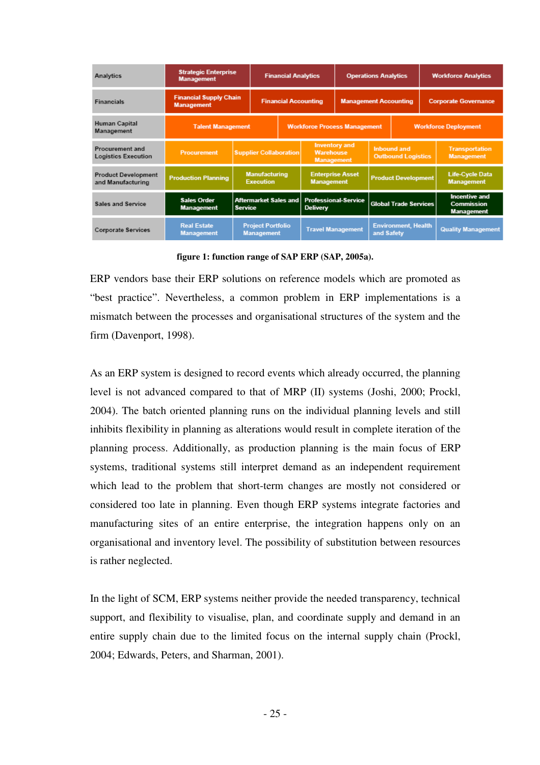| Analytics                                               | <b>Strategic Enterprise</b><br><b>Management</b>   |                               | <b>Financial Analytics</b>                    |                             |                                                               | <b>Operations Analytics</b>  |                                                 |  | <b>Workforce Analytics</b>  |                                                         |
|---------------------------------------------------------|----------------------------------------------------|-------------------------------|-----------------------------------------------|-----------------------------|---------------------------------------------------------------|------------------------------|-------------------------------------------------|--|-----------------------------|---------------------------------------------------------|
| <b>Financials</b>                                       | <b>Financial Supply Chain</b><br><b>Management</b> |                               |                                               | <b>Financial Accounting</b> |                                                               | <b>Management Accounting</b> |                                                 |  | <b>Corporate Governance</b> |                                                         |
| Human Capital<br><b>Talent Management</b><br>Management |                                                    |                               |                                               |                             | <b>Workforce Process Management</b>                           |                              |                                                 |  | <b>Workforce Deployment</b> |                                                         |
| Procurement and<br><b>Logistics Execution</b>           | <b>Procurement</b>                                 | <b>Supplier Collaboration</b> |                                               |                             | <b>Inventory and</b><br><b>Warehouse</b><br><b>Management</b> |                              | <b>Inbound and</b><br><b>Outbound Logistics</b> |  |                             | <b>Transportation</b><br><b>Management</b>              |
| <b>Product Development</b><br>and Manufacturing         | <b>Production Planning</b>                         |                               | <b>Manufacturing</b><br><b>Execution</b>      |                             | <b>Enterprise Asset</b><br><b>Management</b>                  |                              | <b>Product Development</b>                      |  |                             | <b>Life-Cycle Data</b><br><b>Management</b>             |
| <b>Sales and Service</b>                                | <b>Sales Order</b><br><b>Management</b>            | <b>Service</b>                | <b>Aftermarket Sales and</b>                  |                             | <b>Professional-Service</b><br><b>Delivery</b>                |                              | <b>Global Trade Services</b>                    |  |                             | <b>Incentive and</b><br>Commission<br><b>Management</b> |
| <b>Corporate Services</b>                               | <b>Real Estate</b><br><b>Management</b>            |                               | <b>Project Portfolio</b><br><b>Management</b> |                             | <b>Travel Management</b>                                      |                              | <b>Environment, Health</b><br>and Safety        |  |                             | <b>Quality Management</b>                               |

**figure 1: function range of SAP ERP (SAP, 2005a).** 

ERP vendors base their ERP solutions on reference models which are promoted as "best practice". Nevertheless, a common problem in ERP implementations is a mismatch between the processes and organisational structures of the system and the firm (Davenport, 1998).

As an ERP system is designed to record events which already occurred, the planning level is not advanced compared to that of MRP (II) systems (Joshi, 2000; Prockl, 2004). The batch oriented planning runs on the individual planning levels and still inhibits flexibility in planning as alterations would result in complete iteration of the planning process. Additionally, as production planning is the main focus of ERP systems, traditional systems still interpret demand as an independent requirement which lead to the problem that short-term changes are mostly not considered or considered too late in planning. Even though ERP systems integrate factories and manufacturing sites of an entire enterprise, the integration happens only on an organisational and inventory level. The possibility of substitution between resources is rather neglected.

In the light of SCM, ERP systems neither provide the needed transparency, technical support, and flexibility to visualise, plan, and coordinate supply and demand in an entire supply chain due to the limited focus on the internal supply chain (Prockl, 2004; Edwards, Peters, and Sharman, 2001).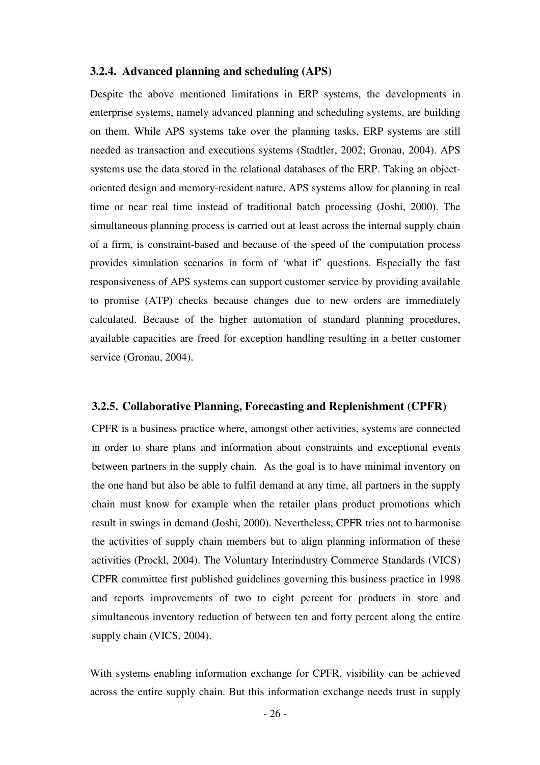#### **3.2.4. Advanced planning and scheduling (APS)**

Despite the above mentioned limitations in ERP systems, the developments in enterprise systems, namely advanced planning and scheduling systems, are building on them. While APS systems take over the planning tasks, ERP systems are still needed as transaction and executions systems (Stadtler, 2002; Gronau, 2004). APS systems use the data stored in the relational databases of the ERP. Taking an objectoriented design and memory-resident nature, APS systems allow for planning in real time or near real time instead of traditional batch processing (Joshi, 2000). The simultaneous planning process is carried out at least across the internal supply chain of a firm, is constraint-based and because of the speed of the computation process provides simulation scenarios in form of 'what if' questions. Especially the fast responsiveness of APS systems can support customer service by providing available to promise (ATP) checks because changes due to new orders are immediately calculated. Because of the higher automation of standard planning procedures, available capacities are freed for exception handling resulting in a better customer service (Gronau, 2004).

#### **3.2.5. Collaborative Planning, Forecasting and Replenishment (CPFR)**

CPFR is a business practice where, amongst other activities, systems are connected in order to share plans and information about constraints and exceptional events between partners in the supply chain. As the goal is to have minimal inventory on the one hand but also be able to fulfil demand at any time, all partners in the supply chain must know for example when the retailer plans product promotions which result in swings in demand (Joshi, 2000). Nevertheless, CPFR tries not to harmonise the activities of supply chain members but to align planning information of these activities (Prockl, 2004). The Voluntary Interindustry Commerce Standards (VICS) CPFR committee first published guidelines governing this business practice in 1998 and reports improvements of two to eight percent for products in store and simultaneous inventory reduction of between ten and forty percent along the entire supply chain (VICS, 2004).

With systems enabling information exchange for CPFR, visibility can be achieved across the entire supply chain. But this information exchange needs trust in supply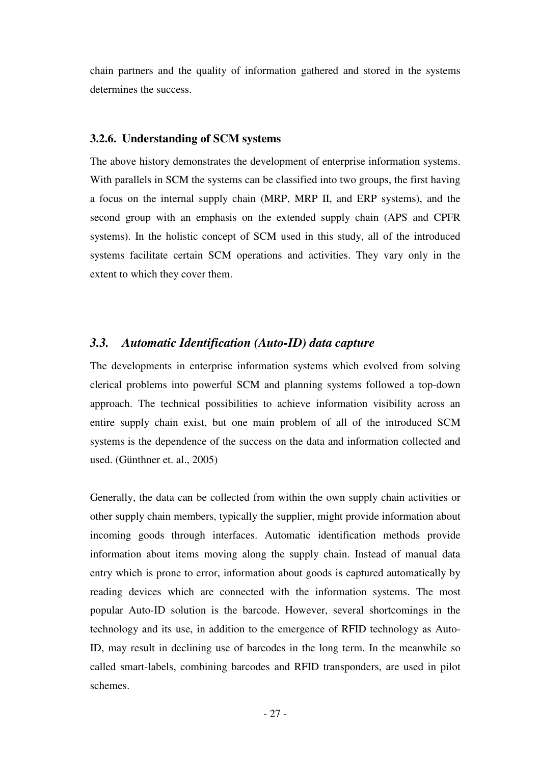chain partners and the quality of information gathered and stored in the systems determines the success.

#### **3.2.6. Understanding of SCM systems**

The above history demonstrates the development of enterprise information systems. With parallels in SCM the systems can be classified into two groups, the first having a focus on the internal supply chain (MRP, MRP II, and ERP systems), and the second group with an emphasis on the extended supply chain (APS and CPFR systems). In the holistic concept of SCM used in this study, all of the introduced systems facilitate certain SCM operations and activities. They vary only in the extent to which they cover them.

### *3.3. Automatic Identification (Auto-ID) data capture*

The developments in enterprise information systems which evolved from solving clerical problems into powerful SCM and planning systems followed a top-down approach. The technical possibilities to achieve information visibility across an entire supply chain exist, but one main problem of all of the introduced SCM systems is the dependence of the success on the data and information collected and used. (Günthner et. al., 2005)

Generally, the data can be collected from within the own supply chain activities or other supply chain members, typically the supplier, might provide information about incoming goods through interfaces. Automatic identification methods provide information about items moving along the supply chain. Instead of manual data entry which is prone to error, information about goods is captured automatically by reading devices which are connected with the information systems. The most popular Auto-ID solution is the barcode. However, several shortcomings in the technology and its use, in addition to the emergence of RFID technology as Auto-ID, may result in declining use of barcodes in the long term. In the meanwhile so called smart-labels, combining barcodes and RFID transponders, are used in pilot schemes.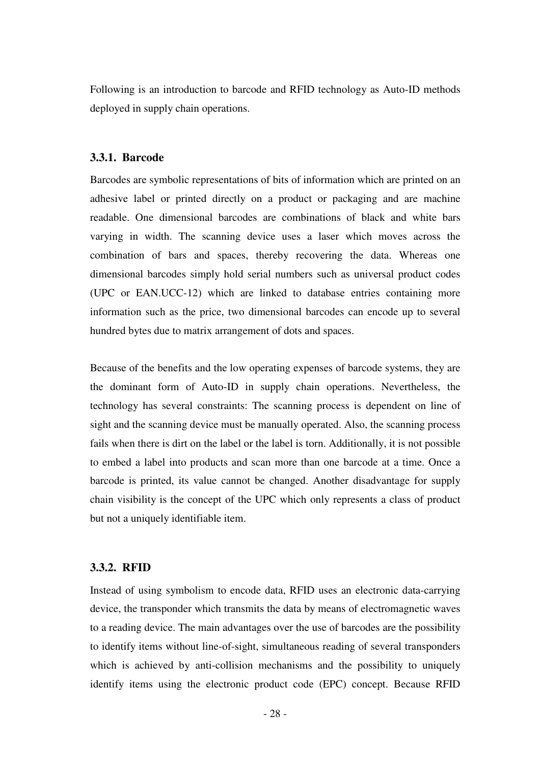Following is an introduction to barcode and RFID technology as Auto-ID methods deployed in supply chain operations.

#### **3.3.1. Barcode**

Barcodes are symbolic representations of bits of information which are printed on an adhesive label or printed directly on a product or packaging and are machine readable. One dimensional barcodes are combinations of black and white bars varying in width. The scanning device uses a laser which moves across the combination of bars and spaces, thereby recovering the data. Whereas one dimensional barcodes simply hold serial numbers such as universal product codes (UPC or EAN.UCC-12) which are linked to database entries containing more information such as the price, two dimensional barcodes can encode up to several hundred bytes due to matrix arrangement of dots and spaces.

Because of the benefits and the low operating expenses of barcode systems, they are the dominant form of Auto-ID in supply chain operations. Nevertheless, the technology has several constraints: The scanning process is dependent on line of sight and the scanning device must be manually operated. Also, the scanning process fails when there is dirt on the label or the label is torn. Additionally, it is not possible to embed a label into products and scan more than one barcode at a time. Once a barcode is printed, its value cannot be changed. Another disadvantage for supply chain visibility is the concept of the UPC which only represents a class of product but not a uniquely identifiable item.

#### **3.3.2. RFID**

Instead of using symbolism to encode data, RFID uses an electronic data-carrying device, the transponder which transmits the data by means of electromagnetic waves to a reading device. The main advantages over the use of barcodes are the possibility to identify items without line-of-sight, simultaneous reading of several transponders which is achieved by anti-collision mechanisms and the possibility to uniquely identify items using the electronic product code (EPC) concept. Because RFID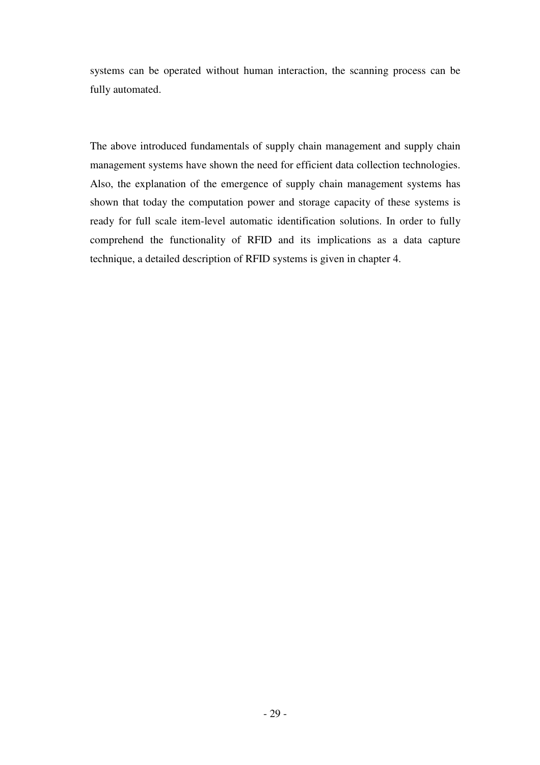systems can be operated without human interaction, the scanning process can be fully automated.

The above introduced fundamentals of supply chain management and supply chain management systems have shown the need for efficient data collection technologies. Also, the explanation of the emergence of supply chain management systems has shown that today the computation power and storage capacity of these systems is ready for full scale item-level automatic identification solutions. In order to fully comprehend the functionality of RFID and its implications as a data capture technique, a detailed description of RFID systems is given in chapter 4.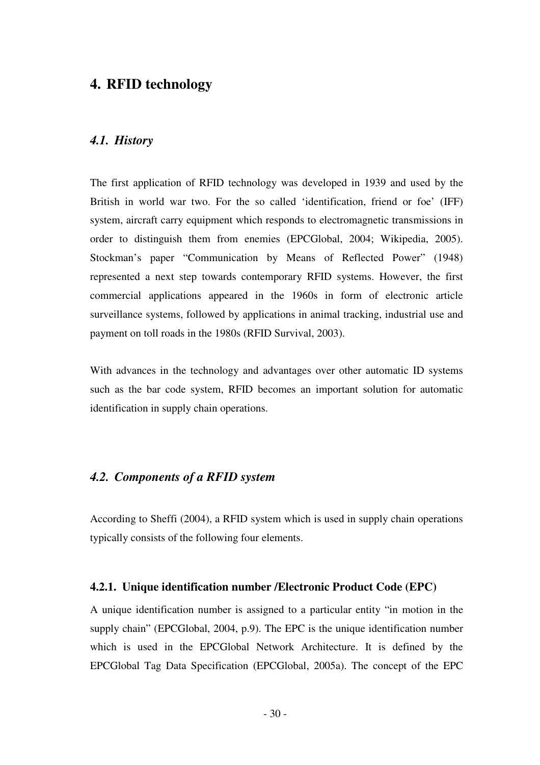## **4. RFID technology**

## *4.1. History*

The first application of RFID technology was developed in 1939 and used by the British in world war two. For the so called 'identification, friend or foe' (IFF) system, aircraft carry equipment which responds to electromagnetic transmissions in order to distinguish them from enemies (EPCGlobal, 2004; Wikipedia, 2005). Stockman's paper "Communication by Means of Reflected Power" (1948) represented a next step towards contemporary RFID systems. However, the first commercial applications appeared in the 1960s in form of electronic article surveillance systems, followed by applications in animal tracking, industrial use and payment on toll roads in the 1980s (RFID Survival, 2003).

With advances in the technology and advantages over other automatic ID systems such as the bar code system, RFID becomes an important solution for automatic identification in supply chain operations.

## *4.2. Components of a RFID system*

According to Sheffi (2004), a RFID system which is used in supply chain operations typically consists of the following four elements.

#### **4.2.1. Unique identification number /Electronic Product Code (EPC)**

A unique identification number is assigned to a particular entity "in motion in the supply chain" (EPCGlobal, 2004, p.9). The EPC is the unique identification number which is used in the EPCGlobal Network Architecture. It is defined by the EPCGlobal Tag Data Specification (EPCGlobal, 2005a). The concept of the EPC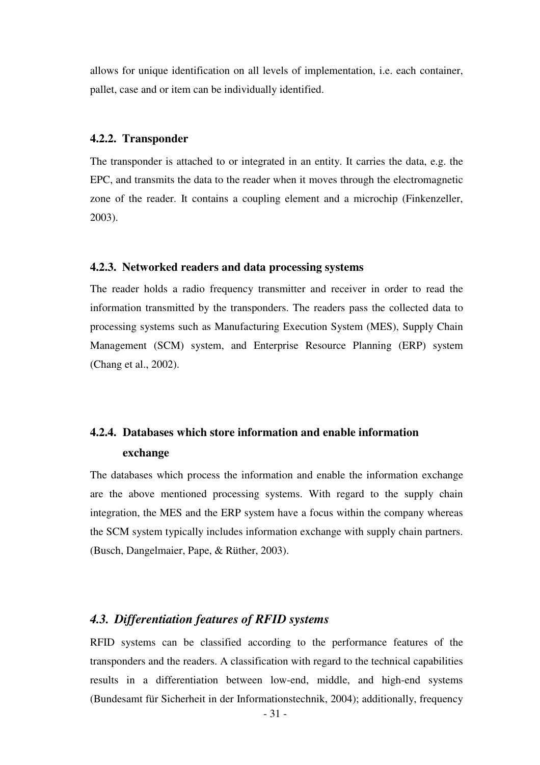allows for unique identification on all levels of implementation, i.e. each container, pallet, case and or item can be individually identified.

#### **4.2.2. Transponder**

The transponder is attached to or integrated in an entity. It carries the data, e.g. the EPC, and transmits the data to the reader when it moves through the electromagnetic zone of the reader. It contains a coupling element and a microchip (Finkenzeller, 2003).

#### **4.2.3. Networked readers and data processing systems**

The reader holds a radio frequency transmitter and receiver in order to read the information transmitted by the transponders. The readers pass the collected data to processing systems such as Manufacturing Execution System (MES), Supply Chain Management (SCM) system, and Enterprise Resource Planning (ERP) system (Chang et al., 2002).

# **4.2.4. Databases which store information and enable information exchange**

The databases which process the information and enable the information exchange are the above mentioned processing systems. With regard to the supply chain integration, the MES and the ERP system have a focus within the company whereas the SCM system typically includes information exchange with supply chain partners. (Busch, Dangelmaier, Pape, & Rüther, 2003).

## *4.3. Differentiation features of RFID systems*

RFID systems can be classified according to the performance features of the transponders and the readers. A classification with regard to the technical capabilities results in a differentiation between low-end, middle, and high-end systems (Bundesamt für Sicherheit in der Informationstechnik, 2004); additionally, frequency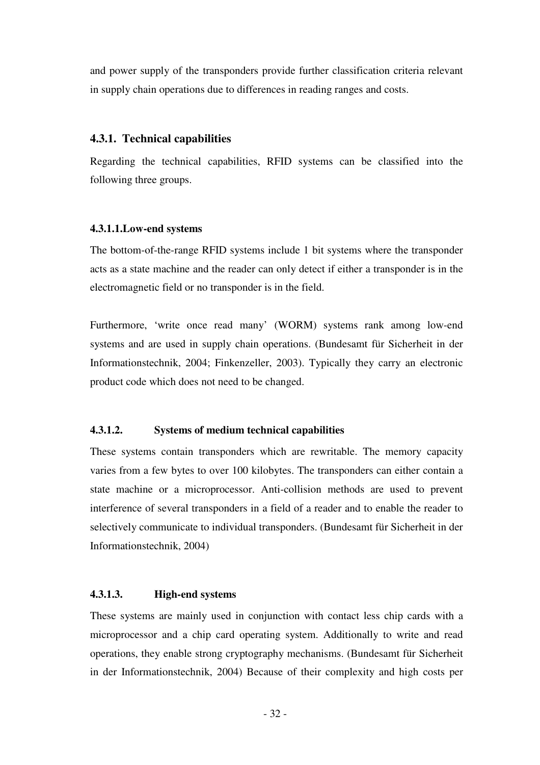and power supply of the transponders provide further classification criteria relevant in supply chain operations due to differences in reading ranges and costs.

### **4.3.1. Technical capabilities**

Regarding the technical capabilities, RFID systems can be classified into the following three groups.

### **4.3.1.1.Low-end systems**

The bottom-of-the-range RFID systems include 1 bit systems where the transponder acts as a state machine and the reader can only detect if either a transponder is in the electromagnetic field or no transponder is in the field.

Furthermore, 'write once read many' (WORM) systems rank among low-end systems and are used in supply chain operations. (Bundesamt für Sicherheit in der Informationstechnik, 2004; Finkenzeller, 2003). Typically they carry an electronic product code which does not need to be changed.

## **4.3.1.2. Systems of medium technical capabilities**

These systems contain transponders which are rewritable. The memory capacity varies from a few bytes to over 100 kilobytes. The transponders can either contain a state machine or a microprocessor. Anti-collision methods are used to prevent interference of several transponders in a field of a reader and to enable the reader to selectively communicate to individual transponders. (Bundesamt für Sicherheit in der Informationstechnik, 2004)

## **4.3.1.3. High-end systems**

These systems are mainly used in conjunction with contact less chip cards with a microprocessor and a chip card operating system. Additionally to write and read operations, they enable strong cryptography mechanisms. (Bundesamt für Sicherheit in der Informationstechnik, 2004) Because of their complexity and high costs per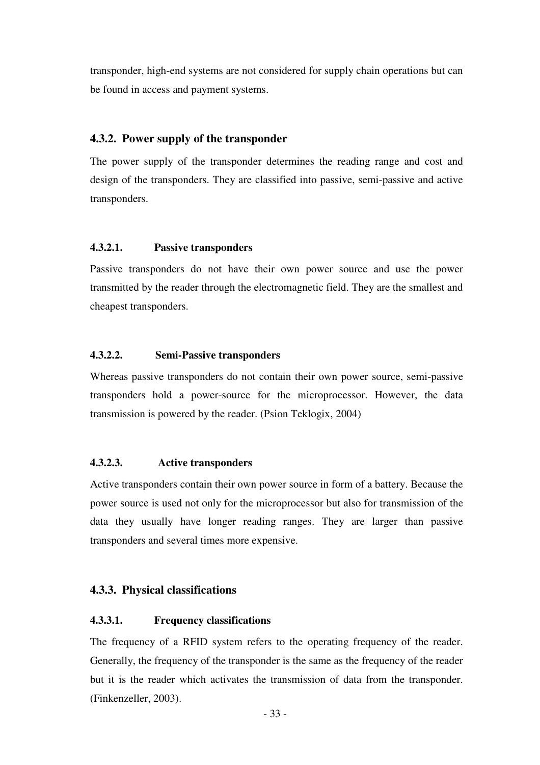transponder, high-end systems are not considered for supply chain operations but can be found in access and payment systems.

### **4.3.2. Power supply of the transponder**

The power supply of the transponder determines the reading range and cost and design of the transponders. They are classified into passive, semi-passive and active transponders.

### **4.3.2.1. Passive transponders**

Passive transponders do not have their own power source and use the power transmitted by the reader through the electromagnetic field. They are the smallest and cheapest transponders.

### **4.3.2.2. Semi-Passive transponders**

Whereas passive transponders do not contain their own power source, semi-passive transponders hold a power-source for the microprocessor. However, the data transmission is powered by the reader. (Psion Teklogix, 2004)

## **4.3.2.3. Active transponders**

Active transponders contain their own power source in form of a battery. Because the power source is used not only for the microprocessor but also for transmission of the data they usually have longer reading ranges. They are larger than passive transponders and several times more expensive.

## **4.3.3. Physical classifications**

## **4.3.3.1. Frequency classifications**

The frequency of a RFID system refers to the operating frequency of the reader. Generally, the frequency of the transponder is the same as the frequency of the reader but it is the reader which activates the transmission of data from the transponder. (Finkenzeller, 2003).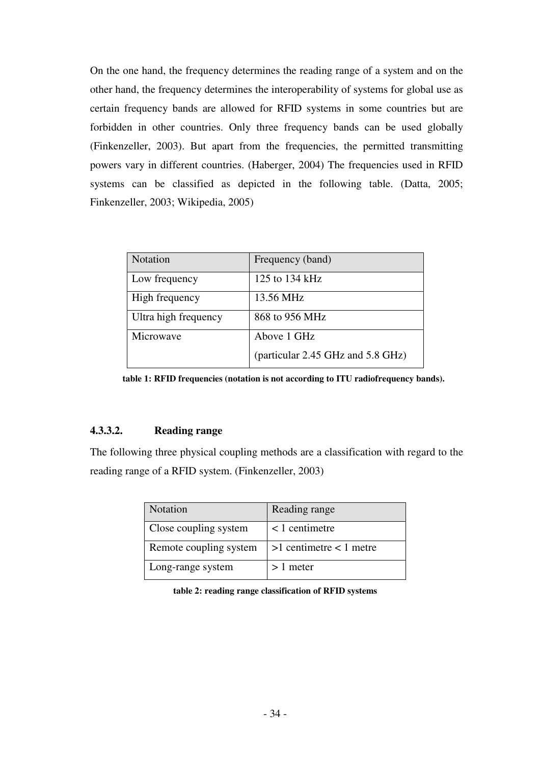On the one hand, the frequency determines the reading range of a system and on the other hand, the frequency determines the interoperability of systems for global use as certain frequency bands are allowed for RFID systems in some countries but are forbidden in other countries. Only three frequency bands can be used globally (Finkenzeller, 2003). But apart from the frequencies, the permitted transmitting powers vary in different countries. (Haberger, 2004) The frequencies used in RFID systems can be classified as depicted in the following table. (Datta, 2005; Finkenzeller, 2003; Wikipedia, 2005)

| <b>Notation</b>      | Frequency (band)                  |
|----------------------|-----------------------------------|
| Low frequency        | 125 to 134 kHz                    |
| High frequency       | 13.56 MHz                         |
| Ultra high frequency | 868 to 956 MHz                    |
| Microwave            | Above 1 GHz                       |
|                      | (particular 2.45 GHz and 5.8 GHz) |

**table 1: RFID frequencies (notation is not according to ITU radiofrequency bands).** 

### **4.3.3.2. Reading range**

The following three physical coupling methods are a classification with regard to the reading range of a RFID system. (Finkenzeller, 2003)

| Notation               | Reading range               |
|------------------------|-----------------------------|
| Close coupling system  | $<$ 1 centimetre            |
| Remote coupling system | $>1$ centimetre $< 1$ metre |
| Long-range system      | $>1$ meter                  |

**table 2: reading range classification of RFID systems**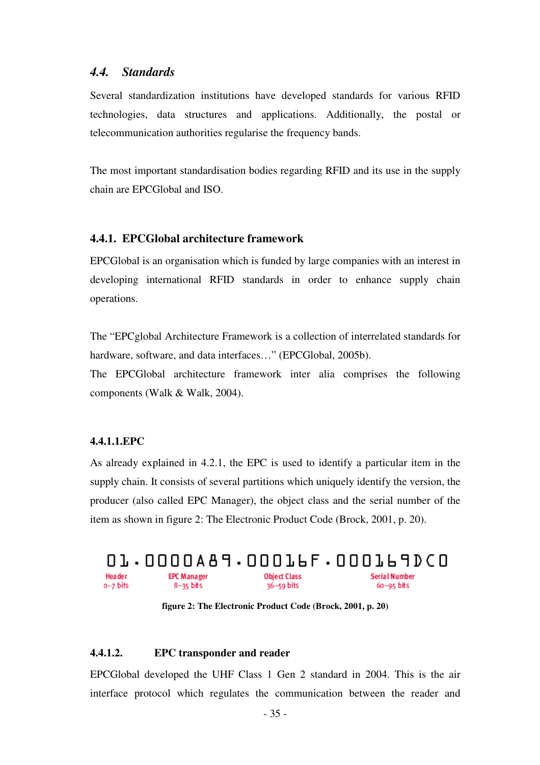## *4.4. Standards*

Several standardization institutions have developed standards for various RFID technologies, data structures and applications. Additionally, the postal or telecommunication authorities regularise the frequency bands.

The most important standardisation bodies regarding RFID and its use in the supply chain are EPCGlobal and ISO.

#### **4.4.1. EPCGlobal architecture framework**

EPCGlobal is an organisation which is funded by large companies with an interest in developing international RFID standards in order to enhance supply chain operations.

The "EPCglobal Architecture Framework is a collection of interrelated standards for hardware, software, and data interfaces..." (EPCGlobal, 2005b).

The EPCGlobal architecture framework inter alia comprises the following components (Walk & Walk, 2004).

#### **4.4.1.1.EPC**

As already explained in 4.2.1, the EPC is used to identify a particular item in the supply chain. It consists of several partitions which uniquely identify the version, the producer (also called EPC Manager), the object class and the serial number of the item as shown in figure 2: The Electronic Product Code (Brock, 2001, p. 20).



**figure 2: The Electronic Product Code (Brock, 2001, p. 20)** 

### **4.4.1.2. EPC transponder and reader**

EPCGlobal developed the UHF Class 1 Gen 2 standard in 2004. This is the air interface protocol which regulates the communication between the reader and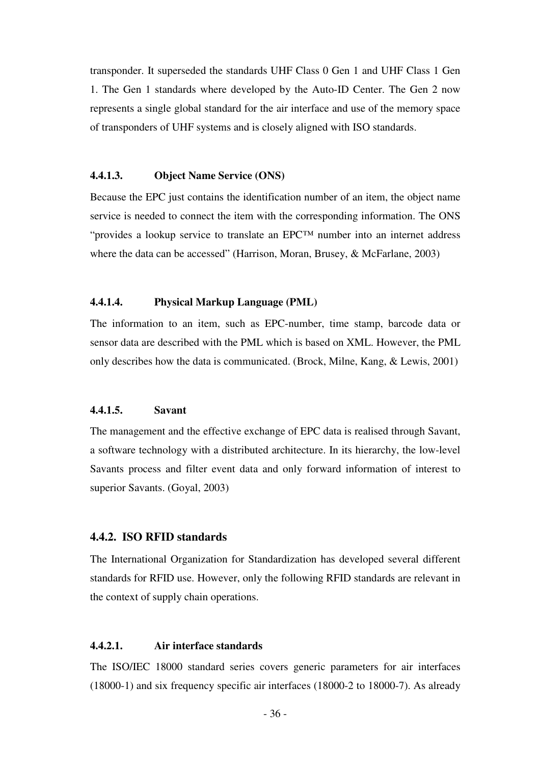transponder. It superseded the standards UHF Class 0 Gen 1 and UHF Class 1 Gen 1. The Gen 1 standards where developed by the Auto-ID Center. The Gen 2 now represents a single global standard for the air interface and use of the memory space of transponders of UHF systems and is closely aligned with ISO standards.

#### **4.4.1.3. Object Name Service (ONS)**

Because the EPC just contains the identification number of an item, the object name service is needed to connect the item with the corresponding information. The ONS "provides a lookup service to translate an EPC™ number into an internet address where the data can be accessed" (Harrison, Moran, Brusey, & McFarlane, 2003)

#### **4.4.1.4. Physical Markup Language (PML)**

The information to an item, such as EPC-number, time stamp, barcode data or sensor data are described with the PML which is based on XML. However, the PML only describes how the data is communicated. (Brock, Milne, Kang, & Lewis, 2001)

#### **4.4.1.5. Savant**

The management and the effective exchange of EPC data is realised through Savant, a software technology with a distributed architecture. In its hierarchy, the low-level Savants process and filter event data and only forward information of interest to superior Savants. (Goyal, 2003)

#### **4.4.2. ISO RFID standards**

The International Organization for Standardization has developed several different standards for RFID use. However, only the following RFID standards are relevant in the context of supply chain operations.

#### **4.4.2.1. Air interface standards**

The ISO/IEC 18000 standard series covers generic parameters for air interfaces (18000-1) and six frequency specific air interfaces (18000-2 to 18000-7). As already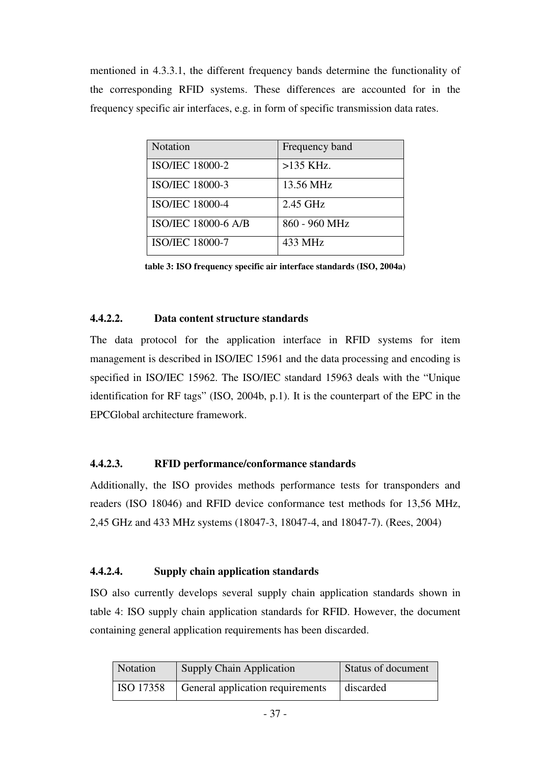mentioned in 4.3.3.1, the different frequency bands determine the functionality of the corresponding RFID systems. These differences are accounted for in the frequency specific air interfaces, e.g. in form of specific transmission data rates.

| <b>Notation</b>            | Frequency band |
|----------------------------|----------------|
| <b>ISO/IEC 18000-2</b>     | $>135$ KHz.    |
| <b>ISO/IEC 18000-3</b>     | 13.56 MHz      |
| <b>ISO/IEC 18000-4</b>     | 2.45 GHz       |
| <b>ISO/IEC 18000-6 A/B</b> | 860 - 960 MHz  |
| <b>ISO/IEC 18000-7</b>     | 433 MHz        |

**table 3: ISO frequency specific air interface standards (ISO, 2004a)** 

## **4.4.2.2. Data content structure standards**

The data protocol for the application interface in RFID systems for item management is described in ISO/IEC 15961 and the data processing and encoding is specified in ISO/IEC 15962. The ISO/IEC standard 15963 deals with the "Unique identification for RF tags" (ISO, 2004b, p.1). It is the counterpart of the EPC in the EPCGlobal architecture framework.

## **4.4.2.3. RFID performance/conformance standards**

Additionally, the ISO provides methods performance tests for transponders and readers (ISO 18046) and RFID device conformance test methods for 13,56 MHz, 2,45 GHz and 433 MHz systems (18047-3, 18047-4, and 18047-7). (Rees, 2004)

### **4.4.2.4. Supply chain application standards**

ISO also currently develops several supply chain application standards shown in table 4: ISO supply chain application standards for RFID. However, the document containing general application requirements has been discarded.

| Notation  | <b>Supply Chain Application</b>  | Status of document |
|-----------|----------------------------------|--------------------|
| ISO 17358 | General application requirements | discarded          |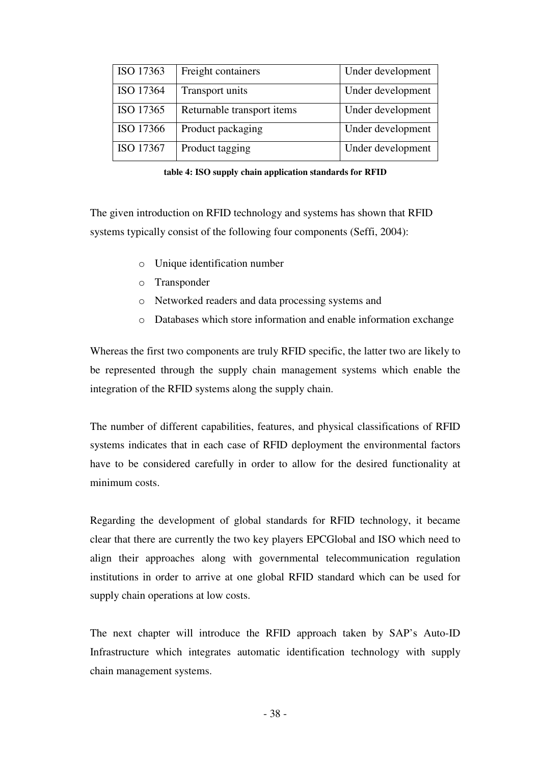| ISO 17363 | Freight containers         | Under development |
|-----------|----------------------------|-------------------|
| ISO 17364 | Transport units            | Under development |
| ISO 17365 | Returnable transport items | Under development |
| ISO 17366 | Product packaging          | Under development |
| ISO 17367 | Product tagging            | Under development |

**table 4: ISO supply chain application standards for RFID** 

The given introduction on RFID technology and systems has shown that RFID systems typically consist of the following four components (Seffi, 2004):

- o Unique identification number
- o Transponder
- o Networked readers and data processing systems and
- o Databases which store information and enable information exchange

Whereas the first two components are truly RFID specific, the latter two are likely to be represented through the supply chain management systems which enable the integration of the RFID systems along the supply chain.

The number of different capabilities, features, and physical classifications of RFID systems indicates that in each case of RFID deployment the environmental factors have to be considered carefully in order to allow for the desired functionality at minimum costs.

Regarding the development of global standards for RFID technology, it became clear that there are currently the two key players EPCGlobal and ISO which need to align their approaches along with governmental telecommunication regulation institutions in order to arrive at one global RFID standard which can be used for supply chain operations at low costs.

The next chapter will introduce the RFID approach taken by SAP's Auto-ID Infrastructure which integrates automatic identification technology with supply chain management systems.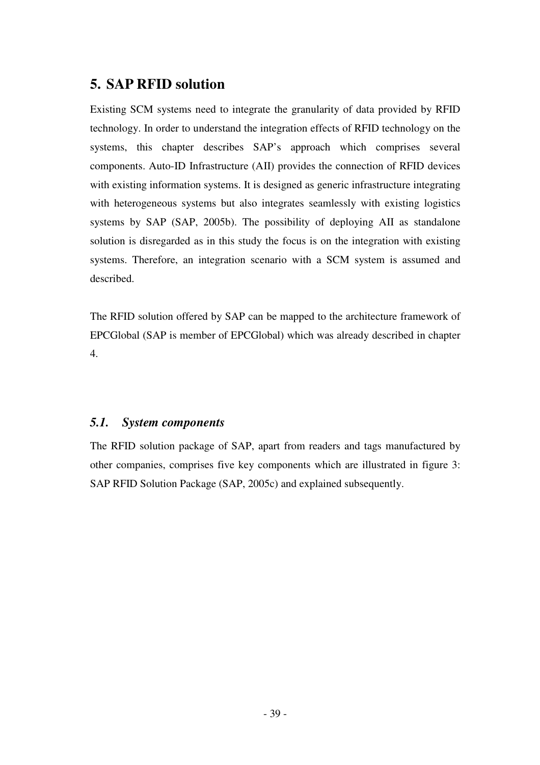# **5. SAP RFID solution**

Existing SCM systems need to integrate the granularity of data provided by RFID technology. In order to understand the integration effects of RFID technology on the systems, this chapter describes SAP's approach which comprises several components. Auto-ID Infrastructure (AII) provides the connection of RFID devices with existing information systems. It is designed as generic infrastructure integrating with heterogeneous systems but also integrates seamlessly with existing logistics systems by SAP (SAP, 2005b). The possibility of deploying AII as standalone solution is disregarded as in this study the focus is on the integration with existing systems. Therefore, an integration scenario with a SCM system is assumed and described.

The RFID solution offered by SAP can be mapped to the architecture framework of EPCGlobal (SAP is member of EPCGlobal) which was already described in chapter 4.

## *5.1. System components*

The RFID solution package of SAP, apart from readers and tags manufactured by other companies, comprises five key components which are illustrated in figure 3: SAP RFID Solution Package (SAP, 2005c) and explained subsequently.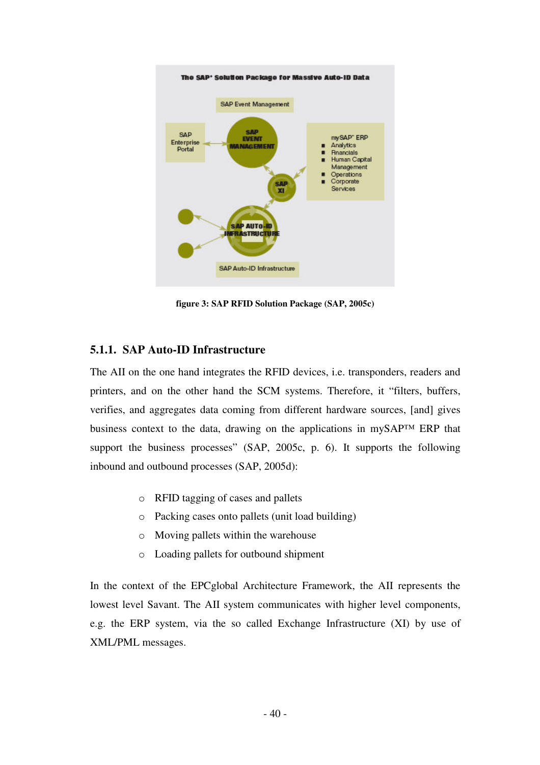

**figure 3: SAP RFID Solution Package (SAP, 2005c)** 

### **5.1.1. SAP Auto-ID Infrastructure**

The AII on the one hand integrates the RFID devices, i.e. transponders, readers and printers, and on the other hand the SCM systems. Therefore, it "filters, buffers, verifies, and aggregates data coming from different hardware sources, [and] gives business context to the data, drawing on the applications in mySAP™ ERP that support the business processes" (SAP, 2005c, p. 6). It supports the following inbound and outbound processes (SAP, 2005d):

- o RFID tagging of cases and pallets
- o Packing cases onto pallets (unit load building)
- o Moving pallets within the warehouse
- o Loading pallets for outbound shipment

In the context of the EPCglobal Architecture Framework, the AII represents the lowest level Savant. The AII system communicates with higher level components, e.g. the ERP system, via the so called Exchange Infrastructure (XI) by use of XML/PML messages.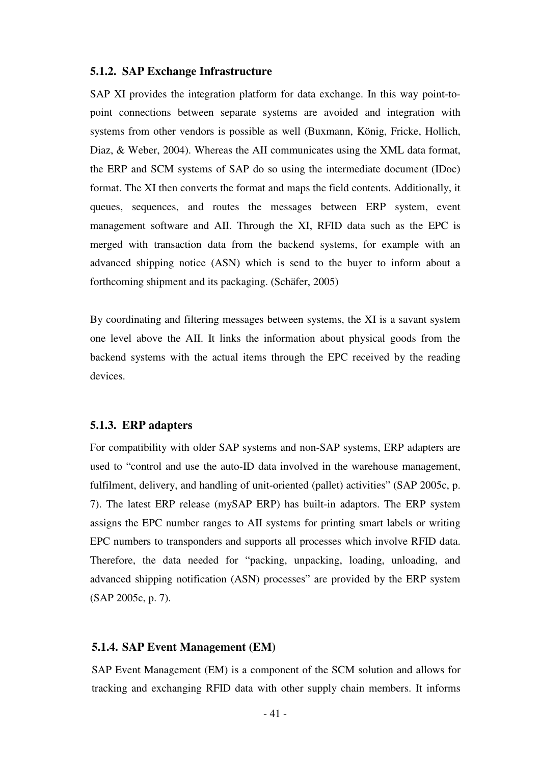#### **5.1.2. SAP Exchange Infrastructure**

SAP XI provides the integration platform for data exchange. In this way point-topoint connections between separate systems are avoided and integration with systems from other vendors is possible as well (Buxmann, König, Fricke, Hollich, Diaz, & Weber, 2004). Whereas the AII communicates using the XML data format, the ERP and SCM systems of SAP do so using the intermediate document (IDoc) format. The XI then converts the format and maps the field contents. Additionally, it queues, sequences, and routes the messages between ERP system, event management software and AII. Through the XI, RFID data such as the EPC is merged with transaction data from the backend systems, for example with an advanced shipping notice (ASN) which is send to the buyer to inform about a forthcoming shipment and its packaging. (Schäfer, 2005)

By coordinating and filtering messages between systems, the XI is a savant system one level above the AII. It links the information about physical goods from the backend systems with the actual items through the EPC received by the reading devices.

#### **5.1.3. ERP adapters**

For compatibility with older SAP systems and non-SAP systems, ERP adapters are used to "control and use the auto-ID data involved in the warehouse management, fulfilment, delivery, and handling of unit-oriented (pallet) activities" (SAP 2005c, p. 7). The latest ERP release (mySAP ERP) has built-in adaptors. The ERP system assigns the EPC number ranges to AII systems for printing smart labels or writing EPC numbers to transponders and supports all processes which involve RFID data. Therefore, the data needed for "packing, unpacking, loading, unloading, and advanced shipping notification (ASN) processes" are provided by the ERP system (SAP 2005c, p. 7).

#### **5.1.4. SAP Event Management (EM)**

SAP Event Management (EM) is a component of the SCM solution and allows for tracking and exchanging RFID data with other supply chain members. It informs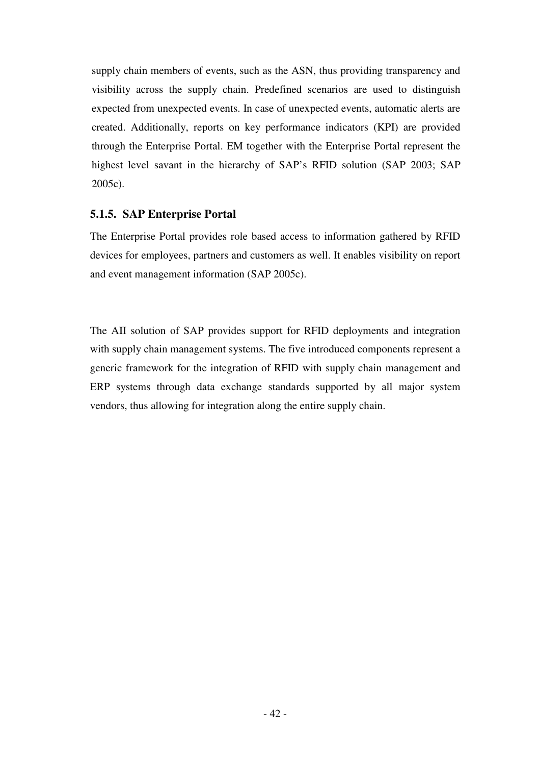supply chain members of events, such as the ASN, thus providing transparency and visibility across the supply chain. Predefined scenarios are used to distinguish expected from unexpected events. In case of unexpected events, automatic alerts are created. Additionally, reports on key performance indicators (KPI) are provided through the Enterprise Portal. EM together with the Enterprise Portal represent the highest level savant in the hierarchy of SAP's RFID solution (SAP 2003; SAP 2005c).

## **5.1.5. SAP Enterprise Portal**

The Enterprise Portal provides role based access to information gathered by RFID devices for employees, partners and customers as well. It enables visibility on report and event management information (SAP 2005c).

The AII solution of SAP provides support for RFID deployments and integration with supply chain management systems. The five introduced components represent a generic framework for the integration of RFID with supply chain management and ERP systems through data exchange standards supported by all major system vendors, thus allowing for integration along the entire supply chain.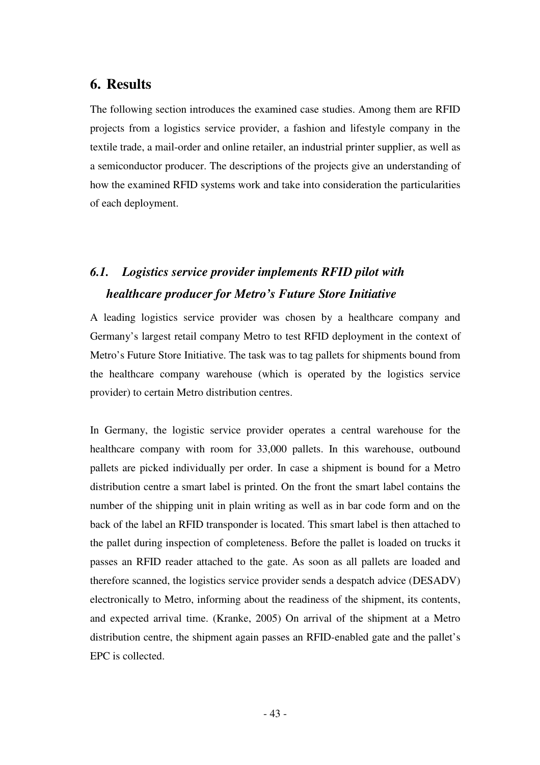## **6. Results**

The following section introduces the examined case studies. Among them are RFID projects from a logistics service provider, a fashion and lifestyle company in the textile trade, a mail-order and online retailer, an industrial printer supplier, as well as a semiconductor producer. The descriptions of the projects give an understanding of how the examined RFID systems work and take into consideration the particularities of each deployment.

# *6.1. Logistics service provider implements RFID pilot with healthcare producer for Metro's Future Store Initiative*

A leading logistics service provider was chosen by a healthcare company and Germany's largest retail company Metro to test RFID deployment in the context of Metro's Future Store Initiative. The task was to tag pallets for shipments bound from the healthcare company warehouse (which is operated by the logistics service provider) to certain Metro distribution centres.

In Germany, the logistic service provider operates a central warehouse for the healthcare company with room for 33,000 pallets. In this warehouse, outbound pallets are picked individually per order. In case a shipment is bound for a Metro distribution centre a smart label is printed. On the front the smart label contains the number of the shipping unit in plain writing as well as in bar code form and on the back of the label an RFID transponder is located. This smart label is then attached to the pallet during inspection of completeness. Before the pallet is loaded on trucks it passes an RFID reader attached to the gate. As soon as all pallets are loaded and therefore scanned, the logistics service provider sends a despatch advice (DESADV) electronically to Metro, informing about the readiness of the shipment, its contents, and expected arrival time. (Kranke, 2005) On arrival of the shipment at a Metro distribution centre, the shipment again passes an RFID-enabled gate and the pallet's EPC is collected.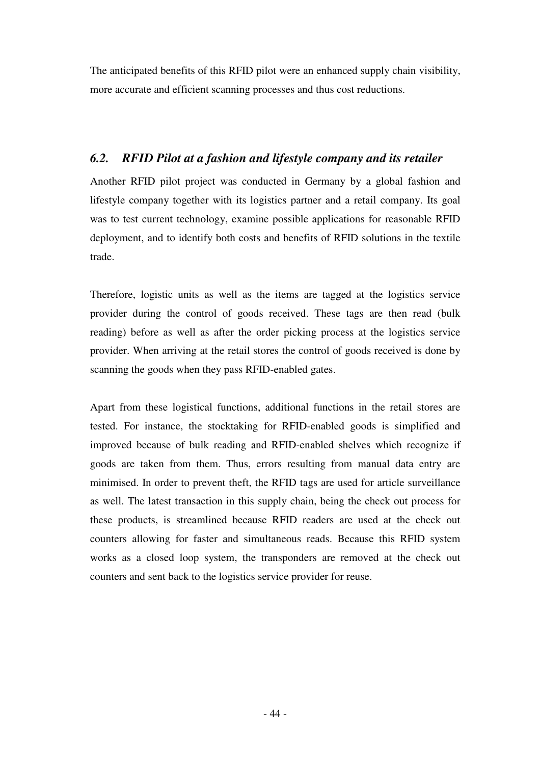The anticipated benefits of this RFID pilot were an enhanced supply chain visibility, more accurate and efficient scanning processes and thus cost reductions.

## *6.2. RFID Pilot at a fashion and lifestyle company and its retailer*

Another RFID pilot project was conducted in Germany by a global fashion and lifestyle company together with its logistics partner and a retail company. Its goal was to test current technology, examine possible applications for reasonable RFID deployment, and to identify both costs and benefits of RFID solutions in the textile trade.

Therefore, logistic units as well as the items are tagged at the logistics service provider during the control of goods received. These tags are then read (bulk reading) before as well as after the order picking process at the logistics service provider. When arriving at the retail stores the control of goods received is done by scanning the goods when they pass RFID-enabled gates.

Apart from these logistical functions, additional functions in the retail stores are tested. For instance, the stocktaking for RFID-enabled goods is simplified and improved because of bulk reading and RFID-enabled shelves which recognize if goods are taken from them. Thus, errors resulting from manual data entry are minimised. In order to prevent theft, the RFID tags are used for article surveillance as well. The latest transaction in this supply chain, being the check out process for these products, is streamlined because RFID readers are used at the check out counters allowing for faster and simultaneous reads. Because this RFID system works as a closed loop system, the transponders are removed at the check out counters and sent back to the logistics service provider for reuse.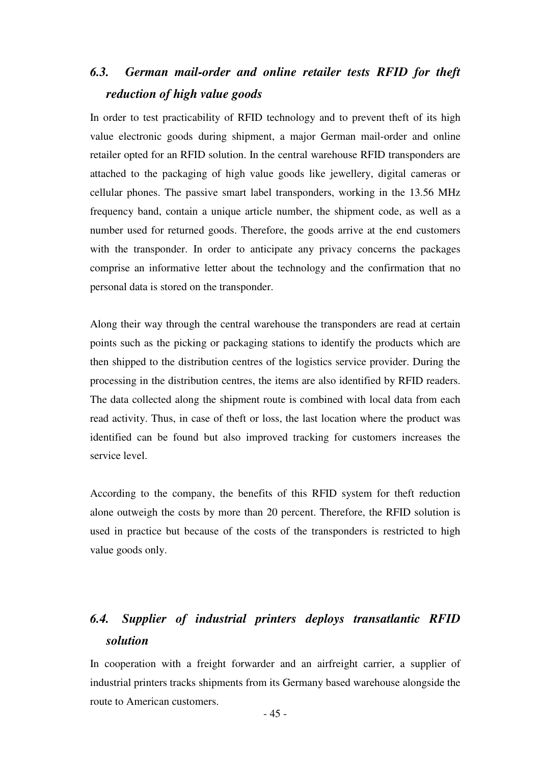# *6.3. German mail-order and online retailer tests RFID for theft reduction of high value goods*

In order to test practicability of RFID technology and to prevent theft of its high value electronic goods during shipment, a major German mail-order and online retailer opted for an RFID solution. In the central warehouse RFID transponders are attached to the packaging of high value goods like jewellery, digital cameras or cellular phones. The passive smart label transponders, working in the 13.56 MHz frequency band, contain a unique article number, the shipment code, as well as a number used for returned goods. Therefore, the goods arrive at the end customers with the transponder. In order to anticipate any privacy concerns the packages comprise an informative letter about the technology and the confirmation that no personal data is stored on the transponder.

Along their way through the central warehouse the transponders are read at certain points such as the picking or packaging stations to identify the products which are then shipped to the distribution centres of the logistics service provider. During the processing in the distribution centres, the items are also identified by RFID readers. The data collected along the shipment route is combined with local data from each read activity. Thus, in case of theft or loss, the last location where the product was identified can be found but also improved tracking for customers increases the service level.

According to the company, the benefits of this RFID system for theft reduction alone outweigh the costs by more than 20 percent. Therefore, the RFID solution is used in practice but because of the costs of the transponders is restricted to high value goods only.

# *6.4. Supplier of industrial printers deploys transatlantic RFID solution*

In cooperation with a freight forwarder and an airfreight carrier, a supplier of industrial printers tracks shipments from its Germany based warehouse alongside the route to American customers.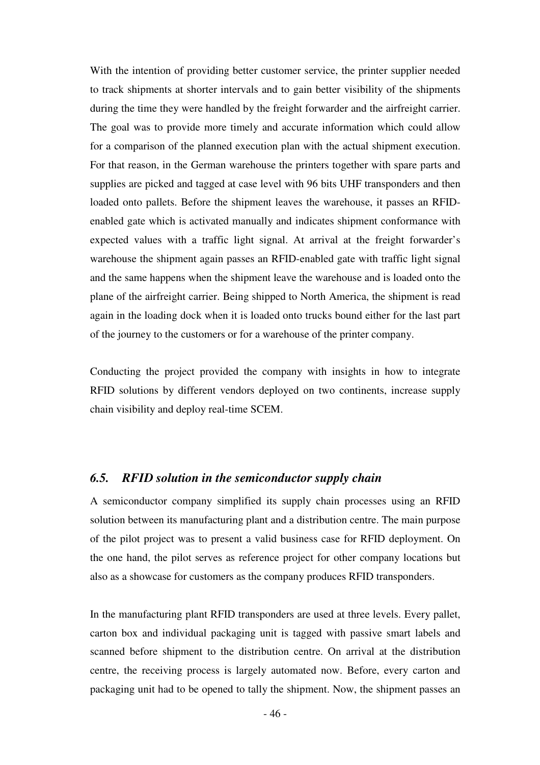With the intention of providing better customer service, the printer supplier needed to track shipments at shorter intervals and to gain better visibility of the shipments during the time they were handled by the freight forwarder and the airfreight carrier. The goal was to provide more timely and accurate information which could allow for a comparison of the planned execution plan with the actual shipment execution. For that reason, in the German warehouse the printers together with spare parts and supplies are picked and tagged at case level with 96 bits UHF transponders and then loaded onto pallets. Before the shipment leaves the warehouse, it passes an RFIDenabled gate which is activated manually and indicates shipment conformance with expected values with a traffic light signal. At arrival at the freight forwarder's warehouse the shipment again passes an RFID-enabled gate with traffic light signal and the same happens when the shipment leave the warehouse and is loaded onto the plane of the airfreight carrier. Being shipped to North America, the shipment is read again in the loading dock when it is loaded onto trucks bound either for the last part of the journey to the customers or for a warehouse of the printer company.

Conducting the project provided the company with insights in how to integrate RFID solutions by different vendors deployed on two continents, increase supply chain visibility and deploy real-time SCEM.

## *6.5. RFID solution in the semiconductor supply chain*

A semiconductor company simplified its supply chain processes using an RFID solution between its manufacturing plant and a distribution centre. The main purpose of the pilot project was to present a valid business case for RFID deployment. On the one hand, the pilot serves as reference project for other company locations but also as a showcase for customers as the company produces RFID transponders.

In the manufacturing plant RFID transponders are used at three levels. Every pallet, carton box and individual packaging unit is tagged with passive smart labels and scanned before shipment to the distribution centre. On arrival at the distribution centre, the receiving process is largely automated now. Before, every carton and packaging unit had to be opened to tally the shipment. Now, the shipment passes an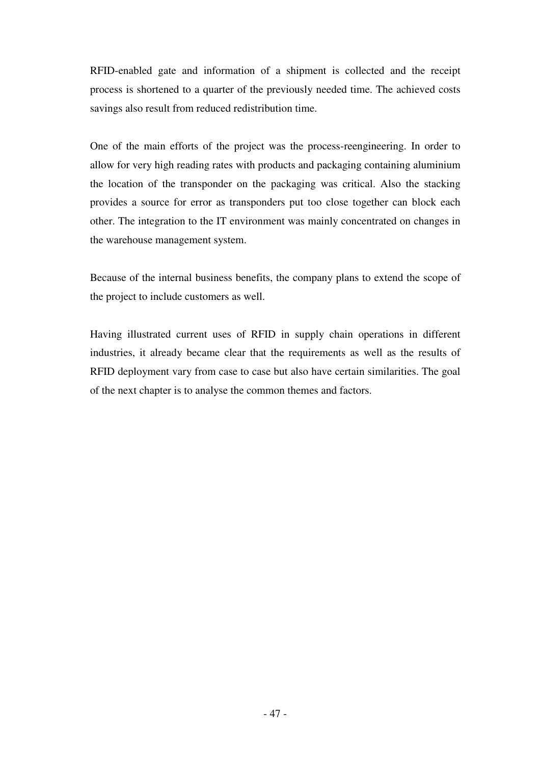RFID-enabled gate and information of a shipment is collected and the receipt process is shortened to a quarter of the previously needed time. The achieved costs savings also result from reduced redistribution time.

One of the main efforts of the project was the process-reengineering. In order to allow for very high reading rates with products and packaging containing aluminium the location of the transponder on the packaging was critical. Also the stacking provides a source for error as transponders put too close together can block each other. The integration to the IT environment was mainly concentrated on changes in the warehouse management system.

Because of the internal business benefits, the company plans to extend the scope of the project to include customers as well.

Having illustrated current uses of RFID in supply chain operations in different industries, it already became clear that the requirements as well as the results of RFID deployment vary from case to case but also have certain similarities. The goal of the next chapter is to analyse the common themes and factors.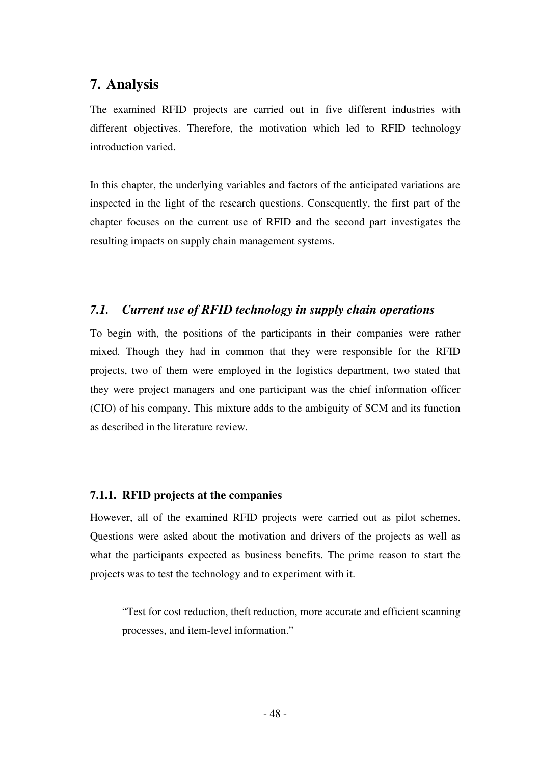## **7. Analysis**

The examined RFID projects are carried out in five different industries with different objectives. Therefore, the motivation which led to RFID technology introduction varied.

In this chapter, the underlying variables and factors of the anticipated variations are inspected in the light of the research questions. Consequently, the first part of the chapter focuses on the current use of RFID and the second part investigates the resulting impacts on supply chain management systems.

## *7.1. Current use of RFID technology in supply chain operations*

To begin with, the positions of the participants in their companies were rather mixed. Though they had in common that they were responsible for the RFID projects, two of them were employed in the logistics department, two stated that they were project managers and one participant was the chief information officer (CIO) of his company. This mixture adds to the ambiguity of SCM and its function as described in the literature review.

## **7.1.1. RFID projects at the companies**

However, all of the examined RFID projects were carried out as pilot schemes. Questions were asked about the motivation and drivers of the projects as well as what the participants expected as business benefits. The prime reason to start the projects was to test the technology and to experiment with it.

"Test for cost reduction, theft reduction, more accurate and efficient scanning processes, and item-level information."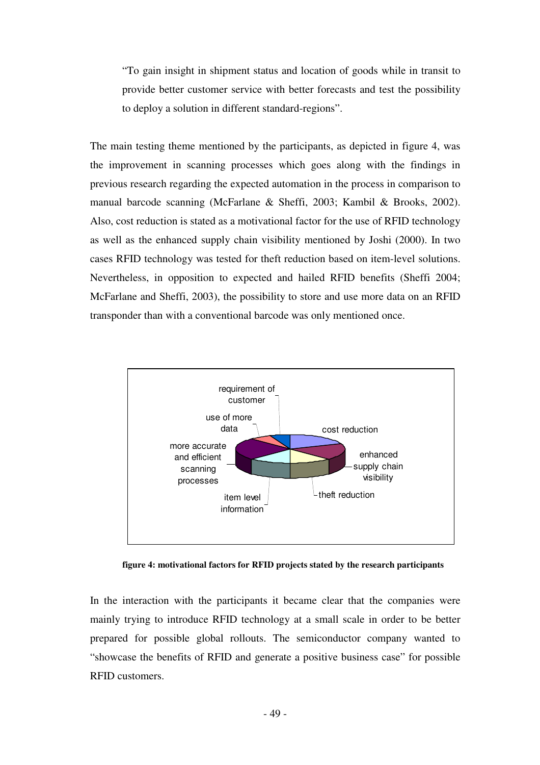"To gain insight in shipment status and location of goods while in transit to provide better customer service with better forecasts and test the possibility to deploy a solution in different standard-regions".

The main testing theme mentioned by the participants, as depicted in figure 4, was the improvement in scanning processes which goes along with the findings in previous research regarding the expected automation in the process in comparison to manual barcode scanning (McFarlane & Sheffi, 2003; Kambil & Brooks, 2002). Also, cost reduction is stated as a motivational factor for the use of RFID technology as well as the enhanced supply chain visibility mentioned by Joshi (2000). In two cases RFID technology was tested for theft reduction based on item-level solutions. Nevertheless, in opposition to expected and hailed RFID benefits (Sheffi 2004; McFarlane and Sheffi, 2003), the possibility to store and use more data on an RFID transponder than with a conventional barcode was only mentioned once.



**figure 4: motivational factors for RFID projects stated by the research participants** 

In the interaction with the participants it became clear that the companies were mainly trying to introduce RFID technology at a small scale in order to be better prepared for possible global rollouts. The semiconductor company wanted to "showcase the benefits of RFID and generate a positive business case" for possible RFID customers.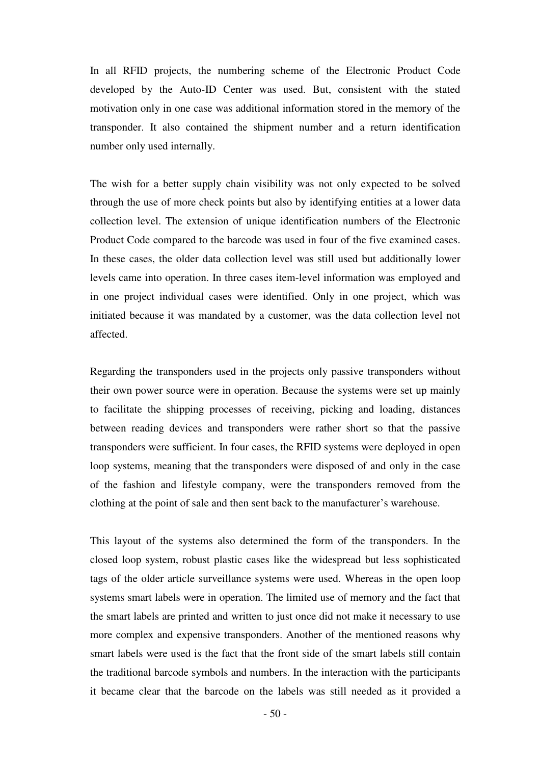In all RFID projects, the numbering scheme of the Electronic Product Code developed by the Auto-ID Center was used. But, consistent with the stated motivation only in one case was additional information stored in the memory of the transponder. It also contained the shipment number and a return identification number only used internally.

The wish for a better supply chain visibility was not only expected to be solved through the use of more check points but also by identifying entities at a lower data collection level. The extension of unique identification numbers of the Electronic Product Code compared to the barcode was used in four of the five examined cases. In these cases, the older data collection level was still used but additionally lower levels came into operation. In three cases item-level information was employed and in one project individual cases were identified. Only in one project, which was initiated because it was mandated by a customer, was the data collection level not affected.

Regarding the transponders used in the projects only passive transponders without their own power source were in operation. Because the systems were set up mainly to facilitate the shipping processes of receiving, picking and loading, distances between reading devices and transponders were rather short so that the passive transponders were sufficient. In four cases, the RFID systems were deployed in open loop systems, meaning that the transponders were disposed of and only in the case of the fashion and lifestyle company, were the transponders removed from the clothing at the point of sale and then sent back to the manufacturer's warehouse.

This layout of the systems also determined the form of the transponders. In the closed loop system, robust plastic cases like the widespread but less sophisticated tags of the older article surveillance systems were used. Whereas in the open loop systems smart labels were in operation. The limited use of memory and the fact that the smart labels are printed and written to just once did not make it necessary to use more complex and expensive transponders. Another of the mentioned reasons why smart labels were used is the fact that the front side of the smart labels still contain the traditional barcode symbols and numbers. In the interaction with the participants it became clear that the barcode on the labels was still needed as it provided a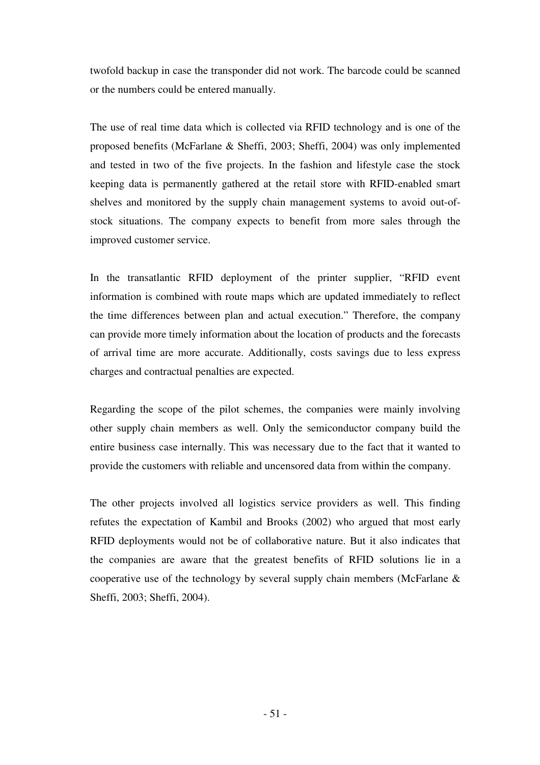twofold backup in case the transponder did not work. The barcode could be scanned or the numbers could be entered manually.

The use of real time data which is collected via RFID technology and is one of the proposed benefits (McFarlane & Sheffi, 2003; Sheffi, 2004) was only implemented and tested in two of the five projects. In the fashion and lifestyle case the stock keeping data is permanently gathered at the retail store with RFID-enabled smart shelves and monitored by the supply chain management systems to avoid out-ofstock situations. The company expects to benefit from more sales through the improved customer service.

In the transatlantic RFID deployment of the printer supplier, "RFID event information is combined with route maps which are updated immediately to reflect the time differences between plan and actual execution." Therefore, the company can provide more timely information about the location of products and the forecasts of arrival time are more accurate. Additionally, costs savings due to less express charges and contractual penalties are expected.

Regarding the scope of the pilot schemes, the companies were mainly involving other supply chain members as well. Only the semiconductor company build the entire business case internally. This was necessary due to the fact that it wanted to provide the customers with reliable and uncensored data from within the company.

The other projects involved all logistics service providers as well. This finding refutes the expectation of Kambil and Brooks (2002) who argued that most early RFID deployments would not be of collaborative nature. But it also indicates that the companies are aware that the greatest benefits of RFID solutions lie in a cooperative use of the technology by several supply chain members (McFarlane  $\&$ Sheffi, 2003; Sheffi, 2004).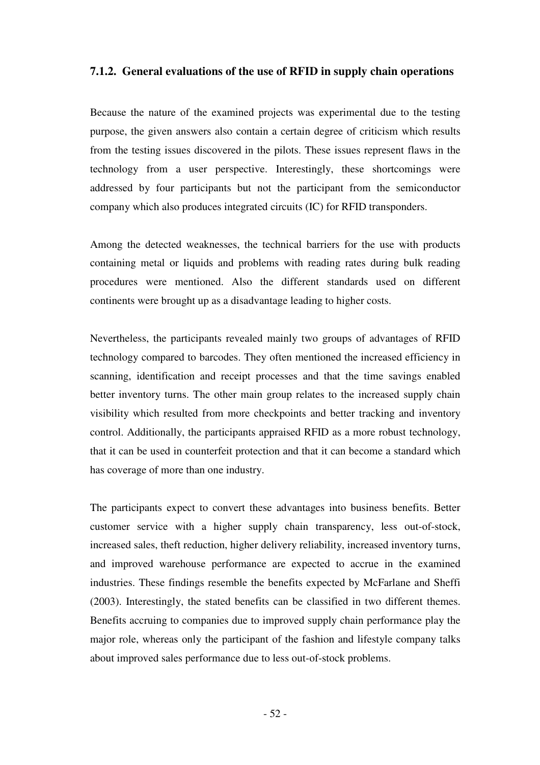## **7.1.2. General evaluations of the use of RFID in supply chain operations**

Because the nature of the examined projects was experimental due to the testing purpose, the given answers also contain a certain degree of criticism which results from the testing issues discovered in the pilots. These issues represent flaws in the technology from a user perspective. Interestingly, these shortcomings were addressed by four participants but not the participant from the semiconductor company which also produces integrated circuits (IC) for RFID transponders.

Among the detected weaknesses, the technical barriers for the use with products containing metal or liquids and problems with reading rates during bulk reading procedures were mentioned. Also the different standards used on different continents were brought up as a disadvantage leading to higher costs.

Nevertheless, the participants revealed mainly two groups of advantages of RFID technology compared to barcodes. They often mentioned the increased efficiency in scanning, identification and receipt processes and that the time savings enabled better inventory turns. The other main group relates to the increased supply chain visibility which resulted from more checkpoints and better tracking and inventory control. Additionally, the participants appraised RFID as a more robust technology, that it can be used in counterfeit protection and that it can become a standard which has coverage of more than one industry.

The participants expect to convert these advantages into business benefits. Better customer service with a higher supply chain transparency, less out-of-stock, increased sales, theft reduction, higher delivery reliability, increased inventory turns, and improved warehouse performance are expected to accrue in the examined industries. These findings resemble the benefits expected by McFarlane and Sheffi (2003). Interestingly, the stated benefits can be classified in two different themes. Benefits accruing to companies due to improved supply chain performance play the major role, whereas only the participant of the fashion and lifestyle company talks about improved sales performance due to less out-of-stock problems.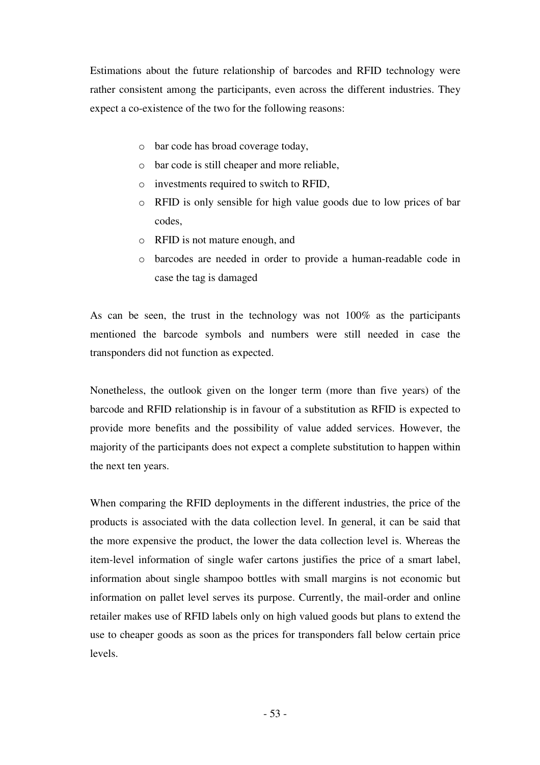Estimations about the future relationship of barcodes and RFID technology were rather consistent among the participants, even across the different industries. They expect a co-existence of the two for the following reasons:

- o bar code has broad coverage today,
- o bar code is still cheaper and more reliable,
- o investments required to switch to RFID,
- o RFID is only sensible for high value goods due to low prices of bar codes,
- o RFID is not mature enough, and
- o barcodes are needed in order to provide a human-readable code in case the tag is damaged

As can be seen, the trust in the technology was not 100% as the participants mentioned the barcode symbols and numbers were still needed in case the transponders did not function as expected.

Nonetheless, the outlook given on the longer term (more than five years) of the barcode and RFID relationship is in favour of a substitution as RFID is expected to provide more benefits and the possibility of value added services. However, the majority of the participants does not expect a complete substitution to happen within the next ten years.

When comparing the RFID deployments in the different industries, the price of the products is associated with the data collection level. In general, it can be said that the more expensive the product, the lower the data collection level is. Whereas the item-level information of single wafer cartons justifies the price of a smart label, information about single shampoo bottles with small margins is not economic but information on pallet level serves its purpose. Currently, the mail-order and online retailer makes use of RFID labels only on high valued goods but plans to extend the use to cheaper goods as soon as the prices for transponders fall below certain price levels.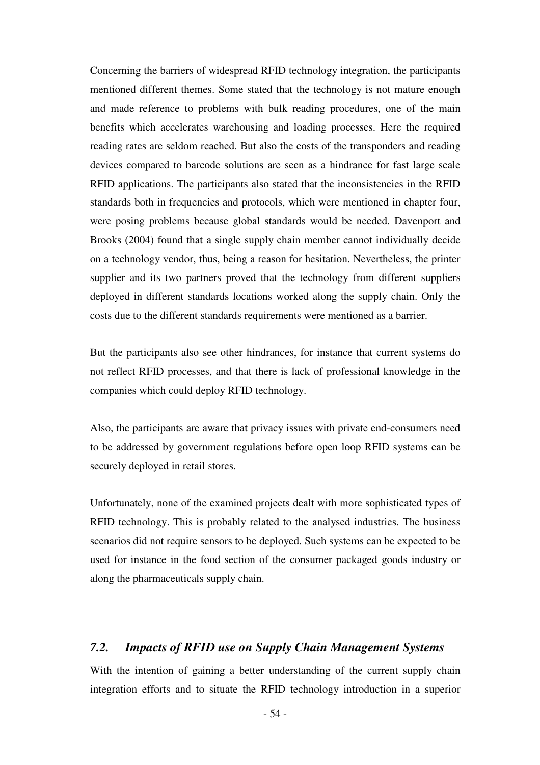Concerning the barriers of widespread RFID technology integration, the participants mentioned different themes. Some stated that the technology is not mature enough and made reference to problems with bulk reading procedures, one of the main benefits which accelerates warehousing and loading processes. Here the required reading rates are seldom reached. But also the costs of the transponders and reading devices compared to barcode solutions are seen as a hindrance for fast large scale RFID applications. The participants also stated that the inconsistencies in the RFID standards both in frequencies and protocols, which were mentioned in chapter four, were posing problems because global standards would be needed. Davenport and Brooks (2004) found that a single supply chain member cannot individually decide on a technology vendor, thus, being a reason for hesitation. Nevertheless, the printer supplier and its two partners proved that the technology from different suppliers deployed in different standards locations worked along the supply chain. Only the costs due to the different standards requirements were mentioned as a barrier.

But the participants also see other hindrances, for instance that current systems do not reflect RFID processes, and that there is lack of professional knowledge in the companies which could deploy RFID technology.

Also, the participants are aware that privacy issues with private end-consumers need to be addressed by government regulations before open loop RFID systems can be securely deployed in retail stores.

Unfortunately, none of the examined projects dealt with more sophisticated types of RFID technology. This is probably related to the analysed industries. The business scenarios did not require sensors to be deployed. Such systems can be expected to be used for instance in the food section of the consumer packaged goods industry or along the pharmaceuticals supply chain.

## *7.2. Impacts of RFID use on Supply Chain Management Systems*

With the intention of gaining a better understanding of the current supply chain integration efforts and to situate the RFID technology introduction in a superior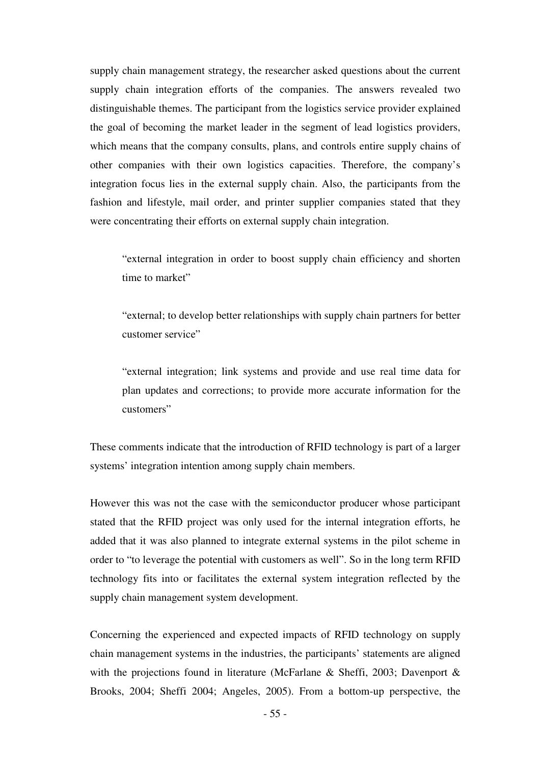supply chain management strategy, the researcher asked questions about the current supply chain integration efforts of the companies. The answers revealed two distinguishable themes. The participant from the logistics service provider explained the goal of becoming the market leader in the segment of lead logistics providers, which means that the company consults, plans, and controls entire supply chains of other companies with their own logistics capacities. Therefore, the company's integration focus lies in the external supply chain. Also, the participants from the fashion and lifestyle, mail order, and printer supplier companies stated that they were concentrating their efforts on external supply chain integration.

"external integration in order to boost supply chain efficiency and shorten time to market"

"external; to develop better relationships with supply chain partners for better customer service"

"external integration; link systems and provide and use real time data for plan updates and corrections; to provide more accurate information for the customers"

These comments indicate that the introduction of RFID technology is part of a larger systems' integration intention among supply chain members.

However this was not the case with the semiconductor producer whose participant stated that the RFID project was only used for the internal integration efforts, he added that it was also planned to integrate external systems in the pilot scheme in order to "to leverage the potential with customers as well". So in the long term RFID technology fits into or facilitates the external system integration reflected by the supply chain management system development.

Concerning the experienced and expected impacts of RFID technology on supply chain management systems in the industries, the participants' statements are aligned with the projections found in literature (McFarlane & Sheffi, 2003; Davenport & Brooks, 2004; Sheffi 2004; Angeles, 2005). From a bottom-up perspective, the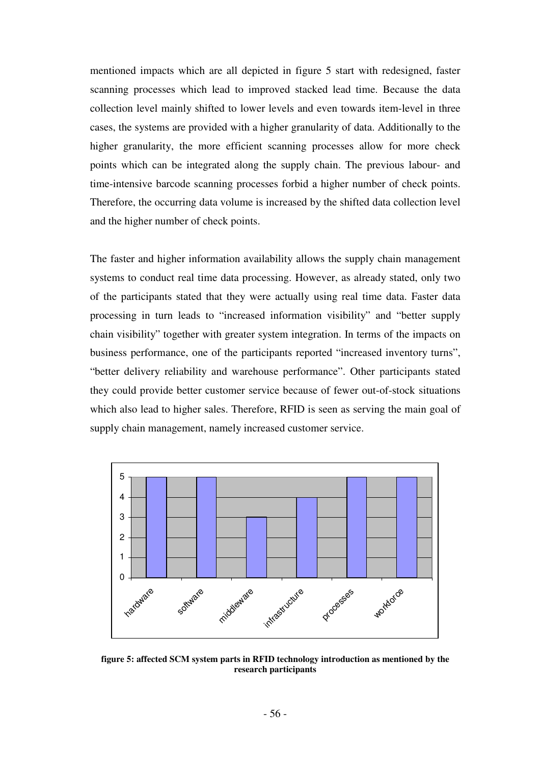mentioned impacts which are all depicted in figure 5 start with redesigned, faster scanning processes which lead to improved stacked lead time. Because the data collection level mainly shifted to lower levels and even towards item-level in three cases, the systems are provided with a higher granularity of data. Additionally to the higher granularity, the more efficient scanning processes allow for more check points which can be integrated along the supply chain. The previous labour- and time-intensive barcode scanning processes forbid a higher number of check points. Therefore, the occurring data volume is increased by the shifted data collection level and the higher number of check points.

The faster and higher information availability allows the supply chain management systems to conduct real time data processing. However, as already stated, only two of the participants stated that they were actually using real time data. Faster data processing in turn leads to "increased information visibility" and "better supply chain visibility" together with greater system integration. In terms of the impacts on business performance, one of the participants reported "increased inventory turns", "better delivery reliability and warehouse performance". Other participants stated they could provide better customer service because of fewer out-of-stock situations which also lead to higher sales. Therefore, RFID is seen as serving the main goal of supply chain management, namely increased customer service.



**figure 5: affected SCM system parts in RFID technology introduction as mentioned by the research participants**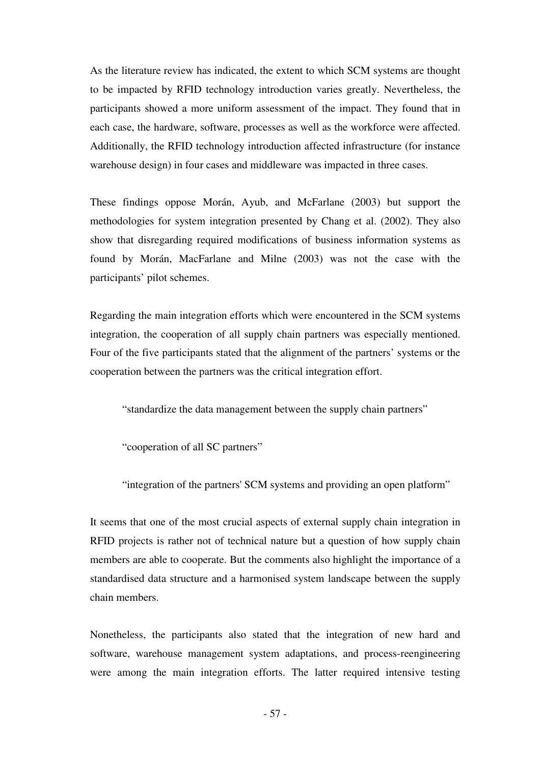As the literature review has indicated, the extent to which SCM systems are thought to be impacted by RFID technology introduction varies greatly. Nevertheless, the participants showed a more uniform assessment of the impact. They found that in each case, the hardware, software, processes as well as the workforce were affected. Additionally, the RFID technology introduction affected infrastructure (for instance warehouse design) in four cases and middleware was impacted in three cases.

These findings oppose Morán, Ayub, and McFarlane (2003) but support the methodologies for system integration presented by Chang et al. (2002). They also show that disregarding required modifications of business information systems as found by Morán, MacFarlane and Milne (2003) was not the case with the participants' pilot schemes.

Regarding the main integration efforts which were encountered in the SCM systems integration, the cooperation of all supply chain partners was especially mentioned. Four of the five participants stated that the alignment of the partners' systems or the cooperation between the partners was the critical integration effort.

"standardize the data management between the supply chain partners"

"cooperation of all SC partners"

"integration of the partners' SCM systems and providing an open platform"

It seems that one of the most crucial aspects of external supply chain integration in RFID projects is rather not of technical nature but a question of how supply chain members are able to cooperate. But the comments also highlight the importance of a standardised data structure and a harmonised system landscape between the supply chain members.

Nonetheless, the participants also stated that the integration of new hard and software, warehouse management system adaptations, and process-reengineering were among the main integration efforts. The latter required intensive testing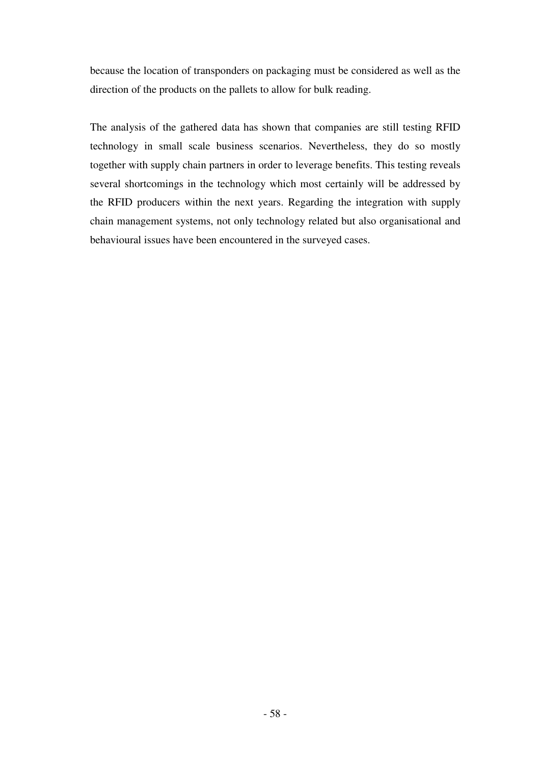because the location of transponders on packaging must be considered as well as the direction of the products on the pallets to allow for bulk reading.

The analysis of the gathered data has shown that companies are still testing RFID technology in small scale business scenarios. Nevertheless, they do so mostly together with supply chain partners in order to leverage benefits. This testing reveals several shortcomings in the technology which most certainly will be addressed by the RFID producers within the next years. Regarding the integration with supply chain management systems, not only technology related but also organisational and behavioural issues have been encountered in the surveyed cases.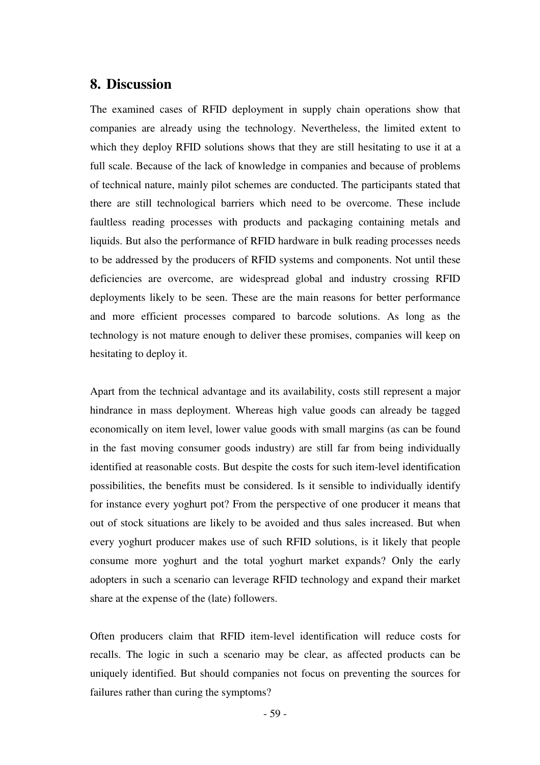## **8. Discussion**

The examined cases of RFID deployment in supply chain operations show that companies are already using the technology. Nevertheless, the limited extent to which they deploy RFID solutions shows that they are still hesitating to use it at a full scale. Because of the lack of knowledge in companies and because of problems of technical nature, mainly pilot schemes are conducted. The participants stated that there are still technological barriers which need to be overcome. These include faultless reading processes with products and packaging containing metals and liquids. But also the performance of RFID hardware in bulk reading processes needs to be addressed by the producers of RFID systems and components. Not until these deficiencies are overcome, are widespread global and industry crossing RFID deployments likely to be seen. These are the main reasons for better performance and more efficient processes compared to barcode solutions. As long as the technology is not mature enough to deliver these promises, companies will keep on hesitating to deploy it.

Apart from the technical advantage and its availability, costs still represent a major hindrance in mass deployment. Whereas high value goods can already be tagged economically on item level, lower value goods with small margins (as can be found in the fast moving consumer goods industry) are still far from being individually identified at reasonable costs. But despite the costs for such item-level identification possibilities, the benefits must be considered. Is it sensible to individually identify for instance every yoghurt pot? From the perspective of one producer it means that out of stock situations are likely to be avoided and thus sales increased. But when every yoghurt producer makes use of such RFID solutions, is it likely that people consume more yoghurt and the total yoghurt market expands? Only the early adopters in such a scenario can leverage RFID technology and expand their market share at the expense of the (late) followers.

Often producers claim that RFID item-level identification will reduce costs for recalls. The logic in such a scenario may be clear, as affected products can be uniquely identified. But should companies not focus on preventing the sources for failures rather than curing the symptoms?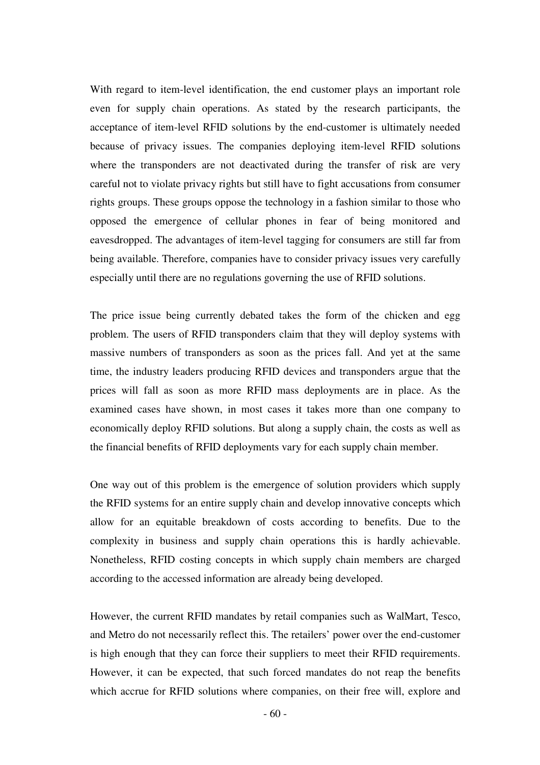With regard to item-level identification, the end customer plays an important role even for supply chain operations. As stated by the research participants, the acceptance of item-level RFID solutions by the end-customer is ultimately needed because of privacy issues. The companies deploying item-level RFID solutions where the transponders are not deactivated during the transfer of risk are very careful not to violate privacy rights but still have to fight accusations from consumer rights groups. These groups oppose the technology in a fashion similar to those who opposed the emergence of cellular phones in fear of being monitored and eavesdropped. The advantages of item-level tagging for consumers are still far from being available. Therefore, companies have to consider privacy issues very carefully especially until there are no regulations governing the use of RFID solutions.

The price issue being currently debated takes the form of the chicken and egg problem. The users of RFID transponders claim that they will deploy systems with massive numbers of transponders as soon as the prices fall. And yet at the same time, the industry leaders producing RFID devices and transponders argue that the prices will fall as soon as more RFID mass deployments are in place. As the examined cases have shown, in most cases it takes more than one company to economically deploy RFID solutions. But along a supply chain, the costs as well as the financial benefits of RFID deployments vary for each supply chain member.

One way out of this problem is the emergence of solution providers which supply the RFID systems for an entire supply chain and develop innovative concepts which allow for an equitable breakdown of costs according to benefits. Due to the complexity in business and supply chain operations this is hardly achievable. Nonetheless, RFID costing concepts in which supply chain members are charged according to the accessed information are already being developed.

However, the current RFID mandates by retail companies such as WalMart, Tesco, and Metro do not necessarily reflect this. The retailers' power over the end-customer is high enough that they can force their suppliers to meet their RFID requirements. However, it can be expected, that such forced mandates do not reap the benefits which accrue for RFID solutions where companies, on their free will, explore and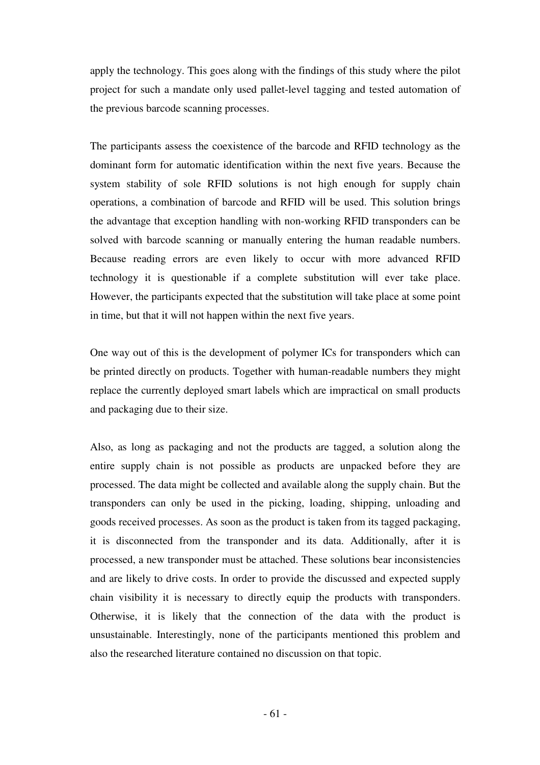apply the technology. This goes along with the findings of this study where the pilot project for such a mandate only used pallet-level tagging and tested automation of the previous barcode scanning processes.

The participants assess the coexistence of the barcode and RFID technology as the dominant form for automatic identification within the next five years. Because the system stability of sole RFID solutions is not high enough for supply chain operations, a combination of barcode and RFID will be used. This solution brings the advantage that exception handling with non-working RFID transponders can be solved with barcode scanning or manually entering the human readable numbers. Because reading errors are even likely to occur with more advanced RFID technology it is questionable if a complete substitution will ever take place. However, the participants expected that the substitution will take place at some point in time, but that it will not happen within the next five years.

One way out of this is the development of polymer ICs for transponders which can be printed directly on products. Together with human-readable numbers they might replace the currently deployed smart labels which are impractical on small products and packaging due to their size.

Also, as long as packaging and not the products are tagged, a solution along the entire supply chain is not possible as products are unpacked before they are processed. The data might be collected and available along the supply chain. But the transponders can only be used in the picking, loading, shipping, unloading and goods received processes. As soon as the product is taken from its tagged packaging, it is disconnected from the transponder and its data. Additionally, after it is processed, a new transponder must be attached. These solutions bear inconsistencies and are likely to drive costs. In order to provide the discussed and expected supply chain visibility it is necessary to directly equip the products with transponders. Otherwise, it is likely that the connection of the data with the product is unsustainable. Interestingly, none of the participants mentioned this problem and also the researched literature contained no discussion on that topic.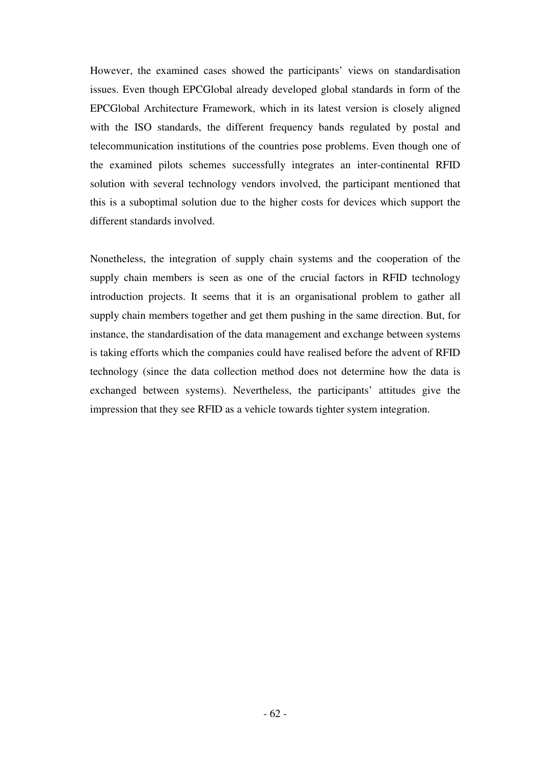However, the examined cases showed the participants' views on standardisation issues. Even though EPCGlobal already developed global standards in form of the EPCGlobal Architecture Framework, which in its latest version is closely aligned with the ISO standards, the different frequency bands regulated by postal and telecommunication institutions of the countries pose problems. Even though one of the examined pilots schemes successfully integrates an inter-continental RFID solution with several technology vendors involved, the participant mentioned that this is a suboptimal solution due to the higher costs for devices which support the different standards involved.

Nonetheless, the integration of supply chain systems and the cooperation of the supply chain members is seen as one of the crucial factors in RFID technology introduction projects. It seems that it is an organisational problem to gather all supply chain members together and get them pushing in the same direction. But, for instance, the standardisation of the data management and exchange between systems is taking efforts which the companies could have realised before the advent of RFID technology (since the data collection method does not determine how the data is exchanged between systems). Nevertheless, the participants' attitudes give the impression that they see RFID as a vehicle towards tighter system integration.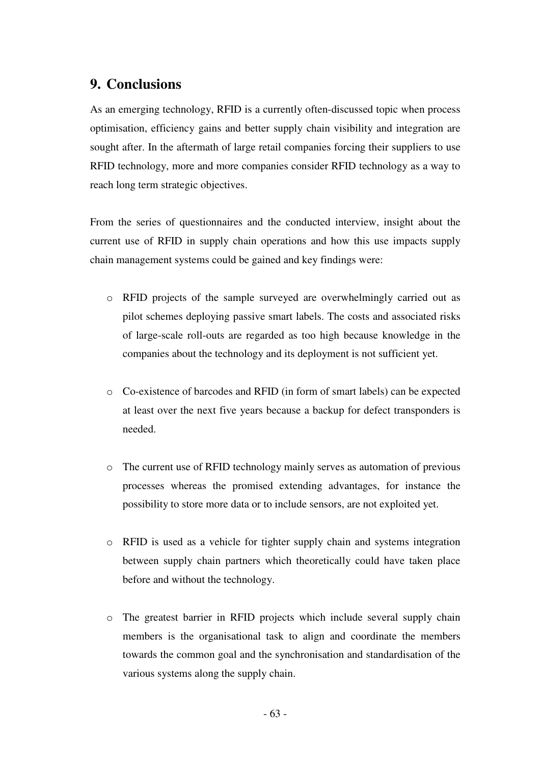## **9. Conclusions**

As an emerging technology, RFID is a currently often-discussed topic when process optimisation, efficiency gains and better supply chain visibility and integration are sought after. In the aftermath of large retail companies forcing their suppliers to use RFID technology, more and more companies consider RFID technology as a way to reach long term strategic objectives.

From the series of questionnaires and the conducted interview, insight about the current use of RFID in supply chain operations and how this use impacts supply chain management systems could be gained and key findings were:

- o RFID projects of the sample surveyed are overwhelmingly carried out as pilot schemes deploying passive smart labels. The costs and associated risks of large-scale roll-outs are regarded as too high because knowledge in the companies about the technology and its deployment is not sufficient yet.
- o Co-existence of barcodes and RFID (in form of smart labels) can be expected at least over the next five years because a backup for defect transponders is needed.
- o The current use of RFID technology mainly serves as automation of previous processes whereas the promised extending advantages, for instance the possibility to store more data or to include sensors, are not exploited yet.
- o RFID is used as a vehicle for tighter supply chain and systems integration between supply chain partners which theoretically could have taken place before and without the technology.
- o The greatest barrier in RFID projects which include several supply chain members is the organisational task to align and coordinate the members towards the common goal and the synchronisation and standardisation of the various systems along the supply chain.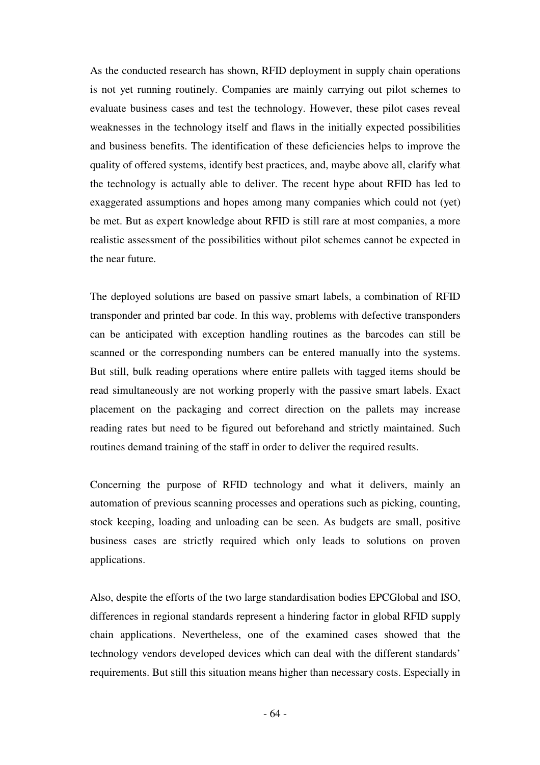As the conducted research has shown, RFID deployment in supply chain operations is not yet running routinely. Companies are mainly carrying out pilot schemes to evaluate business cases and test the technology. However, these pilot cases reveal weaknesses in the technology itself and flaws in the initially expected possibilities and business benefits. The identification of these deficiencies helps to improve the quality of offered systems, identify best practices, and, maybe above all, clarify what the technology is actually able to deliver. The recent hype about RFID has led to exaggerated assumptions and hopes among many companies which could not (yet) be met. But as expert knowledge about RFID is still rare at most companies, a more realistic assessment of the possibilities without pilot schemes cannot be expected in the near future.

The deployed solutions are based on passive smart labels, a combination of RFID transponder and printed bar code. In this way, problems with defective transponders can be anticipated with exception handling routines as the barcodes can still be scanned or the corresponding numbers can be entered manually into the systems. But still, bulk reading operations where entire pallets with tagged items should be read simultaneously are not working properly with the passive smart labels. Exact placement on the packaging and correct direction on the pallets may increase reading rates but need to be figured out beforehand and strictly maintained. Such routines demand training of the staff in order to deliver the required results.

Concerning the purpose of RFID technology and what it delivers, mainly an automation of previous scanning processes and operations such as picking, counting, stock keeping, loading and unloading can be seen. As budgets are small, positive business cases are strictly required which only leads to solutions on proven applications.

Also, despite the efforts of the two large standardisation bodies EPCGlobal and ISO, differences in regional standards represent a hindering factor in global RFID supply chain applications. Nevertheless, one of the examined cases showed that the technology vendors developed devices which can deal with the different standards' requirements. But still this situation means higher than necessary costs. Especially in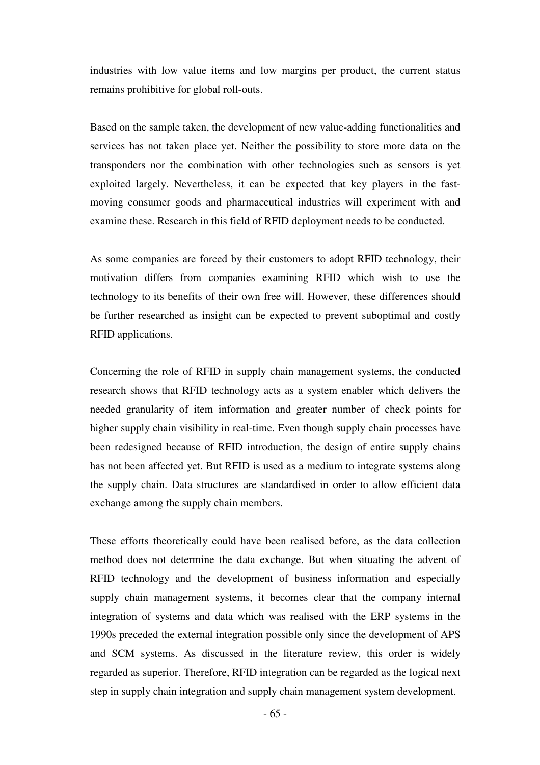industries with low value items and low margins per product, the current status remains prohibitive for global roll-outs.

Based on the sample taken, the development of new value-adding functionalities and services has not taken place yet. Neither the possibility to store more data on the transponders nor the combination with other technologies such as sensors is yet exploited largely. Nevertheless, it can be expected that key players in the fastmoving consumer goods and pharmaceutical industries will experiment with and examine these. Research in this field of RFID deployment needs to be conducted.

As some companies are forced by their customers to adopt RFID technology, their motivation differs from companies examining RFID which wish to use the technology to its benefits of their own free will. However, these differences should be further researched as insight can be expected to prevent suboptimal and costly RFID applications.

Concerning the role of RFID in supply chain management systems, the conducted research shows that RFID technology acts as a system enabler which delivers the needed granularity of item information and greater number of check points for higher supply chain visibility in real-time. Even though supply chain processes have been redesigned because of RFID introduction, the design of entire supply chains has not been affected yet. But RFID is used as a medium to integrate systems along the supply chain. Data structures are standardised in order to allow efficient data exchange among the supply chain members.

These efforts theoretically could have been realised before, as the data collection method does not determine the data exchange. But when situating the advent of RFID technology and the development of business information and especially supply chain management systems, it becomes clear that the company internal integration of systems and data which was realised with the ERP systems in the 1990s preceded the external integration possible only since the development of APS and SCM systems. As discussed in the literature review, this order is widely regarded as superior. Therefore, RFID integration can be regarded as the logical next step in supply chain integration and supply chain management system development.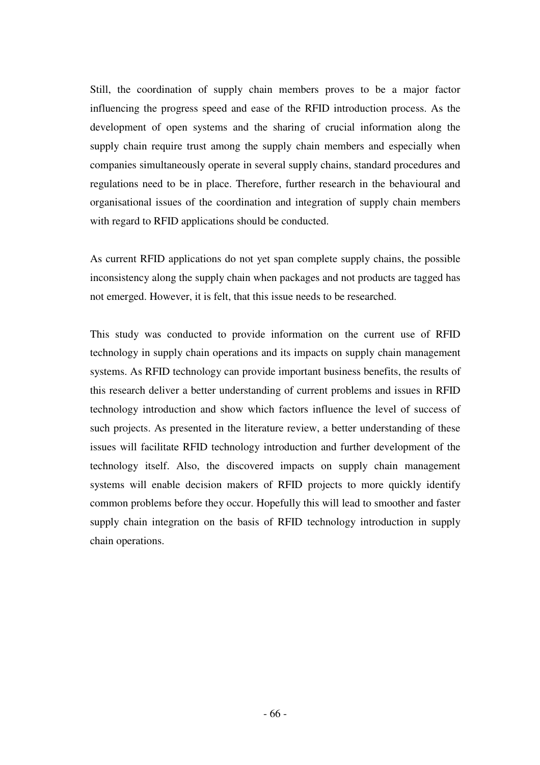Still, the coordination of supply chain members proves to be a major factor influencing the progress speed and ease of the RFID introduction process. As the development of open systems and the sharing of crucial information along the supply chain require trust among the supply chain members and especially when companies simultaneously operate in several supply chains, standard procedures and regulations need to be in place. Therefore, further research in the behavioural and organisational issues of the coordination and integration of supply chain members with regard to RFID applications should be conducted.

As current RFID applications do not yet span complete supply chains, the possible inconsistency along the supply chain when packages and not products are tagged has not emerged. However, it is felt, that this issue needs to be researched.

This study was conducted to provide information on the current use of RFID technology in supply chain operations and its impacts on supply chain management systems. As RFID technology can provide important business benefits, the results of this research deliver a better understanding of current problems and issues in RFID technology introduction and show which factors influence the level of success of such projects. As presented in the literature review, a better understanding of these issues will facilitate RFID technology introduction and further development of the technology itself. Also, the discovered impacts on supply chain management systems will enable decision makers of RFID projects to more quickly identify common problems before they occur. Hopefully this will lead to smoother and faster supply chain integration on the basis of RFID technology introduction in supply chain operations.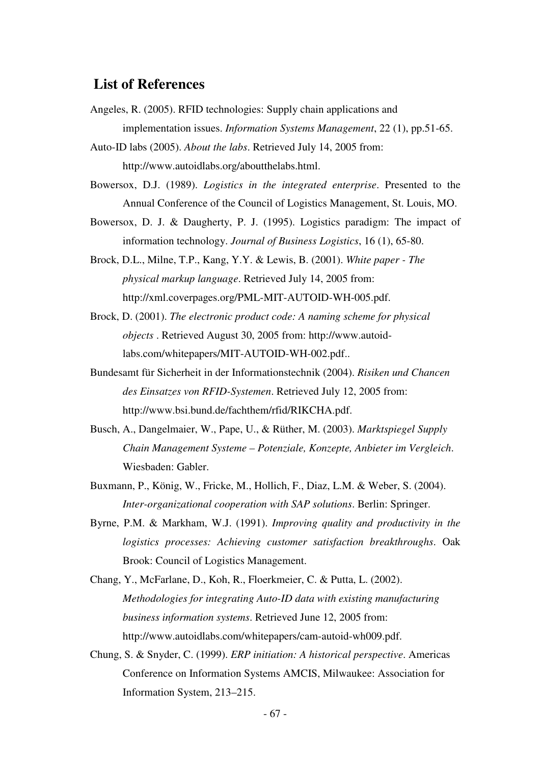### **List of References**

- Angeles, R. (2005). RFID technologies: Supply chain applications and implementation issues. *Information Systems Management*, 22 (1), pp.51-65.
- Auto-ID labs (2005). *About the labs*. Retrieved July 14, 2005 from: http://www.autoidlabs.org/aboutthelabs.html.
- Bowersox, D.J. (1989). *Logistics in the integrated enterprise*. Presented to the Annual Conference of the Council of Logistics Management, St. Louis, MO.
- Bowersox, D. J. & Daugherty, P. J. (1995). Logistics paradigm: The impact of information technology. *Journal of Business Logistics*, 16 (1), 65-80.
- Brock, D.L., Milne, T.P., Kang, Y.Y. & Lewis, B. (2001). *White paper The physical markup language*. Retrieved July 14, 2005 from: http://xml.coverpages.org/PML-MIT-AUTOID-WH-005.pdf.
- Brock, D. (2001). *The electronic product code: A naming scheme for physical objects* . Retrieved August 30, 2005 from: http://www.autoidlabs.com/whitepapers/MIT-AUTOID-WH-002.pdf..
- Bundesamt für Sicherheit in der Informationstechnik (2004). *Risiken und Chancen des Einsatzes von RFID-Systemen*. Retrieved July 12, 2005 from: http://www.bsi.bund.de/fachthem/rfid/RIKCHA.pdf.
- Busch, A., Dangelmaier, W., Pape, U., & Rüther, M. (2003). *Marktspiegel Supply Chain Management Systeme – Potenziale, Konzepte, Anbieter im Vergleich*. Wiesbaden: Gabler.
- Buxmann, P., König, W., Fricke, M., Hollich, F., Diaz, L.M. & Weber, S. (2004). *Inter-organizational cooperation with SAP solutions*. Berlin: Springer.
- Byrne, P.M. & Markham, W.J. (1991). *Improving quality and productivity in the logistics processes: Achieving customer satisfaction breakthroughs*. Oak Brook: Council of Logistics Management.
- Chang, Y., McFarlane, D., Koh, R., Floerkmeier, C. & Putta, L. (2002). *Methodologies for integrating Auto-ID data with existing manufacturing business information systems*. Retrieved June 12, 2005 from: http://www.autoidlabs.com/whitepapers/cam-autoid-wh009.pdf.
- Chung, S. & Snyder, C. (1999). *ERP initiation: A historical perspective*. Americas Conference on Information Systems AMCIS, Milwaukee: Association for Information System, 213–215.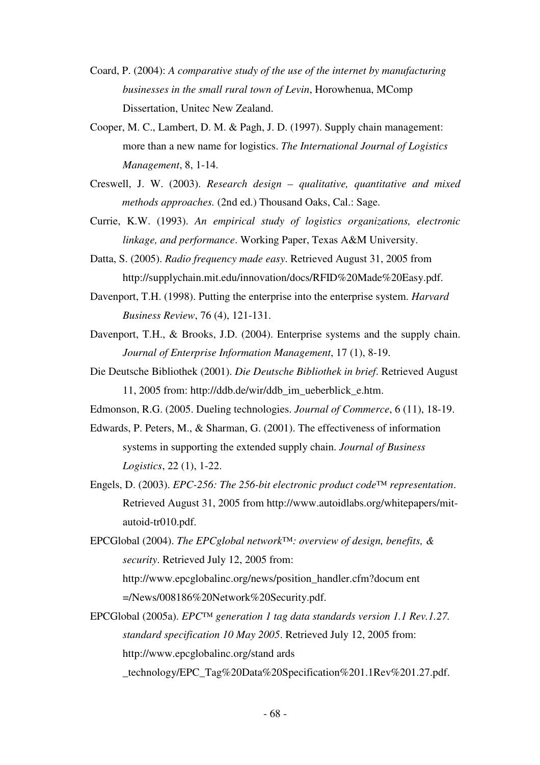- Coard, P. (2004): *A comparative study of the use of the internet by manufacturing businesses in the small rural town of Levin*, Horowhenua, MComp Dissertation, Unitec New Zealand.
- Cooper, M. C., Lambert, D. M. & Pagh, J. D. (1997). Supply chain management: more than a new name for logistics. *The International Journal of Logistics Management*, 8, 1-14.
- Creswell, J. W. (2003). *Research design qualitative, quantitative and mixed methods approaches.* (2nd ed.) Thousand Oaks, Cal.: Sage.
- Currie, K.W. (1993). *An empirical study of logistics organizations, electronic linkage, and performance*. Working Paper, Texas A&M University.
- Datta, S. (2005). *Radio frequency made easy*. Retrieved August 31, 2005 from http://supplychain.mit.edu/innovation/docs/RFID%20Made%20Easy.pdf.
- Davenport, T.H. (1998). Putting the enterprise into the enterprise system. *Harvard Business Review*, 76 (4), 121-131.
- Davenport, T.H., & Brooks, J.D. (2004). Enterprise systems and the supply chain. *Journal of Enterprise Information Management*, 17 (1), 8-19.
- Die Deutsche Bibliothek (2001). *Die Deutsche Bibliothek in brief*. Retrieved August 11, 2005 from: http://ddb.de/wir/ddb\_im\_ueberblick\_e.htm.
- Edmonson, R.G. (2005. Dueling technologies. *Journal of Commerce*, 6 (11), 18-19.
- Edwards, P. Peters, M., & Sharman, G. (2001). The effectiveness of information systems in supporting the extended supply chain. *Journal of Business Logistics*, 22 (1), 1-22.
- Engels, D. (2003). *EPC-256: The 256-bit electronic product code™ representation*. Retrieved August 31, 2005 from http://www.autoidlabs.org/whitepapers/mitautoid-tr010.pdf.
- EPCGlobal (2004). *The EPCglobal network™: overview of design, benefits, & security*. Retrieved July 12, 2005 from: http://www.epcglobalinc.org/news/position\_handler.cfm?docum ent

=/News/008186%20Network%20Security.pdf.

EPCGlobal (2005a). *EPC™ generation 1 tag data standards version 1.1 Rev.1.27. standard specification 10 May 2005*. Retrieved July 12, 2005 from: http://www.epcglobalinc.org/stand ards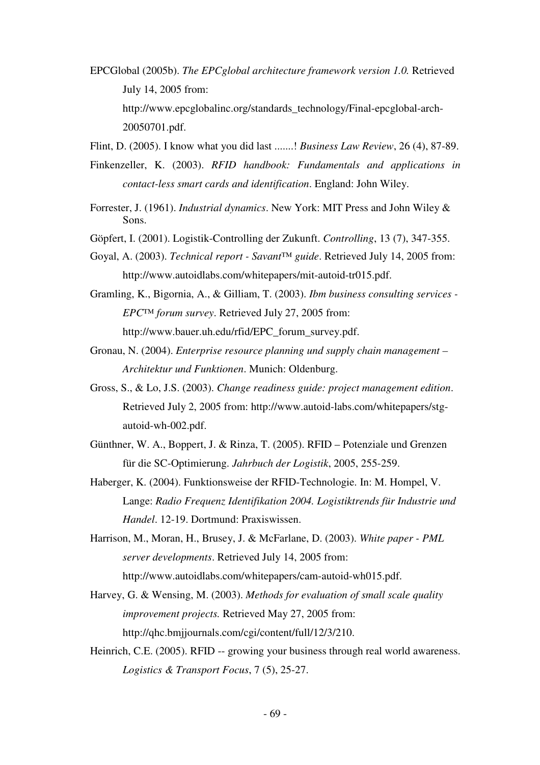- EPCGlobal (2005b). *The EPCglobal architecture framework version 1.0.* Retrieved July 14, 2005 from: http://www.epcglobalinc.org/standards\_technology/Final-epcglobal-arch-20050701.pdf.
- Flint, D. (2005). I know what you did last .......! *Business Law Review*, 26 (4), 87-89.
- Finkenzeller, K. (2003). *RFID handbook: Fundamentals and applications in contact-less smart cards and identification*. England: John Wiley.
- Forrester, J. (1961). *Industrial dynamics*. New York: MIT Press and John Wiley & Sons.
- Göpfert, I. (2001). Logistik-Controlling der Zukunft. *Controlling*, 13 (7), 347-355.
- Goyal, A. (2003). *Technical report Savant™ guide*. Retrieved July 14, 2005 from: http://www.autoidlabs.com/whitepapers/mit-autoid-tr015.pdf.
- Gramling, K., Bigornia, A., & Gilliam, T. (2003). *Ibm business consulting services EPC™ forum survey*. Retrieved July 27, 2005 from: http://www.bauer.uh.edu/rfid/EPC\_forum\_survey.pdf.
- Gronau, N. (2004). *Enterprise resource planning und supply chain management Architektur und Funktionen*. Munich: Oldenburg.
- Gross, S., & Lo, J.S. (2003). *Change readiness guide: project management edition*. Retrieved July 2, 2005 from: http://www.autoid-labs.com/whitepapers/stgautoid-wh-002.pdf.
- Günthner, W. A., Boppert, J. & Rinza, T. (2005). RFID Potenziale und Grenzen für die SC-Optimierung. *Jahrbuch der Logistik*, 2005, 255-259.
- Haberger, K. (2004). Funktionsweise der RFID-Technologie. In: M. Hompel, V. Lange: *Radio Frequenz Identifikation 2004. Logistiktrends für Industrie und Handel*. 12-19. Dortmund: Praxiswissen.
- Harrison, M., Moran, H., Brusey, J. & McFarlane, D. (2003). *White paper PML server developments*. Retrieved July 14, 2005 from: http://www.autoidlabs.com/whitepapers/cam-autoid-wh015.pdf.
- Harvey, G. & Wensing, M. (2003). *Methods for evaluation of small scale quality improvement projects.* Retrieved May 27, 2005 from: http://qhc.bmjjournals.com/cgi/content/full/12/3/210.
- Heinrich, C.E. (2005). RFID -- growing your business through real world awareness. *Logistics & Transport Focus*, 7 (5), 25-27.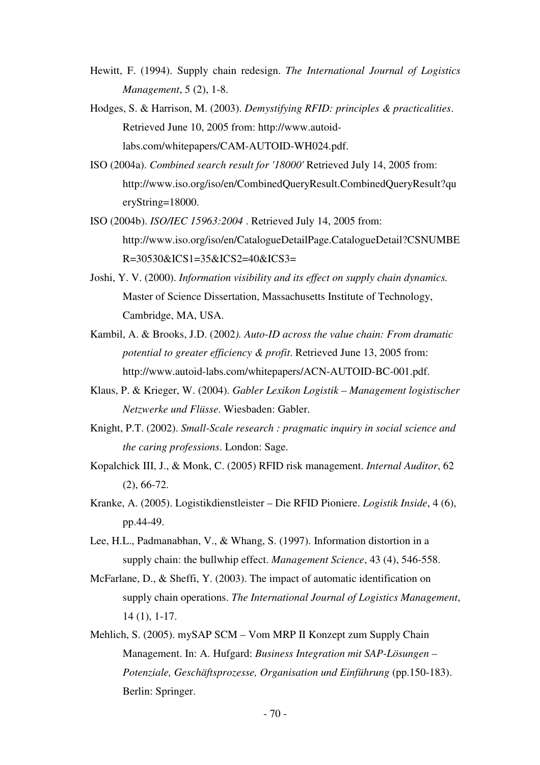- Hewitt, F. (1994). Supply chain redesign. *The International Journal of Logistics Management*, 5 (2), 1-8.
- Hodges, S. & Harrison, M. (2003). *Demystifying RFID: principles & practicalities*. Retrieved June 10, 2005 from: http://www.autoidlabs.com/whitepapers/CAM-AUTOID-WH024.pdf.
- ISO (2004a). *Combined search result for '18000'* Retrieved July 14, 2005 from: http://www.iso.org/iso/en/CombinedQueryResult.CombinedQueryResult?qu eryString=18000.
- ISO (2004b). *ISO/IEC 15963:2004* . Retrieved July 14, 2005 from: http://www.iso.org/iso/en/CatalogueDetailPage.CatalogueDetail?CSNUMBE R=30530&ICS1=35&ICS2=40&ICS3=
- Joshi, Y. V. (2000). *Information visibility and its effect on supply chain dynamics.*  Master of Science Dissertation, Massachusetts Institute of Technology, Cambridge, MA, USA.
- Kambil, A. & Brooks, J.D. (2002*). Auto-ID across the value chain: From dramatic potential to greater efficiency & profit*. Retrieved June 13, 2005 from: http://www.autoid-labs.com/whitepapers/ACN-AUTOID-BC-001.pdf.
- Klaus, P. & Krieger, W. (2004). *Gabler Lexikon Logistik Management logistischer Netzwerke und Flüsse*. Wiesbaden: Gabler.
- Knight, P.T. (2002). *Small-Scale research : pragmatic inquiry in social science and the caring professions*. London: Sage.
- Kopalchick III, J., & Monk, C. (2005) RFID risk management. *Internal Auditor*, 62 (2), 66-72.
- Kranke, A. (2005). Logistikdienstleister Die RFID Pioniere. *Logistik Inside*, 4 (6), pp.44-49.
- Lee, H.L., Padmanabhan, V., & Whang, S. (1997). Information distortion in a supply chain: the bullwhip effect. *Management Science*, 43 (4), 546-558.
- McFarlane, D., & Sheffi, Y. (2003). The impact of automatic identification on supply chain operations. *The International Journal of Logistics Management*, 14 (1), 1-17.
- Mehlich, S. (2005). mySAP SCM Vom MRP II Konzept zum Supply Chain Management. In: A. Hufgard: *Business Integration mit SAP-Lösungen – Potenziale, Geschäftsprozesse, Organisation und Einführung* (pp.150-183). Berlin: Springer.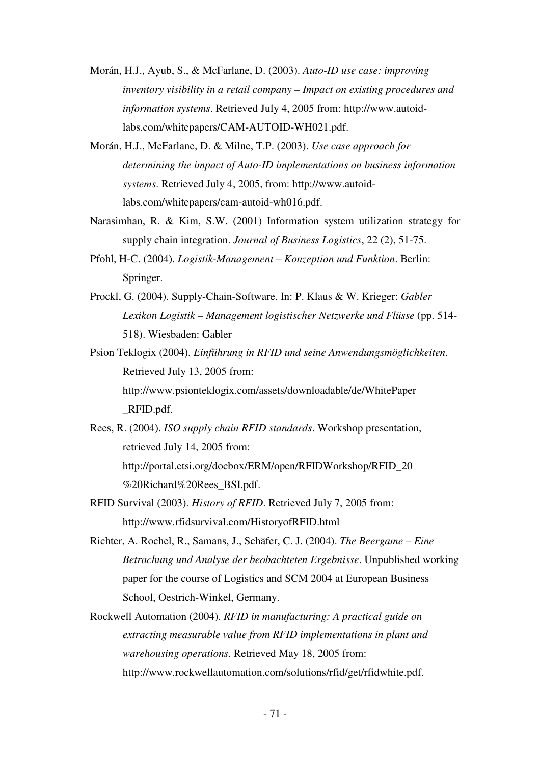- Morán, H.J., Ayub, S., & McFarlane, D. (2003). *Auto-ID use case: improving inventory visibility in a retail company – Impact on existing procedures and information systems*. Retrieved July 4, 2005 from: http://www.autoidlabs.com/whitepapers/CAM-AUTOID-WH021.pdf.
- Morán, H.J., McFarlane, D. & Milne, T.P. (2003). *Use case approach for determining the impact of Auto-ID implementations on business information systems*. Retrieved July 4, 2005, from: http://www.autoidlabs.com/whitepapers/cam-autoid-wh016.pdf.
- Narasimhan, R. & Kim, S.W. (2001) Information system utilization strategy for supply chain integration. *Journal of Business Logistics*, 22 (2), 51-75.
- Pfohl, H-C. (2004). *Logistik-Management Konzeption und Funktion*. Berlin: Springer.
- Prockl, G. (2004). Supply-Chain-Software. In: P. Klaus & W. Krieger: *Gabler Lexikon Logistik – Management logistischer Netzwerke und Flüsse* (pp. 514- 518). Wiesbaden: Gabler
- Psion Teklogix (2004). *Einführung in RFID und seine Anwendungsmöglichkeiten*. Retrieved July 13, 2005 from: http://www.psionteklogix.com/assets/downloadable/de/WhitePaper \_RFID.pdf.
- Rees, R. (2004). *ISO supply chain RFID standards*. Workshop presentation, retrieved July 14, 2005 from: http://portal.etsi.org/docbox/ERM/open/RFIDWorkshop/RFID\_20 %20Richard%20Rees\_BSI.pdf.
- RFID Survival (2003). *History of RFID*. Retrieved July 7, 2005 from: http://www.rfidsurvival.com/HistoryofRFID.html
- Richter, A. Rochel, R., Samans, J., Schäfer, C. J. (2004). *The Beergame Eine Betrachung und Analyse der beobachteten Ergebnisse*. Unpublished working paper for the course of Logistics and SCM 2004 at European Business School, Oestrich-Winkel, Germany.
- Rockwell Automation (2004). *RFID in manufacturing: A practical guide on extracting measurable value from RFID implementations in plant and warehousing operations*. Retrieved May 18, 2005 from: http://www.rockwellautomation.com/solutions/rfid/get/rfidwhite.pdf.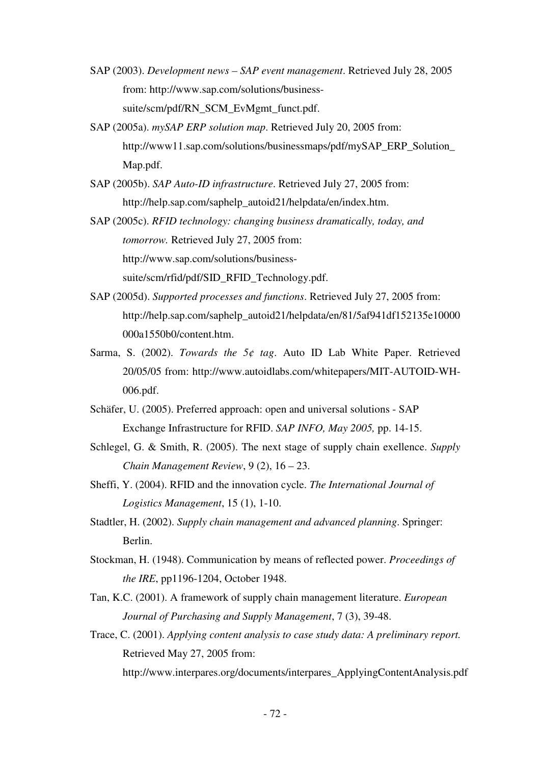- SAP (2003). *Development news SAP event management*. Retrieved July 28, 2005 from: http://www.sap.com/solutions/businesssuite/scm/pdf/RN\_SCM\_EvMgmt\_funct.pdf.
- SAP (2005a). *mySAP ERP solution map*. Retrieved July 20, 2005 from: http://www11.sap.com/solutions/businessmaps/pdf/mySAP\_ERP\_Solution\_ Map.pdf.
- SAP (2005b). *SAP Auto-ID infrastructure*. Retrieved July 27, 2005 from: http://help.sap.com/saphelp\_autoid21/helpdata/en/index.htm.
- SAP (2005c). *RFID technology: changing business dramatically, today, and tomorrow.* Retrieved July 27, 2005 from: http://www.sap.com/solutions/business-

suite/scm/rfid/pdf/SID\_RFID\_Technology.pdf.

- SAP (2005d). *Supported processes and functions*. Retrieved July 27, 2005 from: http://help.sap.com/saphelp\_autoid21/helpdata/en/81/5af941df152135e10000 000a1550b0/content.htm.
- Sarma, S. (2002). *Towards the 5¢ tag*. Auto ID Lab White Paper. Retrieved 20/05/05 from: http://www.autoidlabs.com/whitepapers/MIT-AUTOID-WH-006.pdf.
- Schäfer, U. (2005). Preferred approach: open and universal solutions SAP Exchange Infrastructure for RFID. *SAP INFO, May 2005,* pp. 14-15.
- Schlegel, G. & Smith, R. (2005). The next stage of supply chain exellence. *Supply Chain Management Review*, 9 (2), 16 – 23.
- Sheffi, Y. (2004). RFID and the innovation cycle. *The International Journal of Logistics Management*, 15 (1), 1-10.
- Stadtler, H. (2002). *Supply chain management and advanced planning*. Springer: Berlin.
- Stockman, H. (1948). Communication by means of reflected power. *Proceedings of the IRE*, pp1196-1204, October 1948.
- Tan, K.C. (2001). A framework of supply chain management literature. *European Journal of Purchasing and Supply Management*, 7 (3), 39-48.
- Trace, C. (2001). *Applying content analysis to case study data: A preliminary report.*  Retrieved May 27, 2005 from: http://www.interpares.org/documents/interpares\_ApplyingContentAnalysis.pdf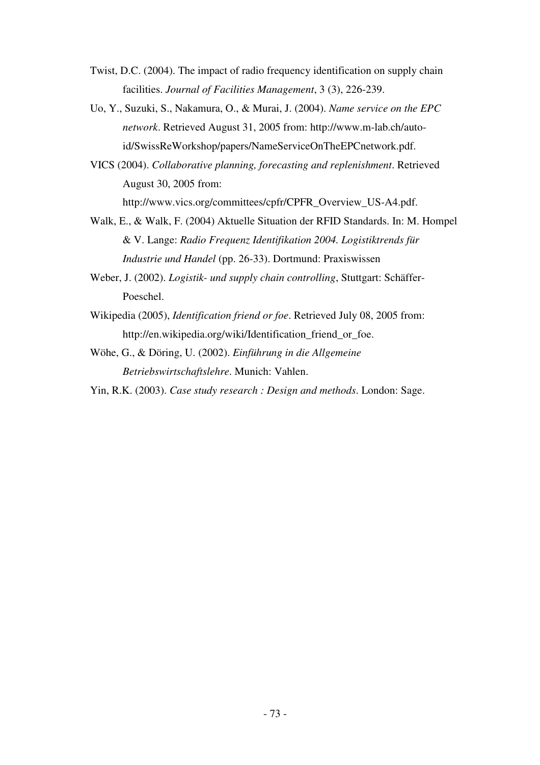- Twist, D.C. (2004). The impact of radio frequency identification on supply chain facilities. *Journal of Facilities Management*, 3 (3), 226-239.
- Uo, Y., Suzuki, S., Nakamura, O., & Murai, J. (2004). *Name service on the EPC network*. Retrieved August 31, 2005 from: http://www.m-lab.ch/autoid/SwissReWorkshop/papers/NameServiceOnTheEPCnetwork.pdf.
- VICS (2004). *Collaborative planning, forecasting and replenishment*. Retrieved August 30, 2005 from:

http://www.vics.org/committees/cpfr/CPFR\_Overview\_US-A4.pdf.

- Walk, E., & Walk, F. (2004) Aktuelle Situation der RFID Standards. In: M. Hompel & V. Lange: *Radio Frequenz Identifikation 2004. Logistiktrends für Industrie und Handel* (pp. 26-33). Dortmund: Praxiswissen
- Weber, J. (2002). *Logistik- und supply chain controlling*, Stuttgart: Schäffer-Poeschel.
- Wikipedia (2005), *Identification friend or foe*. Retrieved July 08, 2005 from: http://en.wikipedia.org/wiki/Identification friend or foe.
- Wöhe, G., & Döring, U. (2002). *Einführung in die Allgemeine Betriebswirtschaftslehre*. Munich: Vahlen.
- Yin, R.K. (2003). *Case study research : Design and methods*. London: Sage.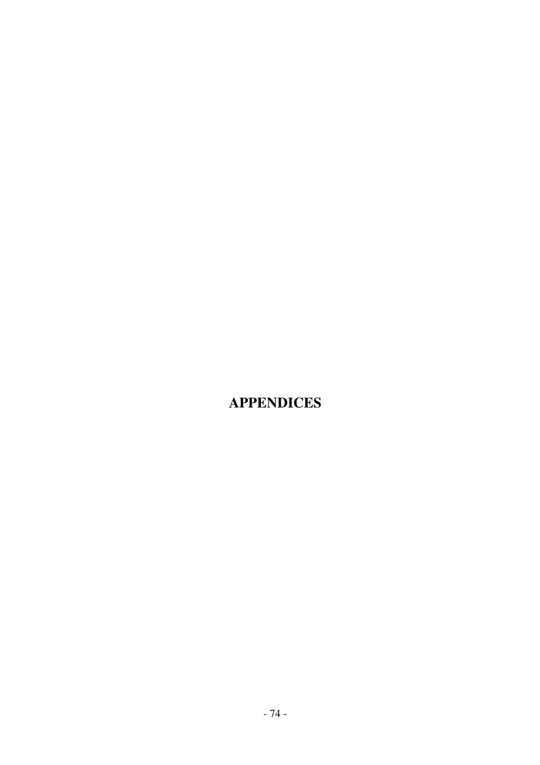# **APPENDICES**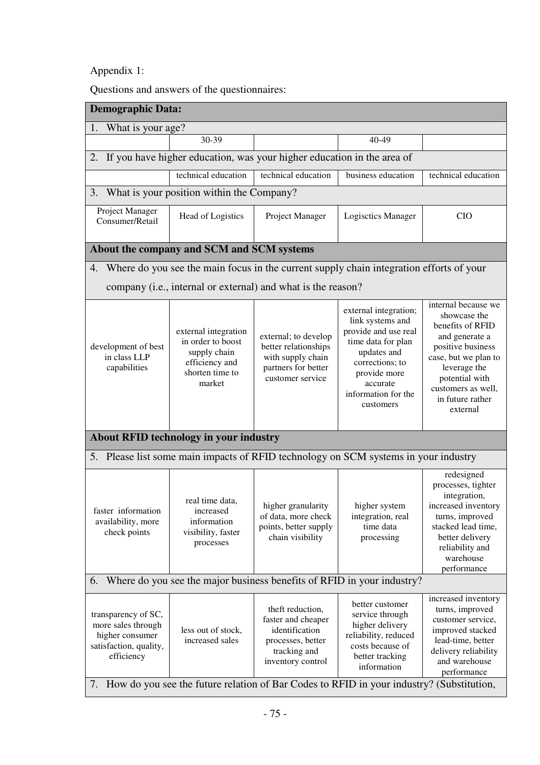### Appendix 1:

Questions and answers of the questionnaires:

| <b>Demographic Data:</b>                                                                                                                                                                                                                                                                                                                                                                                                                                                                                                                                                                                                                                                                       |                                                                                         |                                                                                                                    |                                                                                                                                     |                                                                                                                                                                                    |  |  |  |  |
|------------------------------------------------------------------------------------------------------------------------------------------------------------------------------------------------------------------------------------------------------------------------------------------------------------------------------------------------------------------------------------------------------------------------------------------------------------------------------------------------------------------------------------------------------------------------------------------------------------------------------------------------------------------------------------------------|-----------------------------------------------------------------------------------------|--------------------------------------------------------------------------------------------------------------------|-------------------------------------------------------------------------------------------------------------------------------------|------------------------------------------------------------------------------------------------------------------------------------------------------------------------------------|--|--|--|--|
| What is your age?<br>1.                                                                                                                                                                                                                                                                                                                                                                                                                                                                                                                                                                                                                                                                        |                                                                                         |                                                                                                                    |                                                                                                                                     |                                                                                                                                                                                    |  |  |  |  |
|                                                                                                                                                                                                                                                                                                                                                                                                                                                                                                                                                                                                                                                                                                | 30-39                                                                                   |                                                                                                                    | 40-49                                                                                                                               |                                                                                                                                                                                    |  |  |  |  |
| If you have higher education, was your higher education in the area of<br>2.                                                                                                                                                                                                                                                                                                                                                                                                                                                                                                                                                                                                                   |                                                                                         |                                                                                                                    |                                                                                                                                     |                                                                                                                                                                                    |  |  |  |  |
|                                                                                                                                                                                                                                                                                                                                                                                                                                                                                                                                                                                                                                                                                                | technical education<br>technical education<br>business education<br>technical education |                                                                                                                    |                                                                                                                                     |                                                                                                                                                                                    |  |  |  |  |
| 3.                                                                                                                                                                                                                                                                                                                                                                                                                                                                                                                                                                                                                                                                                             | What is your position within the Company?                                               |                                                                                                                    |                                                                                                                                     |                                                                                                                                                                                    |  |  |  |  |
| Project Manager<br>Consumer/Retail                                                                                                                                                                                                                                                                                                                                                                                                                                                                                                                                                                                                                                                             | Head of Logistics                                                                       | Project Manager                                                                                                    | <b>Logisctics Manager</b>                                                                                                           | <b>CIO</b>                                                                                                                                                                         |  |  |  |  |
|                                                                                                                                                                                                                                                                                                                                                                                                                                                                                                                                                                                                                                                                                                | About the company and SCM and SCM systems                                               |                                                                                                                    |                                                                                                                                     |                                                                                                                                                                                    |  |  |  |  |
| 4.                                                                                                                                                                                                                                                                                                                                                                                                                                                                                                                                                                                                                                                                                             |                                                                                         |                                                                                                                    | Where do you see the main focus in the current supply chain integration efforts of your                                             |                                                                                                                                                                                    |  |  |  |  |
|                                                                                                                                                                                                                                                                                                                                                                                                                                                                                                                                                                                                                                                                                                |                                                                                         | company (i.e., internal or external) and what is the reason?                                                       |                                                                                                                                     |                                                                                                                                                                                    |  |  |  |  |
| internal because we<br>external integration;<br>showcase the<br>link systems and<br>benefits of RFID<br>provide and use real<br>external integration<br>external; to develop<br>and generate a<br>in order to boost<br>time data for plan<br>better relationships<br>positive business<br>development of best<br>updates and<br>supply chain<br>in class LLP<br>with supply chain<br>case, but we plan to<br>efficiency and<br>corrections; to<br>partners for better<br>capabilities<br>leverage the<br>shorten time to<br>provide more<br>potential with<br>customer service<br>market<br>accurate<br>customers as well,<br>information for the<br>in future rather<br>customers<br>external |                                                                                         |                                                                                                                    |                                                                                                                                     |                                                                                                                                                                                    |  |  |  |  |
|                                                                                                                                                                                                                                                                                                                                                                                                                                                                                                                                                                                                                                                                                                | About RFID technology in your industry                                                  |                                                                                                                    |                                                                                                                                     |                                                                                                                                                                                    |  |  |  |  |
|                                                                                                                                                                                                                                                                                                                                                                                                                                                                                                                                                                                                                                                                                                |                                                                                         |                                                                                                                    | 5. Please list some main impacts of RFID technology on SCM systems in your industry                                                 |                                                                                                                                                                                    |  |  |  |  |
| real time data,<br>faster information<br>increased<br>availability, more<br>information<br>check points<br>visibility, faster<br>processes                                                                                                                                                                                                                                                                                                                                                                                                                                                                                                                                                     |                                                                                         | higher granularity<br>of data, more check<br>points, better supply<br>chain visibility                             | higher system<br>integration, real<br>time data<br>processing                                                                       | redesigned<br>processes, tighter<br>integration,<br>increased inventory<br>turns, improved<br>stacked lead time,<br>better delivery<br>reliability and<br>warehouse<br>performance |  |  |  |  |
| 6. Where do you see the major business benefits of RFID in your industry?                                                                                                                                                                                                                                                                                                                                                                                                                                                                                                                                                                                                                      |                                                                                         |                                                                                                                    |                                                                                                                                     |                                                                                                                                                                                    |  |  |  |  |
| transparency of SC,<br>more sales through<br>higher consumer<br>satisfaction, quality,<br>efficiency                                                                                                                                                                                                                                                                                                                                                                                                                                                                                                                                                                                           | less out of stock,<br>increased sales                                                   | theft reduction,<br>faster and cheaper<br>identification<br>processes, better<br>tracking and<br>inventory control | better customer<br>service through<br>higher delivery<br>reliability, reduced<br>costs because of<br>better tracking<br>information | increased inventory<br>turns, improved<br>customer service,<br>improved stacked<br>lead-time, better<br>delivery reliability<br>and warehouse<br>performance                       |  |  |  |  |
| How do you see the future relation of Bar Codes to RFID in your industry? (Substitution,<br>7.                                                                                                                                                                                                                                                                                                                                                                                                                                                                                                                                                                                                 |                                                                                         |                                                                                                                    |                                                                                                                                     |                                                                                                                                                                                    |  |  |  |  |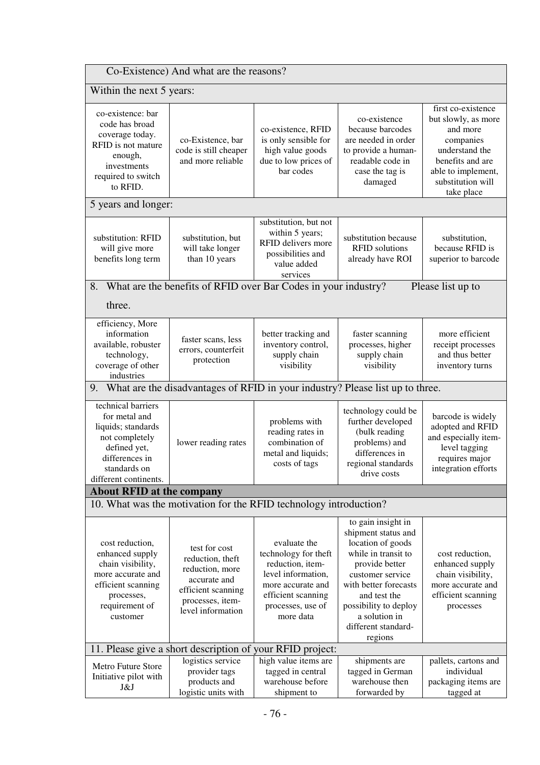| Co-Existence) And what are the reasons?                                                                                                                                       |                                                                                                                                     |                                                                                                                                                             |                                                                                                                                                                                                                                                  |                                                                                                                                                                   |  |
|-------------------------------------------------------------------------------------------------------------------------------------------------------------------------------|-------------------------------------------------------------------------------------------------------------------------------------|-------------------------------------------------------------------------------------------------------------------------------------------------------------|--------------------------------------------------------------------------------------------------------------------------------------------------------------------------------------------------------------------------------------------------|-------------------------------------------------------------------------------------------------------------------------------------------------------------------|--|
| Within the next 5 years:                                                                                                                                                      |                                                                                                                                     |                                                                                                                                                             |                                                                                                                                                                                                                                                  |                                                                                                                                                                   |  |
| co-existence: bar<br>code has broad<br>coverage today.<br>RFID is not mature<br>enough,<br>investments<br>required to switch<br>to RFID.                                      | co-Existence, bar<br>code is still cheaper<br>and more reliable                                                                     | co-existence, RFID<br>is only sensible for<br>high value goods<br>due to low prices of<br>bar codes                                                         | co-existence<br>because barcodes<br>are needed in order<br>to provide a human-<br>readable code in<br>case the tag is<br>damaged                                                                                                                 | first co-existence<br>but slowly, as more<br>and more<br>companies<br>understand the<br>benefits and are<br>able to implement,<br>substitution will<br>take place |  |
| 5 years and longer:                                                                                                                                                           |                                                                                                                                     |                                                                                                                                                             |                                                                                                                                                                                                                                                  |                                                                                                                                                                   |  |
| substitution: RFID<br>will give more<br>benefits long term                                                                                                                    | substitution, but<br>will take longer<br>than 10 years                                                                              | substitution, but not<br>within 5 years;<br>RFID delivers more<br>possibilities and<br>value added<br>services                                              | substitution because<br><b>RFID</b> solutions<br>already have ROI                                                                                                                                                                                | substitution,<br>because RFID is<br>superior to barcode                                                                                                           |  |
| 8.                                                                                                                                                                            | What are the benefits of RFID over Bar Codes in your industry?                                                                      |                                                                                                                                                             |                                                                                                                                                                                                                                                  | Please list up to                                                                                                                                                 |  |
| three.                                                                                                                                                                        |                                                                                                                                     |                                                                                                                                                             |                                                                                                                                                                                                                                                  |                                                                                                                                                                   |  |
| efficiency, More<br>information<br>available, robuster<br>technology,<br>coverage of other<br>industries                                                                      | faster scans, less<br>errors, counterfeit<br>protection                                                                             | better tracking and<br>inventory control,<br>supply chain<br>visibility                                                                                     | faster scanning<br>processes, higher<br>supply chain<br>visibility                                                                                                                                                                               | more efficient<br>receipt processes<br>and thus better<br>inventory turns                                                                                         |  |
| 9.                                                                                                                                                                            | What are the disadvantages of RFID in your industry? Please list up to three.                                                       |                                                                                                                                                             |                                                                                                                                                                                                                                                  |                                                                                                                                                                   |  |
| technical barriers<br>for metal and<br>liquids; standards<br>not completely<br>lower reading rates<br>defined yet,<br>differences in<br>standards on<br>different continents. |                                                                                                                                     | problems with<br>reading rates in<br>combination of<br>metal and liquids;<br>costs of tags                                                                  | technology could be<br>further developed<br>(bulk reading<br>problems) and<br>differences in<br>regional standards<br>drive costs                                                                                                                | barcode is widely<br>adopted and RFID<br>and especially item-<br>level tagging<br>requires major<br>integration efforts                                           |  |
| <b>About RFID at the company</b>                                                                                                                                              |                                                                                                                                     |                                                                                                                                                             |                                                                                                                                                                                                                                                  |                                                                                                                                                                   |  |
|                                                                                                                                                                               | 10. What was the motivation for the RFID technology introduction?                                                                   |                                                                                                                                                             |                                                                                                                                                                                                                                                  |                                                                                                                                                                   |  |
| cost reduction,<br>enhanced supply<br>chain visibility,<br>more accurate and<br>efficient scanning<br>processes,<br>requirement of<br>customer                                | test for cost<br>reduction, theft<br>reduction, more<br>accurate and<br>efficient scanning<br>processes, item-<br>level information | evaluate the<br>technology for theft<br>reduction, item-<br>level information,<br>more accurate and<br>efficient scanning<br>processes, use of<br>more data | to gain insight in<br>shipment status and<br>location of goods<br>while in transit to<br>provide better<br>customer service<br>with better forecasts<br>and test the<br>possibility to deploy<br>a solution in<br>different standard-<br>regions | cost reduction,<br>enhanced supply<br>chain visibility,<br>more accurate and<br>efficient scanning<br>processes                                                   |  |
|                                                                                                                                                                               | 11. Please give a short description of your RFID project:                                                                           |                                                                                                                                                             |                                                                                                                                                                                                                                                  |                                                                                                                                                                   |  |
| Metro Future Store<br>Initiative pilot with<br>J&J                                                                                                                            | logistics service<br>provider tags<br>products and<br>logistic units with                                                           | high value items are<br>tagged in central<br>warehouse before<br>shipment to                                                                                | shipments are<br>tagged in German<br>warehouse then<br>forwarded by                                                                                                                                                                              | pallets, cartons and<br>individual<br>packaging items are<br>tagged at                                                                                            |  |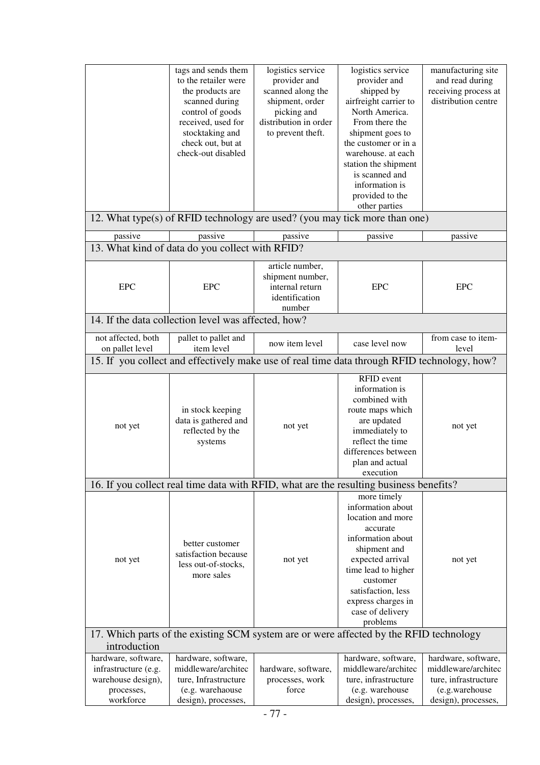|                                                                                              | tags and sends them<br>to the retailer were<br>the products are<br>scanned during<br>control of goods<br>received, used for<br>stocktaking and<br>check out, but at<br>check-out disabled | logistics service<br>provider and<br>scanned along the<br>shipment, order<br>picking and<br>distribution in order<br>to prevent theft. | logistics service<br>provider and<br>shipped by<br>airfreight carrier to<br>North America.<br>From there the<br>shipment goes to<br>the customer or in a<br>warehouse. at each<br>station the shipment<br>is scanned and<br>information is<br>provided to the<br>other parties | manufacturing site<br>and read during<br>receiving process at<br>distribution centre                        |  |  |  |
|----------------------------------------------------------------------------------------------|-------------------------------------------------------------------------------------------------------------------------------------------------------------------------------------------|----------------------------------------------------------------------------------------------------------------------------------------|--------------------------------------------------------------------------------------------------------------------------------------------------------------------------------------------------------------------------------------------------------------------------------|-------------------------------------------------------------------------------------------------------------|--|--|--|
|                                                                                              |                                                                                                                                                                                           |                                                                                                                                        | 12. What type(s) of RFID technology are used? (you may tick more than one)                                                                                                                                                                                                     |                                                                                                             |  |  |  |
| passive                                                                                      | passive                                                                                                                                                                                   | passive                                                                                                                                | passive                                                                                                                                                                                                                                                                        | passive                                                                                                     |  |  |  |
|                                                                                              | 13. What kind of data do you collect with RFID?                                                                                                                                           |                                                                                                                                        |                                                                                                                                                                                                                                                                                |                                                                                                             |  |  |  |
| <b>EPC</b>                                                                                   | <b>EPC</b>                                                                                                                                                                                | article number,<br>shipment number,<br>internal return<br>identification<br>number                                                     | <b>EPC</b>                                                                                                                                                                                                                                                                     | <b>EPC</b>                                                                                                  |  |  |  |
|                                                                                              | 14. If the data collection level was affected, how?                                                                                                                                       |                                                                                                                                        |                                                                                                                                                                                                                                                                                |                                                                                                             |  |  |  |
| not affected, both<br>pallet to pallet and<br>item level<br>on pallet level                  |                                                                                                                                                                                           | now item level                                                                                                                         | case level now                                                                                                                                                                                                                                                                 | from case to item-<br>level                                                                                 |  |  |  |
|                                                                                              |                                                                                                                                                                                           |                                                                                                                                        | 15. If you collect and effectively make use of real time data through RFID technology, how?                                                                                                                                                                                    |                                                                                                             |  |  |  |
| not yet                                                                                      | in stock keeping<br>data is gathered and<br>reflected by the<br>systems                                                                                                                   | not yet                                                                                                                                | RFID event<br>information is<br>combined with<br>route maps which<br>are updated<br>immediately to<br>reflect the time<br>differences between<br>plan and actual<br>execution                                                                                                  | not yet                                                                                                     |  |  |  |
|                                                                                              |                                                                                                                                                                                           |                                                                                                                                        | 16. If you collect real time data with RFID, what are the resulting business benefits?                                                                                                                                                                                         |                                                                                                             |  |  |  |
| not yet                                                                                      | better customer<br>satisfaction because<br>less out-of-stocks,<br>more sales                                                                                                              | not yet                                                                                                                                | more timely<br>information about<br>location and more<br>accurate<br>information about<br>shipment and<br>expected arrival<br>time lead to higher<br>customer<br>satisfaction, less<br>express charges in<br>case of delivery<br>problems                                      | not yet                                                                                                     |  |  |  |
| 17. Which parts of the existing SCM system are or were affected by the RFID technology       |                                                                                                                                                                                           |                                                                                                                                        |                                                                                                                                                                                                                                                                                |                                                                                                             |  |  |  |
| introduction                                                                                 |                                                                                                                                                                                           |                                                                                                                                        |                                                                                                                                                                                                                                                                                |                                                                                                             |  |  |  |
| hardware, software,<br>infrastructure (e.g.<br>warehouse design),<br>processes,<br>workforce | hardware, software,<br>middleware/architec<br>ture, Infrastructure<br>(e.g. warehaouse<br>design), processes,                                                                             | hardware, software,<br>processes, work<br>force                                                                                        | hardware, software,<br>middleware/architec<br>ture, infrastructure<br>(e.g. warehouse<br>design), processes,                                                                                                                                                                   | hardware, software,<br>middleware/architec<br>ture, infrastructure<br>(e.g.warehouse<br>design), processes, |  |  |  |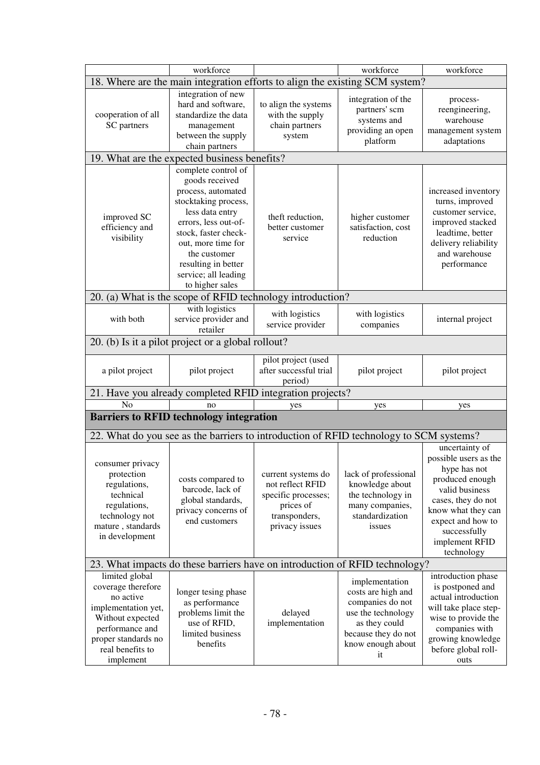|                                                                                                                                                                         | workforce                                                                                                                                                                                                                                                                                                        |                                                                                                               | workforce                                                                                                                                         | workforce                                                                                                                                                                                                     |
|-------------------------------------------------------------------------------------------------------------------------------------------------------------------------|------------------------------------------------------------------------------------------------------------------------------------------------------------------------------------------------------------------------------------------------------------------------------------------------------------------|---------------------------------------------------------------------------------------------------------------|---------------------------------------------------------------------------------------------------------------------------------------------------|---------------------------------------------------------------------------------------------------------------------------------------------------------------------------------------------------------------|
| 18. Where are the main integration efforts to align the existing SCM system?                                                                                            |                                                                                                                                                                                                                                                                                                                  |                                                                                                               |                                                                                                                                                   |                                                                                                                                                                                                               |
| cooperation of all<br>SC partners                                                                                                                                       | integration of new<br>hard and software,<br>standardize the data<br>management<br>between the supply<br>chain partners                                                                                                                                                                                           | to align the systems<br>with the supply<br>chain partners<br>system                                           | integration of the<br>partners' scm<br>systems and<br>providing an open<br>platform                                                               | process-<br>reengineering,<br>warehouse<br>management system<br>adaptations                                                                                                                                   |
|                                                                                                                                                                         | 19. What are the expected business benefits?                                                                                                                                                                                                                                                                     |                                                                                                               |                                                                                                                                                   |                                                                                                                                                                                                               |
| improved SC<br>efficiency and<br>visibility                                                                                                                             | complete control of<br>goods received<br>process, automated<br>stocktaking process,<br>less data entry<br>theft reduction,<br>errors, less out-of-<br>better customer<br>stock, faster check-<br>service<br>out, more time for<br>the customer<br>resulting in better<br>service; all leading<br>to higher sales |                                                                                                               | higher customer<br>satisfaction, cost<br>reduction                                                                                                | increased inventory<br>turns, improved<br>customer service,<br>improved stacked<br>leadtime, better<br>delivery reliability<br>and warehouse<br>performance                                                   |
|                                                                                                                                                                         | 20. (a) What is the scope of RFID technology introduction?                                                                                                                                                                                                                                                       |                                                                                                               |                                                                                                                                                   |                                                                                                                                                                                                               |
| with both                                                                                                                                                               | with logistics<br>service provider and<br>retailer                                                                                                                                                                                                                                                               | with logistics<br>service provider                                                                            | with logistics<br>companies                                                                                                                       | internal project                                                                                                                                                                                              |
|                                                                                                                                                                         | 20. (b) Is it a pilot project or a global rollout?                                                                                                                                                                                                                                                               |                                                                                                               |                                                                                                                                                   |                                                                                                                                                                                                               |
| a pilot project                                                                                                                                                         | pilot project                                                                                                                                                                                                                                                                                                    | pilot project (used<br>after successful trial<br>period)                                                      | pilot project                                                                                                                                     | pilot project                                                                                                                                                                                                 |
|                                                                                                                                                                         | 21. Have you already completed RFID integration projects?                                                                                                                                                                                                                                                        |                                                                                                               |                                                                                                                                                   |                                                                                                                                                                                                               |
| N <sub>o</sub>                                                                                                                                                          | no                                                                                                                                                                                                                                                                                                               | yes                                                                                                           | yes                                                                                                                                               | yes                                                                                                                                                                                                           |
|                                                                                                                                                                         | <b>Barriers to RFID technology integration</b>                                                                                                                                                                                                                                                                   |                                                                                                               |                                                                                                                                                   |                                                                                                                                                                                                               |
|                                                                                                                                                                         | 22. What do you see as the barriers to introduction of RFID technology to SCM systems?                                                                                                                                                                                                                           |                                                                                                               |                                                                                                                                                   |                                                                                                                                                                                                               |
| consumer privacy<br>protection<br>regulations,<br>technical<br>regulations,<br>technology not<br>mature, standards<br>in development                                    | costs compared to<br>barcode, lack of<br>global standards,<br>privacy concerns of<br>end customers                                                                                                                                                                                                               | current systems do<br>not reflect RFID<br>specific processes;<br>prices of<br>transponders,<br>privacy issues | lack of professional<br>knowledge about<br>the technology in<br>many companies,<br>standardization<br>issues                                      | uncertainty of<br>possible users as the<br>hype has not<br>produced enough<br>valid business<br>cases, they do not<br>know what they can<br>expect and how to<br>successfully<br>implement RFID<br>technology |
|                                                                                                                                                                         | 23. What impacts do these barriers have on introduction of RFID technology?                                                                                                                                                                                                                                      |                                                                                                               |                                                                                                                                                   |                                                                                                                                                                                                               |
| limited global<br>coverage therefore<br>no active<br>implementation yet,<br>Without expected<br>performance and<br>proper standards no<br>real benefits to<br>implement | longer tesing phase<br>as performance<br>problems limit the<br>use of RFID,<br>limited business<br>benefits                                                                                                                                                                                                      | delayed<br>implementation                                                                                     | implementation<br>costs are high and<br>companies do not<br>use the technology<br>as they could<br>because they do not<br>know enough about<br>it | introduction phase<br>is postponed and<br>actual introduction<br>will take place step-<br>wise to provide the<br>companies with<br>growing knowledge<br>before global roll-<br>outs                           |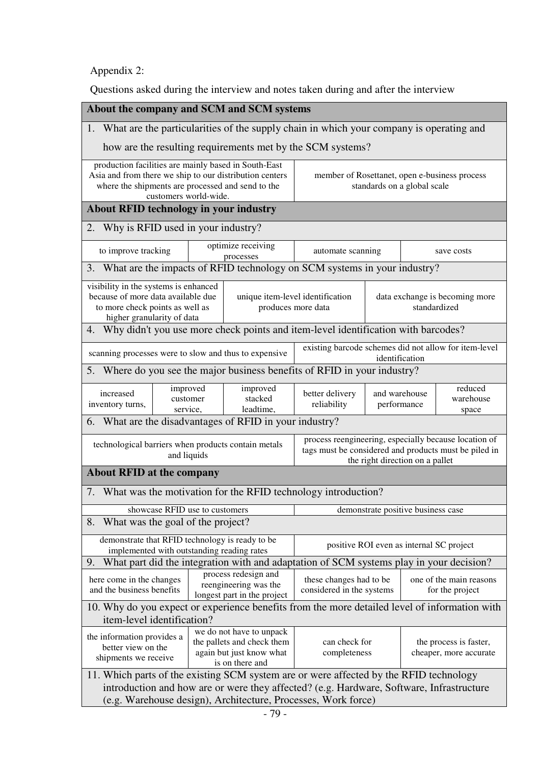Appendix 2:

Questions asked during the interview and notes taken during and after the interview

|                                                                                                                                                                                                                                                                               | About the company and SCM and SCM systems                                                                                             |                                |                                                                                                    |                                                                                               |                                                      |                                    |                                                       |  |
|-------------------------------------------------------------------------------------------------------------------------------------------------------------------------------------------------------------------------------------------------------------------------------|---------------------------------------------------------------------------------------------------------------------------------------|--------------------------------|----------------------------------------------------------------------------------------------------|-----------------------------------------------------------------------------------------------|------------------------------------------------------|------------------------------------|-------------------------------------------------------|--|
|                                                                                                                                                                                                                                                                               | 1. What are the particularities of the supply chain in which your company is operating and                                            |                                |                                                                                                    |                                                                                               |                                                      |                                    |                                                       |  |
|                                                                                                                                                                                                                                                                               |                                                                                                                                       |                                |                                                                                                    | how are the resulting requirements met by the SCM systems?                                    |                                                      |                                    |                                                       |  |
| production facilities are mainly based in South-East<br>Asia and from there we ship to our distribution centers<br>member of Rosettanet, open e-business process<br>where the shipments are processed and send to the<br>standards on a global scale<br>customers world-wide. |                                                                                                                                       |                                |                                                                                                    |                                                                                               |                                                      |                                    |                                                       |  |
|                                                                                                                                                                                                                                                                               | <b>About RFID technology in your industry</b>                                                                                         |                                |                                                                                                    |                                                                                               |                                                      |                                    |                                                       |  |
| 2. Why is RFID used in your industry?                                                                                                                                                                                                                                         |                                                                                                                                       |                                |                                                                                                    |                                                                                               |                                                      |                                    |                                                       |  |
| to improve tracking                                                                                                                                                                                                                                                           |                                                                                                                                       |                                | optimize receiving<br>processes                                                                    | automate scanning                                                                             |                                                      |                                    | save costs                                            |  |
|                                                                                                                                                                                                                                                                               |                                                                                                                                       |                                |                                                                                                    | 3. What are the impacts of RFID technology on SCM systems in your industry?                   |                                                      |                                    |                                                       |  |
| visibility in the systems is enhanced<br>because of more data available due<br>to more check points as well as<br>higher granularity of data                                                                                                                                  |                                                                                                                                       |                                | unique item-level identification<br>produces more data                                             |                                                                                               |                                                      | standardized                       | data exchange is becoming more                        |  |
|                                                                                                                                                                                                                                                                               |                                                                                                                                       |                                |                                                                                                    | 4. Why didn't you use more check points and item-level identification with barcodes?          |                                                      |                                    |                                                       |  |
| scanning processes were to slow and thus to expensive                                                                                                                                                                                                                         |                                                                                                                                       |                                |                                                                                                    | existing barcode schemes did not allow for item-level                                         | identification                                       |                                    |                                                       |  |
|                                                                                                                                                                                                                                                                               |                                                                                                                                       |                                |                                                                                                    | 5. Where do you see the major business benefits of RFID in your industry?                     |                                                      |                                    |                                                       |  |
| increased<br>inventory turns,                                                                                                                                                                                                                                                 | improved<br>customer<br>service,                                                                                                      |                                | improved<br>stacked<br>leadtime,                                                                   | better delivery<br>reliability                                                                | reduced<br>and warehouse<br>warehouse<br>performance |                                    | space                                                 |  |
|                                                                                                                                                                                                                                                                               | 6. What are the disadvantages of RFID in your industry?                                                                               |                                |                                                                                                    |                                                                                               |                                                      |                                    |                                                       |  |
| technological barriers when products contain metals                                                                                                                                                                                                                           | and liquids                                                                                                                           |                                |                                                                                                    | tags must be considered and products must be piled in                                         |                                                      | the right direction on a pallet    | process reengineering, especially because location of |  |
| <b>About RFID at the company</b>                                                                                                                                                                                                                                              |                                                                                                                                       |                                |                                                                                                    |                                                                                               |                                                      |                                    |                                                       |  |
|                                                                                                                                                                                                                                                                               |                                                                                                                                       |                                |                                                                                                    | 7. What was the motivation for the RFID technology introduction?                              |                                                      |                                    |                                                       |  |
|                                                                                                                                                                                                                                                                               |                                                                                                                                       | showcase RFID use to customers |                                                                                                    |                                                                                               |                                                      | demonstrate positive business case |                                                       |  |
| 8. What was the goal of the project?                                                                                                                                                                                                                                          |                                                                                                                                       |                                |                                                                                                    |                                                                                               |                                                      |                                    |                                                       |  |
| demonstrate that RFID technology is ready to be<br>implemented with outstanding reading rates                                                                                                                                                                                 |                                                                                                                                       |                                |                                                                                                    | positive ROI even as internal SC project                                                      |                                                      |                                    |                                                       |  |
| 9.                                                                                                                                                                                                                                                                            |                                                                                                                                       |                                |                                                                                                    | What part did the integration with and adaptation of SCM systems play in your decision?       |                                                      |                                    |                                                       |  |
|                                                                                                                                                                                                                                                                               | process redesign and<br>here come in the changes<br>reengineering was the<br>and the business benefits<br>longest part in the project |                                | these changes had to be<br>one of the main reasons<br>considered in the systems<br>for the project |                                                                                               |                                                      |                                    |                                                       |  |
|                                                                                                                                                                                                                                                                               |                                                                                                                                       |                                |                                                                                                    | 10. Why do you expect or experience benefits from the more detailed level of information with |                                                      |                                    |                                                       |  |
| item-level identification?<br>we do not have to unpack<br>the information provides a<br>the pallets and check them<br>can check for<br>better view on the<br>completeness<br>again but just know what<br>shipments we receive<br>is on there and                              |                                                                                                                                       |                                |                                                                                                    |                                                                                               | the process is faster,<br>cheaper, more accurate     |                                    |                                                       |  |
| 11. Which parts of the existing SCM system are or were affected by the RFID technology<br>introduction and how are or were they affected? (e.g. Hardware, Software, Infrastructure<br>(e.g. Warehouse design), Architecture, Processes, Work force)                           |                                                                                                                                       |                                |                                                                                                    |                                                                                               |                                                      |                                    |                                                       |  |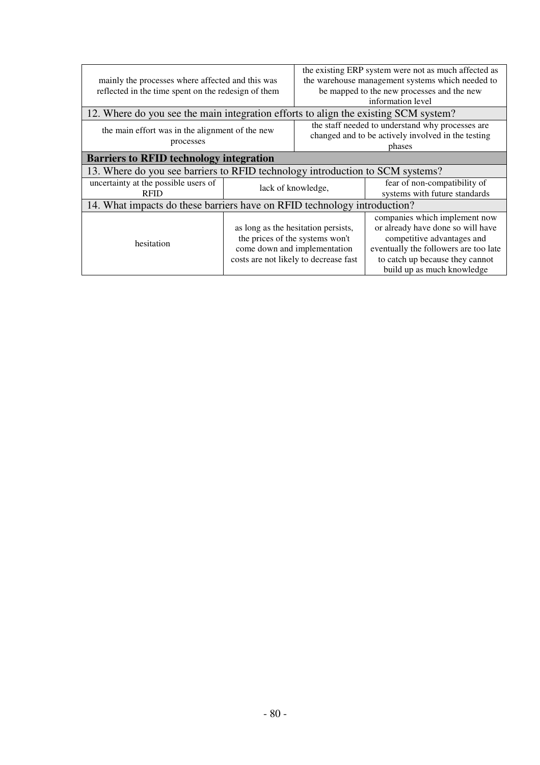|                                                                               |                                     | the existing ERP system were not as much affected as |                                                                                     |  |  |
|-------------------------------------------------------------------------------|-------------------------------------|------------------------------------------------------|-------------------------------------------------------------------------------------|--|--|
| mainly the processes where affected and this was                              |                                     | the warehouse management systems which needed to     |                                                                                     |  |  |
| reflected in the time spent on the redesign of them                           |                                     | be mapped to the new processes and the new           |                                                                                     |  |  |
|                                                                               |                                     |                                                      | information level                                                                   |  |  |
|                                                                               |                                     |                                                      | 12. Where do you see the main integration efforts to align the existing SCM system? |  |  |
|                                                                               |                                     | the staff needed to understand why processes are     |                                                                                     |  |  |
| the main effort was in the alignment of the new                               |                                     |                                                      | changed and to be actively involved in the testing                                  |  |  |
| processes                                                                     |                                     |                                                      | phases                                                                              |  |  |
| <b>Barriers to RFID technology integration</b>                                |                                     |                                                      |                                                                                     |  |  |
| 13. Where do you see barriers to RFID technology introduction to SCM systems? |                                     |                                                      |                                                                                     |  |  |
| uncertainty at the possible users of                                          |                                     | lack of knowledge,                                   | fear of non-compatibility of                                                        |  |  |
| <b>RFID</b>                                                                   |                                     |                                                      | systems with future standards                                                       |  |  |
| 14. What impacts do these barriers have on RFID technology introduction?      |                                     |                                                      |                                                                                     |  |  |
|                                                                               | as long as the hesitation persists, |                                                      | companies which implement now                                                       |  |  |
|                                                                               |                                     |                                                      | or already have done so will have                                                   |  |  |
| hesitation                                                                    |                                     | the prices of the systems won't                      | competitive advantages and                                                          |  |  |
|                                                                               |                                     | come down and implementation                         | eventually the followers are too late                                               |  |  |
|                                                                               |                                     | costs are not likely to decrease fast                | to catch up because they cannot                                                     |  |  |
|                                                                               |                                     |                                                      | build up as much knowledge                                                          |  |  |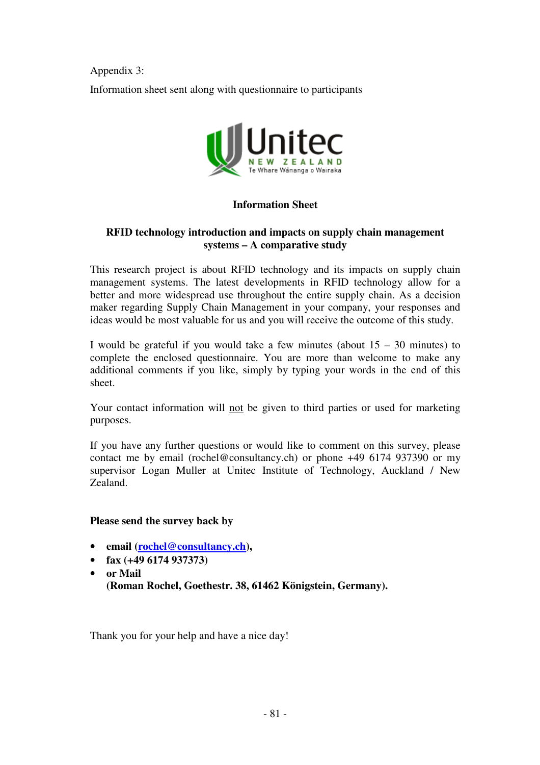Appendix 3: Information sheet sent along with questionnaire to participants



#### **Information Sheet**

#### **RFID technology introduction and impacts on supply chain management systems – A comparative study**

This research project is about RFID technology and its impacts on supply chain management systems. The latest developments in RFID technology allow for a better and more widespread use throughout the entire supply chain. As a decision maker regarding Supply Chain Management in your company, your responses and ideas would be most valuable for us and you will receive the outcome of this study.

I would be grateful if you would take a few minutes (about  $15 - 30$  minutes) to complete the enclosed questionnaire. You are more than welcome to make any additional comments if you like, simply by typing your words in the end of this sheet.

Your contact information will not be given to third parties or used for marketing purposes.

If you have any further questions or would like to comment on this survey, please contact me by email (rochel@consultancy.ch) or phone +49 6174 937390 or my supervisor Logan Muller at Unitec Institute of Technology, Auckland / New Zealand.

#### **Please send the survey back by**

- **email (rochel@consultancy.ch),**
- **fax (+49 6174 937373)**
- **or Mail (Roman Rochel, Goethestr. 38, 61462 Königstein, Germany).**

Thank you for your help and have a nice day!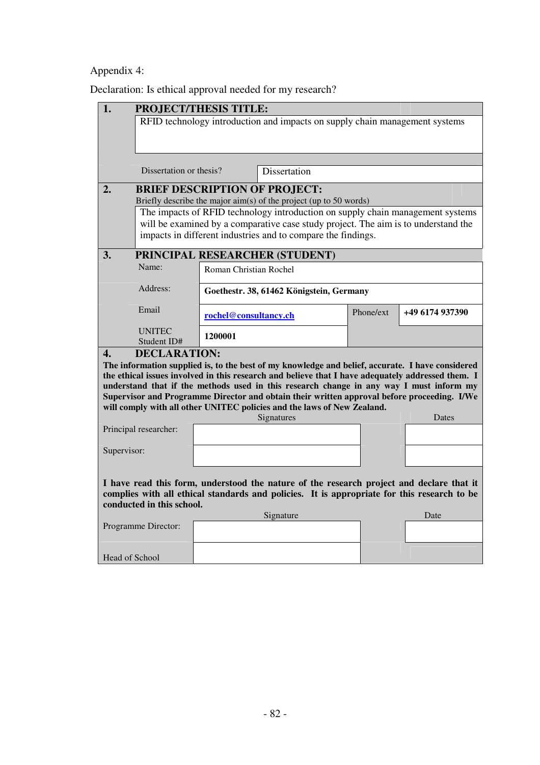### Appendix 4:

Declaration: Is ethical approval needed for my research?

| $\mathbf{1}$ .                                                                                                                                                                                                       | <b>PROJECT/THESIS TITLE:</b>                                                |                        |                                                                                                                                                                                        |           |                 |  |  |  |  |
|----------------------------------------------------------------------------------------------------------------------------------------------------------------------------------------------------------------------|-----------------------------------------------------------------------------|------------------------|----------------------------------------------------------------------------------------------------------------------------------------------------------------------------------------|-----------|-----------------|--|--|--|--|
|                                                                                                                                                                                                                      | RFID technology introduction and impacts on supply chain management systems |                        |                                                                                                                                                                                        |           |                 |  |  |  |  |
|                                                                                                                                                                                                                      |                                                                             |                        |                                                                                                                                                                                        |           |                 |  |  |  |  |
|                                                                                                                                                                                                                      | Dissertation or thesis?                                                     |                        | Dissertation                                                                                                                                                                           |           |                 |  |  |  |  |
| 2.                                                                                                                                                                                                                   | <b>BRIEF DESCRIPTION OF PROJECT:</b>                                        |                        |                                                                                                                                                                                        |           |                 |  |  |  |  |
|                                                                                                                                                                                                                      |                                                                             |                        | Briefly describe the major $\dim(s)$ of the project (up to 50 words)                                                                                                                   |           |                 |  |  |  |  |
|                                                                                                                                                                                                                      |                                                                             |                        | The impacts of RFID technology introduction on supply chain management systems                                                                                                         |           |                 |  |  |  |  |
|                                                                                                                                                                                                                      |                                                                             |                        | will be examined by a comparative case study project. The aim is to understand the                                                                                                     |           |                 |  |  |  |  |
|                                                                                                                                                                                                                      |                                                                             |                        | impacts in different industries and to compare the findings.                                                                                                                           |           |                 |  |  |  |  |
| 3.                                                                                                                                                                                                                   |                                                                             |                        | PRINCIPAL RESEARCHER (STUDENT)                                                                                                                                                         |           |                 |  |  |  |  |
|                                                                                                                                                                                                                      | Name:                                                                       | Roman Christian Rochel |                                                                                                                                                                                        |           |                 |  |  |  |  |
|                                                                                                                                                                                                                      | Address:                                                                    |                        | Goethestr. 38, 61462 Königstein, Germany                                                                                                                                               |           |                 |  |  |  |  |
|                                                                                                                                                                                                                      | Email                                                                       | rochel@consultancy.ch  |                                                                                                                                                                                        | Phone/ext | +49 6174 937390 |  |  |  |  |
|                                                                                                                                                                                                                      | <b>UNITEC</b><br>Student ID#                                                | 1200001                |                                                                                                                                                                                        |           |                 |  |  |  |  |
| $\mathbf{4}$ .                                                                                                                                                                                                       | <b>DECLARATION:</b>                                                         |                        |                                                                                                                                                                                        |           |                 |  |  |  |  |
|                                                                                                                                                                                                                      |                                                                             |                        | The information supplied is, to the best of my knowledge and belief, accurate. I have considered                                                                                       |           |                 |  |  |  |  |
|                                                                                                                                                                                                                      |                                                                             |                        | the ethical issues involved in this research and believe that I have adequately addressed them. I                                                                                      |           |                 |  |  |  |  |
|                                                                                                                                                                                                                      |                                                                             |                        | understand that if the methods used in this research change in any way I must inform my<br>Supervisor and Programme Director and obtain their written approval before proceeding. I/We |           |                 |  |  |  |  |
|                                                                                                                                                                                                                      |                                                                             |                        | will comply with all other UNITEC policies and the laws of New Zealand.                                                                                                                |           |                 |  |  |  |  |
|                                                                                                                                                                                                                      |                                                                             |                        | Signatures                                                                                                                                                                             |           | Dates           |  |  |  |  |
|                                                                                                                                                                                                                      | Principal researcher:                                                       |                        |                                                                                                                                                                                        |           |                 |  |  |  |  |
|                                                                                                                                                                                                                      |                                                                             |                        |                                                                                                                                                                                        |           |                 |  |  |  |  |
| Supervisor:                                                                                                                                                                                                          |                                                                             |                        |                                                                                                                                                                                        |           |                 |  |  |  |  |
|                                                                                                                                                                                                                      |                                                                             |                        |                                                                                                                                                                                        |           |                 |  |  |  |  |
| I have read this form, understood the nature of the research project and declare that it<br>complies with all ethical standards and policies. It is appropriate for this research to be<br>conducted in this school. |                                                                             |                        |                                                                                                                                                                                        |           |                 |  |  |  |  |
|                                                                                                                                                                                                                      |                                                                             |                        | Signature                                                                                                                                                                              |           | Date            |  |  |  |  |
|                                                                                                                                                                                                                      | Programme Director:                                                         |                        |                                                                                                                                                                                        |           |                 |  |  |  |  |
|                                                                                                                                                                                                                      |                                                                             |                        |                                                                                                                                                                                        |           |                 |  |  |  |  |
| Head of School                                                                                                                                                                                                       |                                                                             |                        |                                                                                                                                                                                        |           |                 |  |  |  |  |